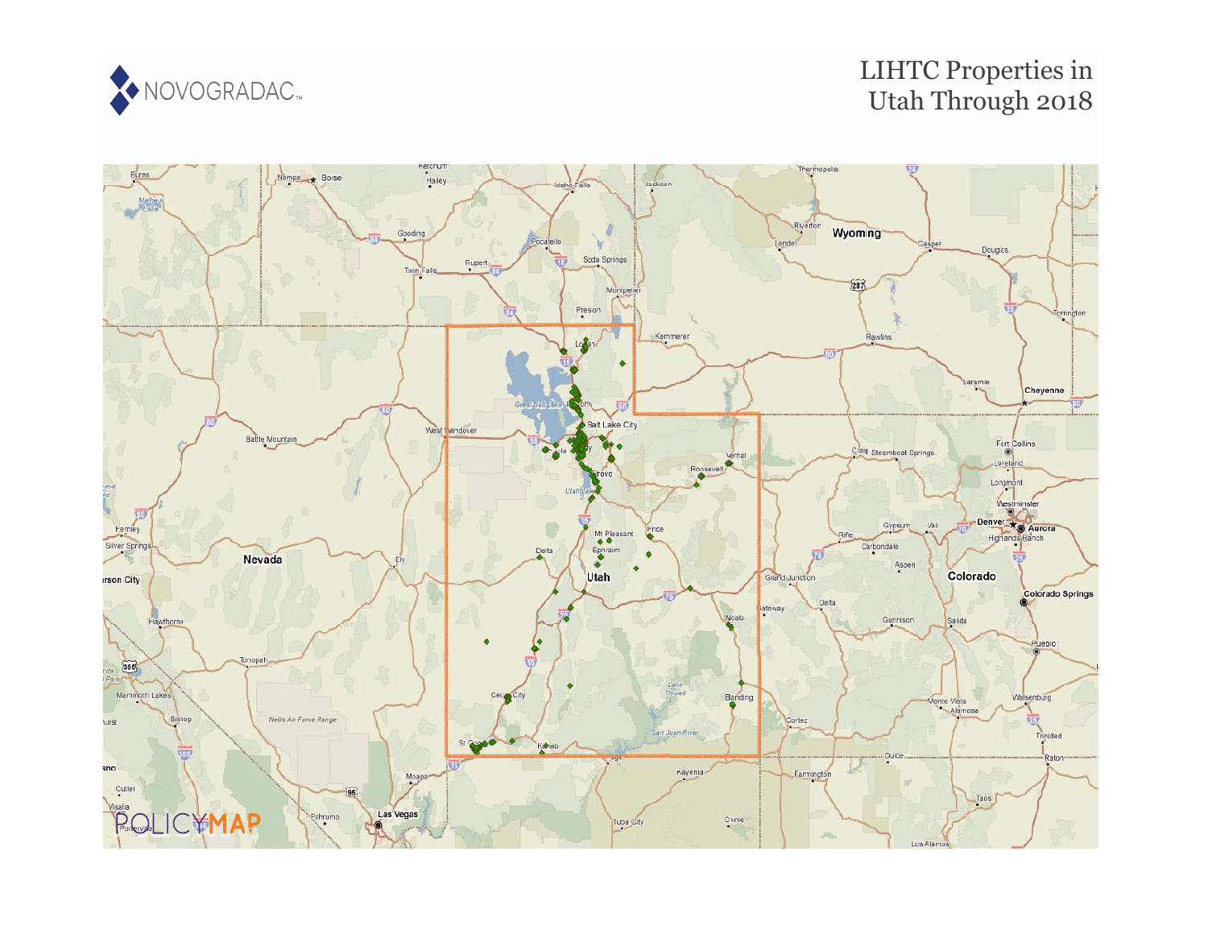

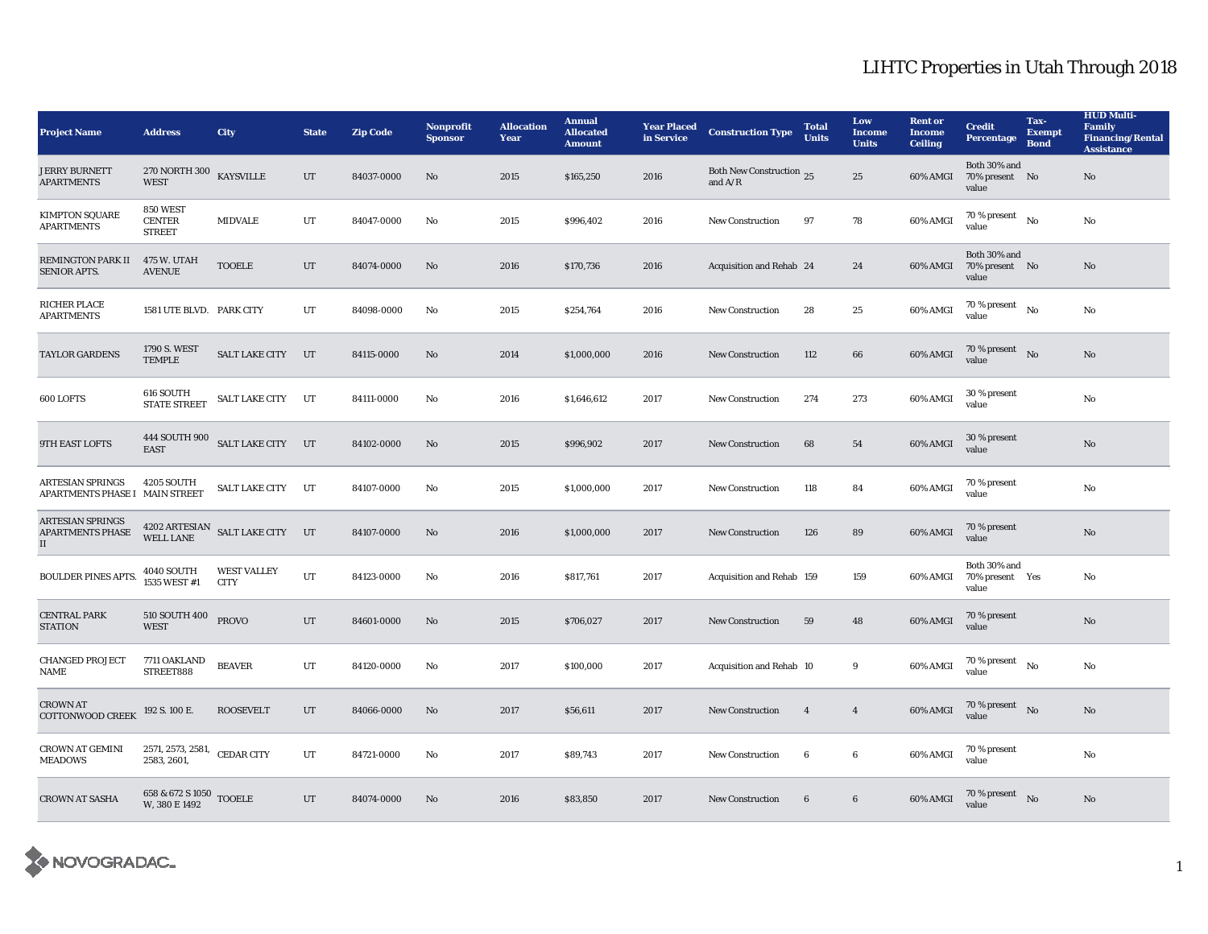| <b>Project Name</b>                                            | <b>Address</b>                              | <b>City</b>                                           | <b>State</b> | <b>Zip Code</b> | Nonprofit<br><b>Sponsor</b> | <b>Allocation</b><br>Year | <b>Annual</b><br><b>Allocated</b><br><b>Amount</b> | <b>Year Placed</b><br>in Service | <b>Construction Type</b>              | <b>Total</b><br><b>Units</b> | Low<br><b>Income</b><br><b>Units</b> | <b>Rent or</b><br><b>Income</b><br><b>Ceiling</b> | <b>Credit</b><br><b>Percentage</b>         | Tax-<br><b>Exempt</b><br><b>Bond</b> | <b>HUD Multi-</b><br><b>Family</b><br><b>Financing/Rental</b><br><b>Assistance</b> |
|----------------------------------------------------------------|---------------------------------------------|-------------------------------------------------------|--------------|-----------------|-----------------------------|---------------------------|----------------------------------------------------|----------------------------------|---------------------------------------|------------------------------|--------------------------------------|---------------------------------------------------|--------------------------------------------|--------------------------------------|------------------------------------------------------------------------------------|
| <b>JERRY BURNETT</b><br><b>APARTMENTS</b>                      | <b>270 NORTH 300</b><br><b>WEST</b>         | <b>KAYSVILLE</b>                                      | UT           | 84037-0000      | No                          | 2015                      | \$165,250                                          | 2016                             | Both New Construction 25<br>and $A/R$ |                              | 25                                   | 60% AMGI                                          | Both 30% and<br>70% present No<br>value    |                                      | No                                                                                 |
| <b>KIMPTON SQUARE</b><br><b>APARTMENTS</b>                     | 850 WEST<br><b>CENTER</b><br><b>STREET</b>  | <b>MIDVALE</b>                                        | $_{\rm UT}$  | 84047-0000      | No                          | 2015                      | \$996,402                                          | 2016                             | New Construction                      | 97                           | 78                                   | 60% AMGI                                          | $70$ % present $\quad$ No $\quad$<br>value |                                      | No                                                                                 |
| <b>REMINGTON PARK II</b><br><b>SENIOR APTS.</b>                | 475 W. UTAH<br><b>AVENUE</b>                | <b>TOOELE</b>                                         | UT           | 84074-0000      | No                          | 2016                      | \$170,736                                          | 2016                             | Acquisition and Rehab 24              |                              | 24                                   | 60% AMGI                                          | Both 30% and<br>70% present No<br>value    |                                      | No                                                                                 |
| RICHER PLACE<br><b>APARTMENTS</b>                              | 1581 UTE BLVD. PARK CITY                    |                                                       | UT           | 84098-0000      | No                          | 2015                      | \$254,764                                          | 2016                             | <b>New Construction</b>               | 28                           | 25                                   | 60% AMGI                                          | 70 % present<br>value                      | No                                   | No                                                                                 |
| <b>TAYLOR GARDENS</b>                                          | 1790 S. WEST<br><b>TEMPLE</b>               | <b>SALT LAKE CITY</b>                                 | UT           | 84115-0000      | No                          | 2014                      | \$1,000,000                                        | 2016                             | <b>New Construction</b>               | 112                          | 66                                   | 60% AMGI                                          | 70 % present $\bar{N}$ o<br>value          |                                      | No                                                                                 |
| 600 LOFTS                                                      | 616 SOUTH<br><b>STATE STREET</b>            | SALT LAKE CITY UT                                     |              | 84111-0000      | No                          | 2016                      | \$1,646,612                                        | 2017                             | <b>New Construction</b>               | 274                          | 273                                  | 60% AMGI                                          | 30 % present<br>value                      |                                      | $\rm No$                                                                           |
| 9TH EAST LOFTS                                                 | <b>EAST</b>                                 | 444 SOUTH 900 SALT LAKE CITY UT                       |              | 84102-0000      | No                          | 2015                      | \$996,902                                          | 2017                             | <b>New Construction</b>               | 68                           | ${\bf 54}$                           | 60% AMGI                                          | 30 % present<br>value                      |                                      | No                                                                                 |
| <b>ARTESIAN SPRINGS</b><br>APARTMENTS PHASE I MAIN STREET      | <b>4205 SOUTH</b>                           | SALT LAKE CITY                                        | UT           | 84107-0000      | No                          | 2015                      | \$1,000,000                                        | 2017                             | <b>New Construction</b>               | 118                          | 84                                   | 60% AMGI                                          | 70 % present<br>value                      |                                      | No                                                                                 |
| <b>ARTESIAN SPRINGS</b><br><b>APARTMENTS PHASE</b><br>$\rm II$ |                                             | $4202$ ARTESIAN $\;$ SALT LAKE CITY $\;$ UT WELL LANE |              | 84107-0000      | No                          | 2016                      | \$1,000,000                                        | 2017                             | <b>New Construction</b>               | 126                          | 89                                   | 60% AMGI                                          | 70 % present<br>value                      |                                      | No                                                                                 |
| <b>BOULDER PINES APTS.</b>                                     | 4040 SOUTH<br>1535 WEST #1                  | <b>WEST VALLEY</b><br><b>CITY</b>                     | UT           | 84123-0000      | No                          | 2016                      | \$817,761                                          | 2017                             | Acquisition and Rehab 159             |                              | 159                                  | 60% AMGI                                          | Both 30% and<br>70% present Yes<br>value   |                                      | No                                                                                 |
| <b>CENTRAL PARK</b><br><b>STATION</b>                          | 510 SOUTH 400<br><b>WEST</b>                | <b>PROVO</b>                                          | $_{\rm{UT}}$ | 84601-0000      | $\mathbf{No}$               | 2015                      | \$706,027                                          | 2017                             | New Construction                      | 59                           | 48                                   | 60% AMGI                                          | 70 % present<br>value                      |                                      | $\mathbf{No}$                                                                      |
| <b>CHANGED PROJECT</b><br><b>NAME</b>                          | 7711 OAKLAND<br>STREET888                   | <b>BEAVER</b>                                         | UT           | 84120-0000      | No                          | 2017                      | \$100,000                                          | 2017                             | Acquisition and Rehab 10              |                              | 9                                    | 60% AMGI                                          | 70 % present<br>value                      | No                                   | No                                                                                 |
| <b>CROWN AT</b><br><b>COTTONWOOD CREEK</b>                     | 192 S. 100 E.                               | <b>ROOSEVELT</b>                                      | UT           | 84066-0000      | No                          | 2017                      | \$56,611                                           | 2017                             | <b>New Construction</b>               | $\overline{4}$               | $\overline{4}$                       | 60% AMGI                                          | $70\,\%$ present $\quad$ No<br>value       |                                      | No                                                                                 |
| <b>CROWN AT GEMINI</b><br><b>MEADOWS</b>                       | 2571, 2573, 2581, CEDAR CITY<br>2583, 2601. |                                                       | UT           | 84721-0000      | No                          | 2017                      | \$89,743                                           | 2017                             | <b>New Construction</b>               | 6                            | $6\phantom{.0}$                      | 60% AMGI                                          | 70 % present<br>value                      |                                      | $\rm No$                                                                           |
| <b>CROWN AT SASHA</b>                                          | 658 & 672 S 1050 TOOELE<br>W, 380 E 1492    |                                                       | UT           | 84074-0000      | No                          | 2016                      | \$83,850                                           | 2017                             | New Construction                      | 6                            | $6\phantom{.0}$                      | 60% AMGI                                          | 70 % present $N0$<br>value                 |                                      | $\mathbf{No}$                                                                      |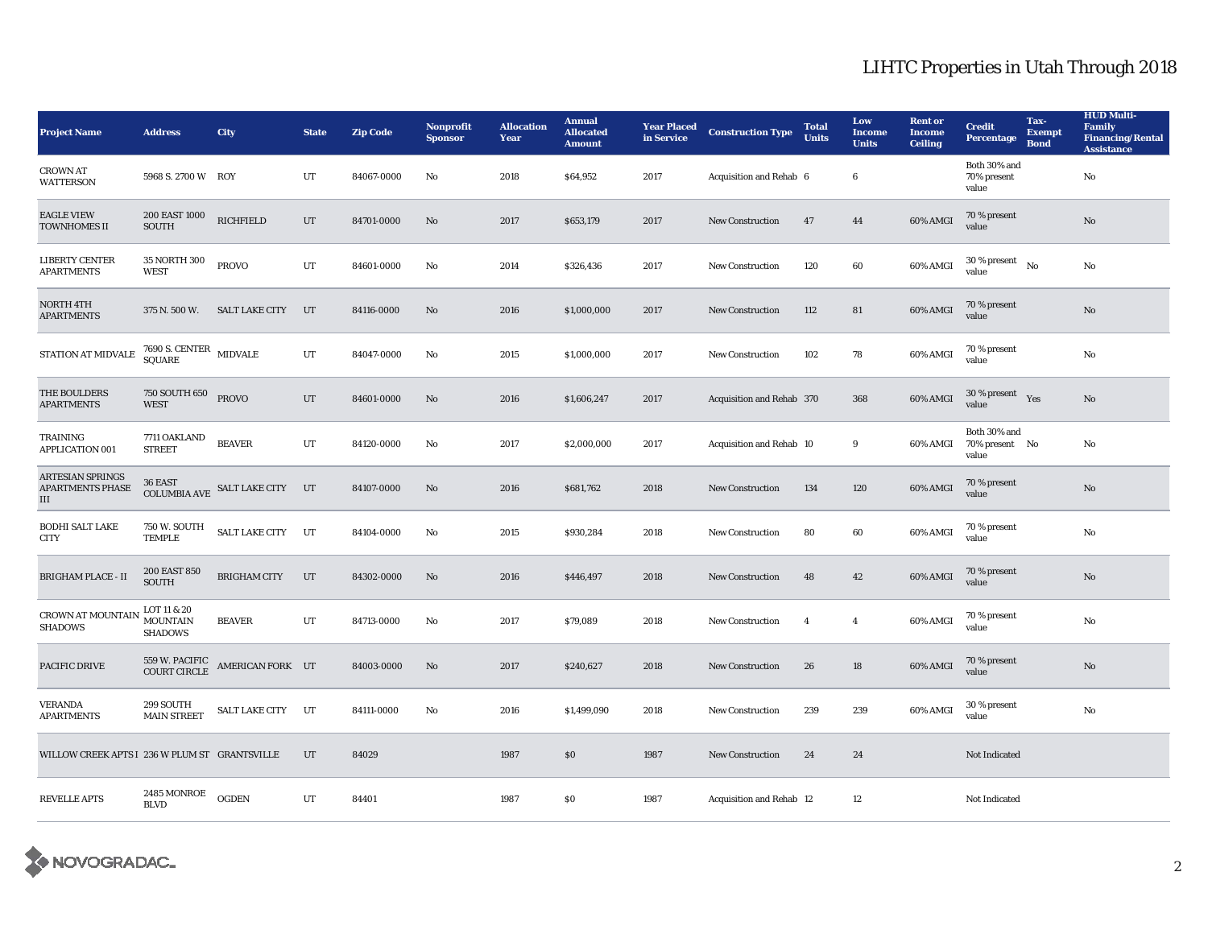| <b>Project Name</b>                                | <b>Address</b>                                   | <b>City</b>                                  | <b>State</b> | <b>Zip Code</b> | Nonprofit<br><b>Sponsor</b> | <b>Allocation</b><br>Year | <b>Annual</b><br><b>Allocated</b><br><b>Amount</b> | <b>Year Placed</b><br>in Service | <b>Construction Type</b>  | <b>Total</b><br><b>Units</b> | Low<br><b>Income</b><br><b>Units</b> | <b>Rent or</b><br><b>Income</b><br><b>Ceiling</b> | <b>Credit</b><br><b>Percentage</b>      | Tax-<br><b>Exempt</b><br><b>Bond</b> | <b>HUD Multi-</b><br><b>Family</b><br><b>Financing/Rental</b><br><b>Assistance</b> |
|----------------------------------------------------|--------------------------------------------------|----------------------------------------------|--------------|-----------------|-----------------------------|---------------------------|----------------------------------------------------|----------------------------------|---------------------------|------------------------------|--------------------------------------|---------------------------------------------------|-----------------------------------------|--------------------------------------|------------------------------------------------------------------------------------|
| <b>CROWN AT</b><br><b>WATTERSON</b>                | 5968 S. 2700 W ROY                               |                                              | UT           | 84067-0000      | No                          | 2018                      | \$64,952                                           | 2017                             | Acquisition and Rehab 6   |                              | 6                                    |                                                   | Both 30% and<br>70% present<br>value    |                                      | No                                                                                 |
| <b>EAGLE VIEW</b><br><b>TOWNHOMES II</b>           | 200 EAST 1000<br><b>SOUTH</b>                    | <b>RICHFIELD</b>                             | $_{\rm UT}$  | 84701-0000      | No                          | 2017                      | \$653,179                                          | 2017                             | New Construction          | 47                           | 44                                   | 60% AMGI                                          | 70 % present<br>value                   |                                      | $\mathbf{No}$                                                                      |
| <b>LIBERTY CENTER</b><br><b>APARTMENTS</b>         | 35 NORTH 300<br><b>WEST</b>                      | <b>PROVO</b>                                 | UT           | 84601-0000      | No                          | 2014                      | \$326,436                                          | 2017                             | <b>New Construction</b>   | 120                          | 60                                   | 60% AMGI                                          | $30$ % present $\hbox{~No}$<br>value    |                                      | No                                                                                 |
| NORTH 4TH<br><b>APARTMENTS</b>                     | 375 N. 500 W.                                    | SALT LAKE CITY                               | UT           | 84116-0000      | $\mathbf{No}$               | 2016                      | \$1,000,000                                        | 2017                             | <b>New Construction</b>   | 112                          | 81                                   | 60% AMGI                                          | 70 % present<br>value                   |                                      | $\mathbf{No}$                                                                      |
| STATION AT MIDVALE                                 | $7690$ S. CENTER $\,$ MIDVALE SQUARE             |                                              | UT           | 84047-0000      | No                          | 2015                      | \$1,000,000                                        | 2017                             | <b>New Construction</b>   | 102                          | 78                                   | 60% AMGI                                          | 70 % present<br>value                   |                                      | No                                                                                 |
| THE BOULDERS<br><b>APARTMENTS</b>                  | 750 SOUTH 650 PROVO<br><b>WEST</b>               |                                              | UT           | 84601-0000      | No                          | 2016                      | \$1,606,247                                        | 2017                             | Acquisition and Rehab 370 |                              | 368                                  | 60% AMGI                                          | 30 % present $Yes$<br>value             |                                      | No                                                                                 |
| <b>TRAINING</b><br><b>APPLICATION 001</b>          | 7711 OAKLAND<br><b>STREET</b>                    | <b>BEAVER</b>                                | UT           | 84120-0000      | No                          | 2017                      | \$2,000,000                                        | 2017                             | Acquisition and Rehab 10  |                              | 9                                    | 60% AMGI                                          | Both 30% and<br>70% present No<br>value |                                      | No                                                                                 |
| <b>ARTESIAN SPRINGS</b><br>APARTMENTS PHASE<br>III |                                                  | COLUMBIA AVE SALT LAKE CITY UT               |              | 84107-0000      | $\mathbf{No}$               | 2016                      | \$681,762                                          | 2018                             | New Construction          | 134                          | 120                                  | 60% AMGI                                          | 70 % present<br>value                   |                                      | No                                                                                 |
| <b>BODHI SALT LAKE</b><br><b>CITY</b>              | 750 W. SOUTH<br><b>TEMPLE</b>                    | SALT LAKE CITY UT                            |              | 84104-0000      | No                          | 2015                      | \$930,284                                          | 2018                             | <b>New Construction</b>   | 80                           | 60                                   | 60% AMGI                                          | 70 % present<br>value                   |                                      | No                                                                                 |
| <b>BRIGHAM PLACE - II</b>                          | 200 EAST 850<br><b>SOUTH</b>                     | <b>BRIGHAM CITY</b>                          | UT           | 84302-0000      | No.                         | 2016                      | \$446,497                                          | 2018                             | <b>New Construction</b>   | 48                           | 42                                   | 60% AMGI                                          | 70 % present<br>value                   |                                      | No                                                                                 |
| <b>CROWN AT MOUNTAIN</b><br><b>SHADOWS</b>         | LOT 11 & 20<br><b>MOUNTAIN</b><br><b>SHADOWS</b> | <b>BEAVER</b>                                | UT           | 84713-0000      | No                          | 2017                      | \$79,089                                           | 2018                             | <b>New Construction</b>   | $\overline{4}$               | $\overline{4}$                       | 60% AMGI                                          | 70 % present<br>value                   |                                      | $\mathbf{No}$                                                                      |
| <b>PACIFIC DRIVE</b>                               |                                                  | 559 W. PACIFIC AMERICAN FORK UT COURT CIRCLE |              | 84003-0000      | No                          | 2017                      | \$240,627                                          | 2018                             | <b>New Construction</b>   | 26                           | 18                                   | 60% AMGI                                          | 70 % present<br>value                   |                                      | No                                                                                 |
| <b>VERANDA</b><br><b>APARTMENTS</b>                | 299 SOUTH<br><b>MAIN STREET</b>                  | SALT LAKE CITY UT                            |              | 84111-0000      | No                          | 2016                      | \$1,499,090                                        | 2018                             | <b>New Construction</b>   | 239                          | 239                                  | 60% AMGI                                          | 30 % present<br>value                   |                                      | No                                                                                 |
| WILLOW CREEK APTS I 236 W PLUM ST GRANTSVILLE      |                                                  |                                              | UT           | 84029           |                             | 1987                      | \$0                                                | 1987                             | <b>New Construction</b>   | 24                           | 24                                   |                                                   | Not Indicated                           |                                      |                                                                                    |
| <b>REVELLE APTS</b>                                | 2485 MONROE<br><b>BLVD</b>                       | <b>OGDEN</b>                                 | UT           | 84401           |                             | 1987                      | \$0                                                | 1987                             | Acquisition and Rehab 12  |                              | 12                                   |                                                   | Not Indicated                           |                                      |                                                                                    |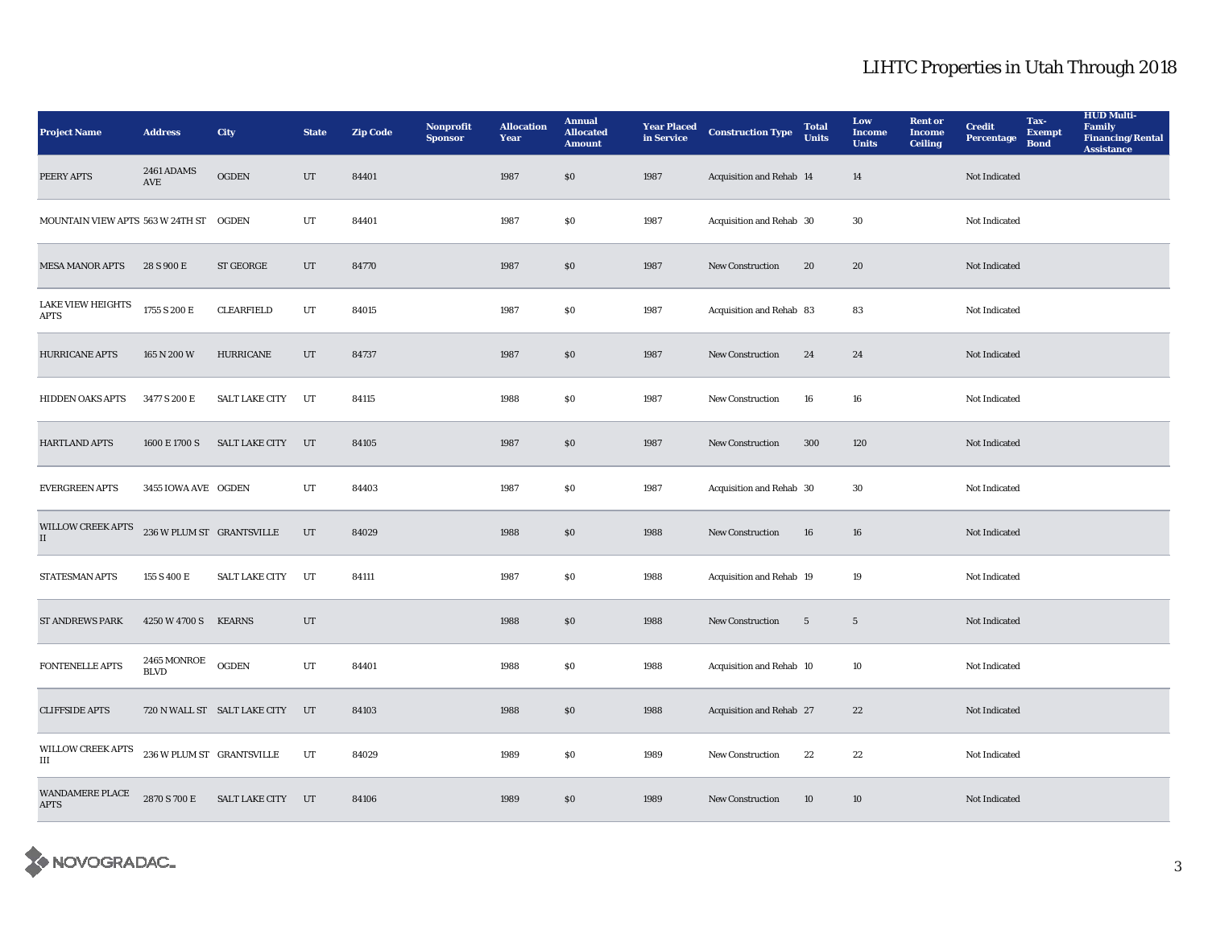| <b>Project Name</b>                     | <b>Address</b>             | <b>City</b>                  | <b>State</b> | <b>Zip Code</b> | Nonprofit<br><b>Sponsor</b> | <b>Allocation</b><br>Year | <b>Annual</b><br><b>Allocated</b><br><b>Amount</b> | <b>Year Placed<br/>in Service</b> | <b>Construction Type</b> | <b>Total</b><br><b>Units</b> | Low<br><b>Income</b><br><b>Units</b> | <b>Rent or</b><br><b>Income</b><br><b>Ceiling</b> | <b>Credit</b><br><b>Percentage</b> | Tax-<br><b>Exempt</b><br><b>Bond</b> | <b>HUD Multi-</b><br><b>Family</b><br><b>Financing/Rental</b><br><b>Assistance</b> |
|-----------------------------------------|----------------------------|------------------------------|--------------|-----------------|-----------------------------|---------------------------|----------------------------------------------------|-----------------------------------|--------------------------|------------------------------|--------------------------------------|---------------------------------------------------|------------------------------------|--------------------------------------|------------------------------------------------------------------------------------|
| PEERY APTS                              | <b>2461 ADAMS</b><br>AVE   | <b>OGDEN</b>                 | UT           | 84401           |                             | 1987                      | \$0                                                | 1987                              | Acquisition and Rehab 14 |                              | 14                                   |                                                   | Not Indicated                      |                                      |                                                                                    |
| MOUNTAIN VIEW APTS 563 W 24TH ST        |                            | <b>OGDEN</b>                 | $_{\rm UT}$  | 84401           |                             | 1987                      | $\$0$                                              | 1987                              | Acquisition and Rehab 30 |                              | 30                                   |                                                   | Not Indicated                      |                                      |                                                                                    |
| <b>MESA MANOR APTS</b>                  | 28 S 900 E                 | <b>ST GEORGE</b>             | UT           | 84770           |                             | 1987                      | \$0                                                | 1987                              | New Construction         | 20                           | 20                                   |                                                   | Not Indicated                      |                                      |                                                                                    |
| <b>LAKE VIEW HEIGHTS</b><br><b>APTS</b> | 1755 S 200 E               | <b>CLEARFIELD</b>            | $_{\rm UT}$  | 84015           |                             | 1987                      | $\$0$                                              | 1987                              | Acquisition and Rehab 83 |                              | 83                                   |                                                   | Not Indicated                      |                                      |                                                                                    |
| <b>HURRICANE APTS</b>                   | 165 N 200 W                | <b>HURRICANE</b>             | UT           | 84737           |                             | 1987                      | \$0                                                | 1987                              | <b>New Construction</b>  | 24                           | 24                                   |                                                   | Not Indicated                      |                                      |                                                                                    |
| <b>HIDDEN OAKS APTS</b>                 | 3477 S 200 E               | <b>SALT LAKE CITY</b>        | UT           | 84115           |                             | 1988                      | $\$0$                                              | 1987                              | New Construction         | 16                           | 16                                   |                                                   | Not Indicated                      |                                      |                                                                                    |
| <b>HARTLAND APTS</b>                    | 1600 E 1700 S              | SALT LAKE CITY               | UT           | 84105           |                             | 1987                      | \$0                                                | 1987                              | New Construction         | 300                          | 120                                  |                                                   | Not Indicated                      |                                      |                                                                                    |
| <b>EVERGREEN APTS</b>                   | 3455 IOWA AVE OGDEN        |                              | UT           | 84403           |                             | 1987                      | $\$0$                                              | 1987                              | Acquisition and Rehab 30 |                              | 30                                   |                                                   | Not Indicated                      |                                      |                                                                                    |
| WILLOW CREEK APTS<br>$\mathbf{I}$       | 236 W PLUM ST GRANTSVILLE  |                              | UT           | 84029           |                             | 1988                      | $\$0$                                              | 1988                              | New Construction         | 16                           | 16                                   |                                                   | Not Indicated                      |                                      |                                                                                    |
| STATESMAN APTS                          | 155 S 400 E                | <b>SALT LAKE CITY</b>        | UT           | 84111           |                             | 1987                      | $\$0$                                              | 1988                              | Acquisition and Rehab 19 |                              | 19                                   |                                                   | Not Indicated                      |                                      |                                                                                    |
| <b>ST ANDREWS PARK</b>                  | 4250 W 4700 S              | <b>KEARNS</b>                | UT           |                 |                             | 1988                      | \$0                                                | 1988                              | <b>New Construction</b>  | $5\phantom{.0}$              | $5\phantom{.0}$                      |                                                   | Not Indicated                      |                                      |                                                                                    |
| FONTENELLE APTS                         | 2465 MONROE<br><b>BLVD</b> | <b>OGDEN</b>                 | $_{\rm UT}$  | 84401           |                             | 1988                      | $\$0$                                              | 1988                              | Acquisition and Rehab 10 |                              | 10                                   |                                                   | Not Indicated                      |                                      |                                                                                    |
| <b>CLIFFSIDE APTS</b>                   |                            | 720 N WALL ST SALT LAKE CITY | UT           | 84103           |                             | 1988                      | $\$0$                                              | 1988                              | Acquisition and Rehab 27 |                              | $\bf{22}$                            |                                                   | Not Indicated                      |                                      |                                                                                    |
| <b>WILLOW CREEK APTS</b><br>$\rm III$   | 236 W PLUM ST GRANTSVILLE  |                              | UT           | 84029           |                             | 1989                      | \$0                                                | 1989                              | New Construction         | 22                           | 22                                   |                                                   | Not Indicated                      |                                      |                                                                                    |
| <b>WANDAMERE PLACE</b><br><b>APTS</b>   | 2870 S 700 E               | SALT LAKE CITY UT            |              | 84106           |                             | 1989                      | \$0                                                | 1989                              | <b>New Construction</b>  | 10                           | 10                                   |                                                   | Not Indicated                      |                                      |                                                                                    |

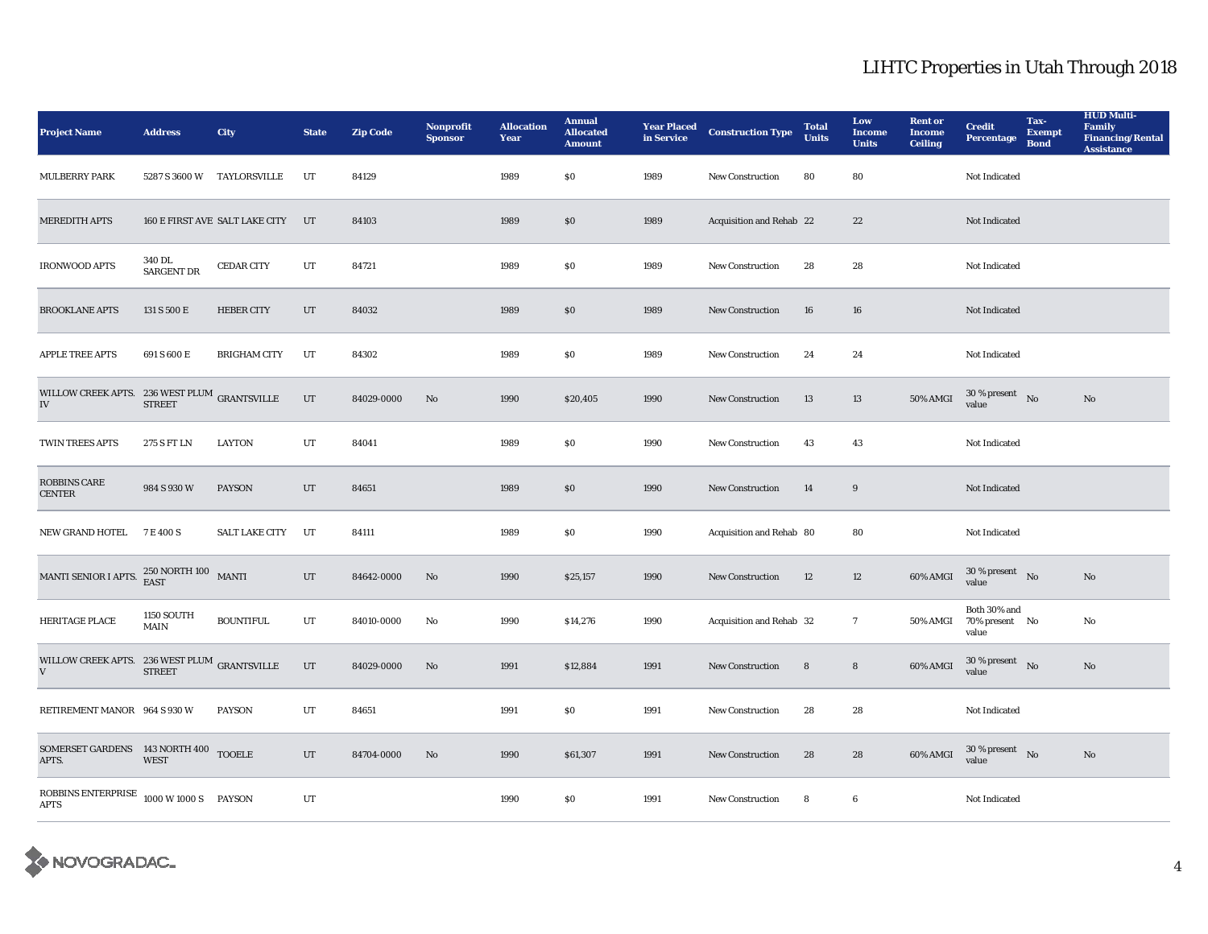| <b>Project Name</b>                                                       | <b>Address</b>                    | City                           | <b>State</b> | <b>Zip Code</b> | Nonprofit<br><b>Sponsor</b> | <b>Allocation</b><br>Year | <b>Annual</b><br><b>Allocated</b><br><b>Amount</b> | <b>Year Placed</b><br>in Service | <b>Construction Type</b> | <b>Total</b><br><b>Units</b> | Low<br><b>Income</b><br><b>Units</b> | <b>Rent or</b><br><b>Income</b><br><b>Ceiling</b> | <b>Credit</b><br><b>Percentage</b>      | Tax-<br><b>Exempt</b><br><b>Bond</b> | <b>HUD Multi-</b><br><b>Family</b><br><b>Financing/Rental</b><br><b>Assistance</b> |
|---------------------------------------------------------------------------|-----------------------------------|--------------------------------|--------------|-----------------|-----------------------------|---------------------------|----------------------------------------------------|----------------------------------|--------------------------|------------------------------|--------------------------------------|---------------------------------------------------|-----------------------------------------|--------------------------------------|------------------------------------------------------------------------------------|
| <b>MULBERRY PARK</b>                                                      |                                   | 5287 S 3600 W TAYLORSVILLE     | UT           | 84129           |                             | 1989                      | \$0                                                | 1989                             | New Construction         | 80                           | 80                                   |                                                   | Not Indicated                           |                                      |                                                                                    |
| <b>MEREDITH APTS</b>                                                      |                                   | 160 E FIRST AVE SALT LAKE CITY | UT           | 84103           |                             | 1989                      | \$0                                                | 1989                             | Acquisition and Rehab 22 |                              | 22                                   |                                                   | Not Indicated                           |                                      |                                                                                    |
| <b>IRONWOOD APTS</b>                                                      | 340 DL<br>SARGENT DR              | <b>CEDAR CITY</b>              | UT           | 84721           |                             | 1989                      | \$0                                                | 1989                             | New Construction         | 28                           | 28                                   |                                                   | Not Indicated                           |                                      |                                                                                    |
| <b>BROOKLANE APTS</b>                                                     | 131 S 500 E                       | <b>HEBER CITY</b>              | UT           | 84032           |                             | 1989                      | \$0                                                | 1989                             | <b>New Construction</b>  | 16                           | 16                                   |                                                   | Not Indicated                           |                                      |                                                                                    |
| <b>APPLE TREE APTS</b>                                                    | 691 S 600 E                       | <b>BRIGHAM CITY</b>            | UT           | 84302           |                             | 1989                      | \$0                                                | 1989                             | <b>New Construction</b>  | 24                           | 24                                   |                                                   | Not Indicated                           |                                      |                                                                                    |
| WILLOW CREEK APTS. 236 WEST PLUM GRANTSVILLE<br>IV                        | <b>STREET</b>                     |                                | UT           | 84029-0000      | No                          | 1990                      | \$20,405                                           | 1990                             | New Construction         | 13                           | 13                                   | 50% AMGI                                          | $30\,\%$ present $$$ No $\,$<br>value   |                                      | $\rm No$                                                                           |
| <b>TWIN TREES APTS</b>                                                    | 275 S FT LN                       | <b>LAYTON</b>                  | UT           | 84041           |                             | 1989                      | \$0                                                | 1990                             | New Construction         | 43                           | 43                                   |                                                   | Not Indicated                           |                                      |                                                                                    |
| <b>ROBBINS CARE</b><br><b>CENTER</b>                                      | 984 S 930 W                       | <b>PAYSON</b>                  | UT           | 84651           |                             | 1989                      | \$0                                                | 1990                             | New Construction         | 14                           | 9                                    |                                                   | Not Indicated                           |                                      |                                                                                    |
| NEW GRAND HOTEL 7 E 400 S                                                 |                                   | SALT LAKE CITY                 | UT           | 84111           |                             | 1989                      | $\$0$                                              | 1990                             | Acquisition and Rehab 80 |                              | 80                                   |                                                   | Not Indicated                           |                                      |                                                                                    |
| MANTI SENIOR I APTS.                                                      | $250$ NORTH $100\quad$ MANTI EAST |                                | $_{\rm{UT}}$ | 84642-0000      | No                          | 1990                      | \$25,157                                           | 1990                             | New Construction         | 12                           | 12                                   | 60% AMGI                                          | 30 % present $\bar{N}$ o<br>value       |                                      | $\rm No$                                                                           |
| HERITAGE PLACE                                                            | <b>1150 SOUTH</b><br><b>MAIN</b>  | <b>BOUNTIFUL</b>               | UT           | 84010-0000      | No                          | 1990                      | \$14,276                                           | 1990                             | Acquisition and Rehab 32 |                              | $7\phantom{.0}$                      | 50% AMGI                                          | Both 30% and<br>70% present No<br>value |                                      | No                                                                                 |
| WILLOW CREEK APTS. 236 WEST PLUM GRANTSVILLE<br>V                         | <b>STREET</b>                     |                                | UT           | 84029-0000      | No                          | 1991                      | \$12,884                                           | 1991                             | New Construction         | 8                            | $8\phantom{.}$                       | 60% AMGI                                          | $30\,\%$ present $$\rm{No}$$ value      |                                      | $\rm No$                                                                           |
| RETIREMENT MANOR 964 S 930 W                                              |                                   | <b>PAYSON</b>                  | UT           | 84651           |                             | 1991                      | \$0                                                | 1991                             | <b>New Construction</b>  | 28                           | 28                                   |                                                   | Not Indicated                           |                                      |                                                                                    |
| SOMERSET GARDENS 143 NORTH 400 TOOELE<br>APTS.                            | <b>WEST</b>                       |                                | UT           | 84704-0000      | No                          | 1990                      | \$61,307                                           | 1991                             | <b>New Construction</b>  | 28                           | 28                                   | 60% AMGI                                          | $30\,\%$ present $$\rm{No}$$ value      |                                      | No                                                                                 |
| ROBBINS ENTERPRISE $1000 \text{ W } 1000 \text{ S}$ PAYSON<br><b>APTS</b> |                                   |                                | UT           |                 |                             | 1990                      | \$0                                                | 1991                             | <b>New Construction</b>  | 8                            | 6                                    |                                                   | Not Indicated                           |                                      |                                                                                    |

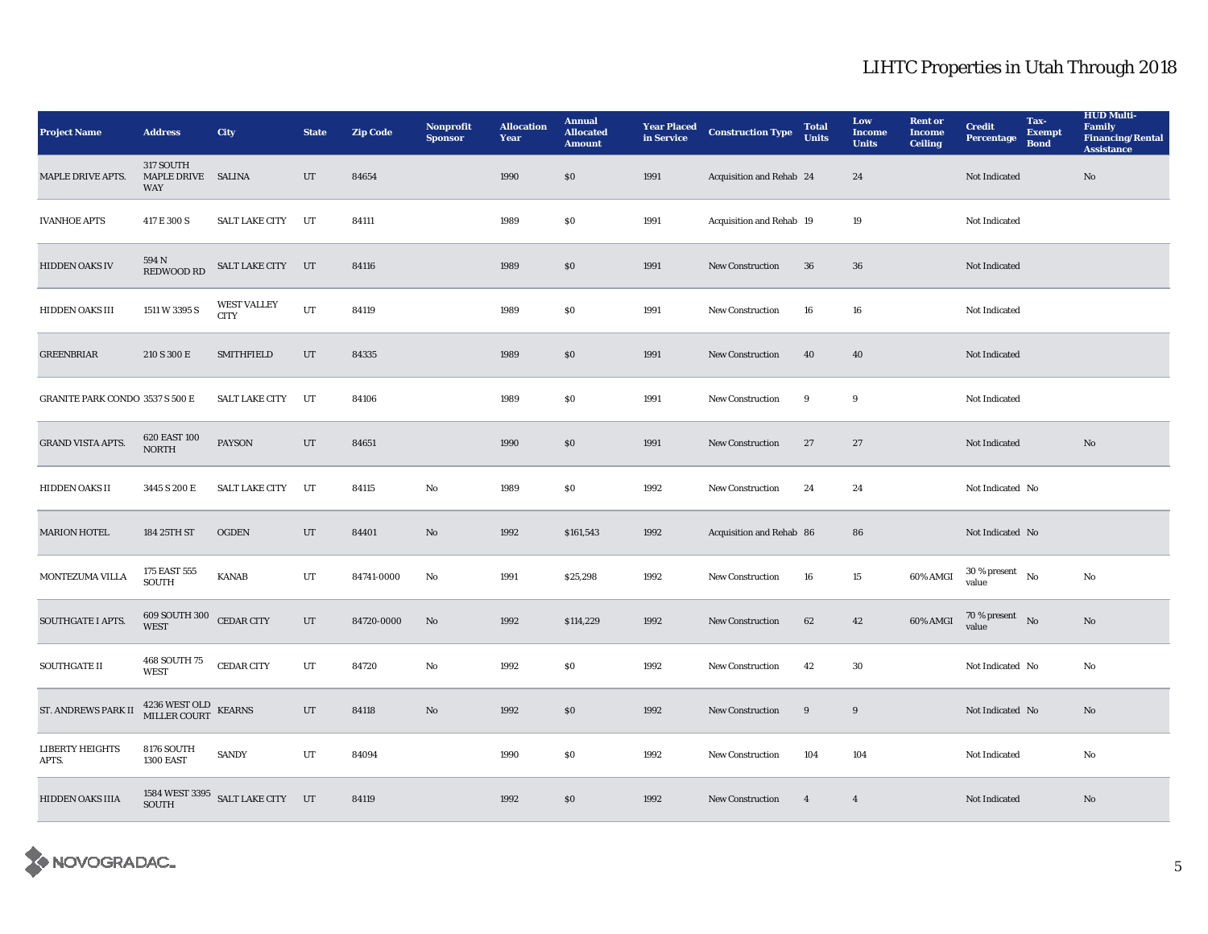| <b>Project Name</b>                    | <b>Address</b>                                                       | City                              | <b>State</b> | <b>Zip Code</b> | Nonprofit<br><b>Sponsor</b> | <b>Allocation</b><br>Year | <b>Annual</b><br><b>Allocated</b><br><b>Amount</b> | <b>Year Placed</b><br>in Service | <b>Construction Type</b> | <b>Total</b><br><b>Units</b> | Low<br><b>Income</b><br><b>Units</b> | <b>Rent or</b><br><b>Income</b><br><b>Ceiling</b> | <b>Credit</b><br><b>Percentage</b>   | Tax-<br><b>Exempt</b><br><b>Bond</b> | <b>HUD Multi-</b><br><b>Family</b><br><b>Financing/Rental</b><br><b>Assistance</b> |
|----------------------------------------|----------------------------------------------------------------------|-----------------------------------|--------------|-----------------|-----------------------------|---------------------------|----------------------------------------------------|----------------------------------|--------------------------|------------------------------|--------------------------------------|---------------------------------------------------|--------------------------------------|--------------------------------------|------------------------------------------------------------------------------------|
| MAPLE DRIVE APTS.                      | 317 SOUTH<br>MAPLE DRIVE SALINA<br><b>WAY</b>                        |                                   | UT           | 84654           |                             | 1990                      | $\$0$                                              | 1991                             | Acquisition and Rehab 24 |                              | 24                                   |                                                   | Not Indicated                        |                                      | No                                                                                 |
| <b>IVANHOE APTS</b>                    | 417 E 300 S                                                          | <b>SALT LAKE CITY</b>             | UT           | 84111           |                             | 1989                      | \$0\$                                              | 1991                             | Acquisition and Rehab 19 |                              | 19                                   |                                                   | Not Indicated                        |                                      |                                                                                    |
| <b>HIDDEN OAKS IV</b>                  | 594 N<br>REDWOOD RD                                                  | SALT LAKE CITY UT                 |              | 84116           |                             | 1989                      | \$0\$                                              | 1991                             | <b>New Construction</b>  | 36                           | ${\bf 36}$                           |                                                   | Not Indicated                        |                                      |                                                                                    |
| HIDDEN OAKS III                        | 1511 W 3395 S                                                        | <b>WEST VALLEY</b><br><b>CITY</b> | UT           | 84119           |                             | 1989                      | \$0\$                                              | 1991                             | New Construction         | 16                           | 16                                   |                                                   | Not Indicated                        |                                      |                                                                                    |
| <b>GREENBRIAR</b>                      | 210 S 300 E                                                          | <b>SMITHFIELD</b>                 | UT           | 84335           |                             | 1989                      | \$0\$                                              | 1991                             | <b>New Construction</b>  | 40                           | 40                                   |                                                   | Not Indicated                        |                                      |                                                                                    |
| <b>GRANITE PARK CONDO 3537 S 500 E</b> |                                                                      | <b>SALT LAKE CITY</b>             | UT           | 84106           |                             | 1989                      | $\$0$                                              | 1991                             | <b>New Construction</b>  | 9                            | $\boldsymbol{9}$                     |                                                   | Not Indicated                        |                                      |                                                                                    |
| <b>GRAND VISTA APTS.</b>               | 620 EAST 100<br><b>NORTH</b>                                         | PAYSON                            | UT           | 84651           |                             | 1990                      | \$0\$                                              | 1991                             | New Construction         | 27                           | 27                                   |                                                   | Not Indicated                        |                                      | No                                                                                 |
| HIDDEN OAKS II                         | 3445 S 200 E                                                         | <b>SALT LAKE CITY</b>             | UT           | 84115           | No                          | 1989                      | \$0\$                                              | 1992                             | <b>New Construction</b>  | 24                           | 24                                   |                                                   | Not Indicated No                     |                                      |                                                                                    |
| <b>MARION HOTEL</b>                    | 184 25TH ST                                                          | <b>OGDEN</b>                      | UT           | 84401           | $\mathbf{N}\mathbf{o}$      | 1992                      | \$161,543                                          | 1992                             | Acquisition and Rehab 86 |                              | 86                                   |                                                   | Not Indicated No                     |                                      |                                                                                    |
| MONTEZUMA VILLA                        | 175 EAST 555<br><b>SOUTH</b>                                         | <b>KANAB</b>                      | UT           | 84741-0000      | No                          | 1991                      | \$25,298                                           | 1992                             | <b>New Construction</b>  | 16                           | 15                                   | 60% AMGI                                          | $30$ % present $\hbox{~No}$<br>value |                                      | $\mathbf{No}$                                                                      |
| <b>SOUTHGATE I APTS.</b>               | 609 SOUTH 300<br><b>WEST</b>                                         | <b>CEDAR CITY</b>                 | UT           | 84720-0000      | No                          | 1992                      | \$114,229                                          | 1992                             | <b>New Construction</b>  | 62                           | 42                                   | 60% AMGI                                          | 70 % present $\hbox{No}$<br>value    |                                      | No                                                                                 |
| SOUTHGATE II                           | 468 SOUTH 75<br><b>WEST</b>                                          | <b>CEDAR CITY</b>                 | UT           | 84720           | No                          | 1992                      | \$0\$                                              | 1992                             | New Construction         | 42                           | $30\,$                               |                                                   | Not Indicated No                     |                                      | No                                                                                 |
| ST. ANDREWS PARK II                    | $4236\text{ WEST OLD} \over \text{MILLER COURT} \over \text{KEARNS}$ |                                   | $_{\rm UT}$  | 84118           | $\mathbf{No}$               | 1992                      | \$0\$                                              | 1992                             | <b>New Construction</b>  | 9                            | 9                                    |                                                   | Not Indicated No                     |                                      | No                                                                                 |
| <b>LIBERTY HEIGHTS</b><br>APTS.        | 8176 SOUTH<br><b>1300 EAST</b>                                       | <b>SANDY</b>                      | UT           | 84094           |                             | 1990                      | \$0\$                                              | 1992                             | <b>New Construction</b>  | 104                          | 104                                  |                                                   | Not Indicated                        |                                      | No                                                                                 |
| HIDDEN OAKS IIIA                       | <b>SOUTH</b>                                                         | 1584 WEST 3395 SALT LAKE CITY UT  |              | 84119           |                             | 1992                      | \$0\$                                              | 1992                             | New Construction         | $\overline{4}$               | $\overline{4}$                       |                                                   | Not Indicated                        |                                      | $\rm No$                                                                           |

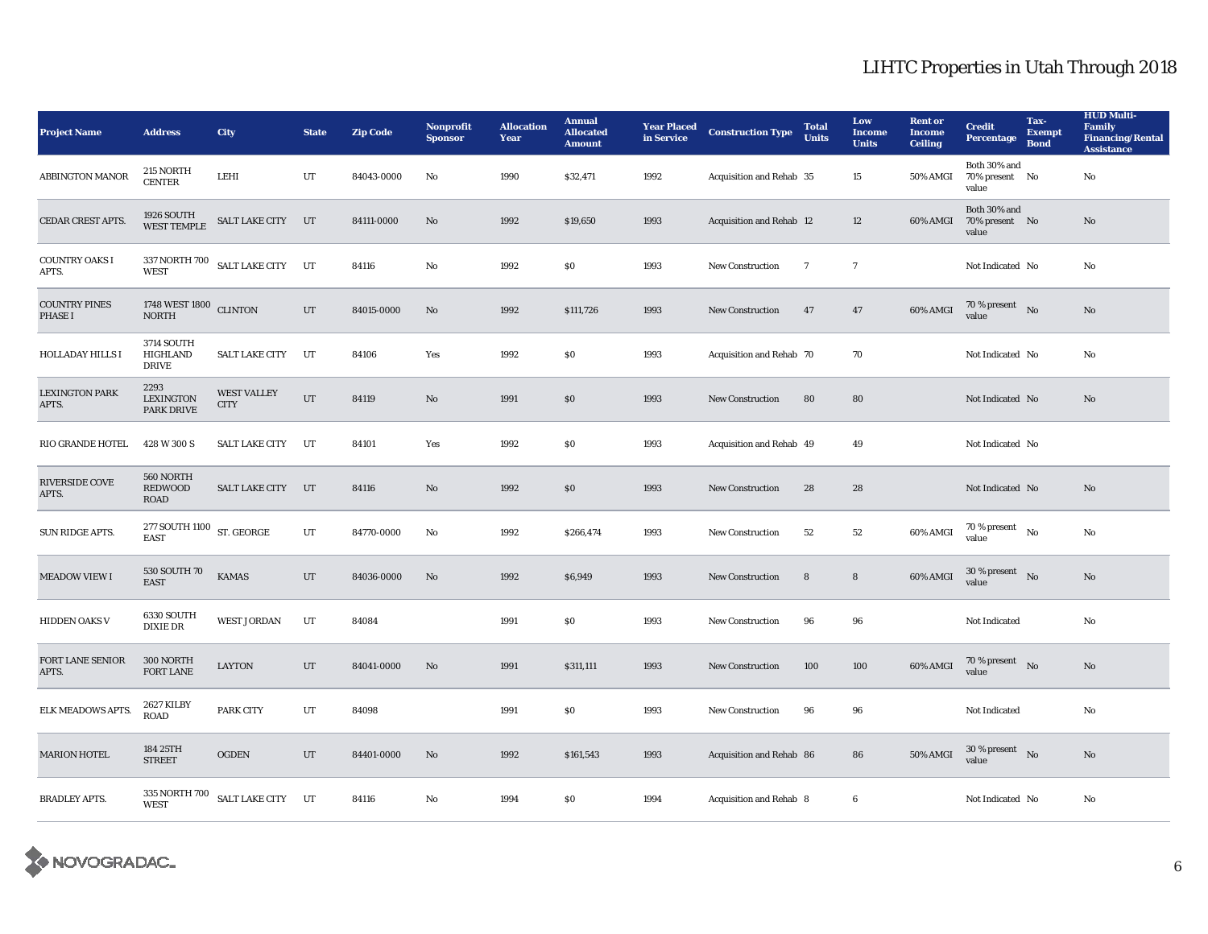| <b>Project Name</b>                    | <b>Address</b>                                | <b>City</b>                       | <b>State</b> | <b>Zip Code</b> | <b>Nonprofit</b><br><b>Sponsor</b> | <b>Allocation</b><br>Year | <b>Annual</b><br><b>Allocated</b><br><b>Amount</b> | <b>Year Placed</b><br>in Service | <b>Construction Type</b> | <b>Total</b><br><b>Units</b> | Low<br><b>Income</b><br><b>Units</b> | <b>Rent or</b><br><b>Income</b><br><b>Ceiling</b> | <b>Credit</b><br><b>Percentage</b>          | Tax-<br><b>Exempt</b><br><b>Bond</b> | <b>HUD Multi-</b><br>Family<br><b>Financing/Rental</b><br><b>Assistance</b> |
|----------------------------------------|-----------------------------------------------|-----------------------------------|--------------|-----------------|------------------------------------|---------------------------|----------------------------------------------------|----------------------------------|--------------------------|------------------------------|--------------------------------------|---------------------------------------------------|---------------------------------------------|--------------------------------------|-----------------------------------------------------------------------------|
| <b>ABBINGTON MANOR</b>                 | 215 NORTH<br><b>CENTER</b>                    | LEHI                              | UT           | 84043-0000      | No                                 | 1990                      | \$32,471                                           | 1992                             | Acquisition and Rehab 35 |                              | $15\,$                               | 50% AMGI                                          | Both 30% and<br>70% present No<br>value     |                                      | No                                                                          |
| <b>CEDAR CREST APTS.</b>               | <b>1926 SOUTH</b><br><b>WEST TEMPLE</b>       | <b>SALT LAKE CITY</b>             | UT           | 84111-0000      | No                                 | 1992                      | \$19,650                                           | 1993                             | Acquisition and Rehab 12 |                              | 12                                   | 60% AMGI                                          | Both 30% and<br>70% present No<br>value     |                                      | No                                                                          |
| <b>COUNTRY OAKS I</b><br>APTS.         | <b>WEST</b>                                   | 337 NORTH 700 SALT LAKE CITY UT   |              | 84116           | No                                 | 1992                      | $\$0$                                              | 1993                             | New Construction         | $\overline{7}$               | $\overline{7}$                       |                                                   | Not Indicated No                            |                                      | No                                                                          |
| <b>COUNTRY PINES</b><br><b>PHASE I</b> | 1748 WEST 1800 CLINTON<br><b>NORTH</b>        |                                   | UT           | 84015-0000      | No                                 | 1992                      | \$111,726                                          | 1993                             | New Construction         | 47                           | 47                                   | 60% AMGI                                          | $70\,\%$ present $$$ No value               |                                      | No                                                                          |
| <b>HOLLADAY HILLS I</b>                | <b>3714 SOUTH</b><br>HIGHLAND<br><b>DRIVE</b> | <b>SALT LAKE CITY</b>             | UT           | 84106           | Yes                                | 1992                      | \$0\$                                              | 1993                             | Acquisition and Rehab 70 |                              | 70                                   |                                                   | Not Indicated No                            |                                      | No                                                                          |
| <b>LEXINGTON PARK</b><br>APTS.         | 2293<br><b>LEXINGTON</b><br><b>PARK DRIVE</b> | <b>WEST VALLEY</b><br><b>CITY</b> | UT           | 84119           | No                                 | 1991                      | \$0\$                                              | 1993                             | <b>New Construction</b>  | 80                           | 80                                   |                                                   | Not Indicated No                            |                                      | No                                                                          |
| RIO GRANDE HOTEL                       | 428 W 300 S                                   | <b>SALT LAKE CITY</b>             | UT           | 84101           | Yes                                | 1992                      | $\$0$                                              | 1993                             | Acquisition and Rehab 49 |                              | 49                                   |                                                   | Not Indicated No                            |                                      |                                                                             |
| <b>RIVERSIDE COVE</b><br>APTS.         | 560 NORTH<br><b>REDWOOD</b><br><b>ROAD</b>    | SALT LAKE CITY                    | UT           | 84116           | No                                 | 1992                      | \$0\$                                              | 1993                             | <b>New Construction</b>  | 28                           | 28                                   |                                                   | Not Indicated No                            |                                      | No                                                                          |
| SUN RIDGE APTS.                        | 277 SOUTH 1100 ST. GEORGE<br><b>EAST</b>      |                                   | UT           | 84770-0000      | No                                 | 1992                      | \$266,474                                          | 1993                             | <b>New Construction</b>  | 52                           | 52                                   | 60% AMGI                                          | $70$ % present $\quad$ $_{\rm No}$<br>value |                                      | No                                                                          |
| <b>MEADOW VIEW I</b>                   | 530 SOUTH 70<br><b>EAST</b>                   | <b>KAMAS</b>                      | UT           | 84036-0000      | No                                 | 1992                      | \$6,949                                            | 1993                             | New Construction         | 8                            | 8                                    | 60% AMGI                                          | 30 % present $\bar{N}$ o<br>value           |                                      | No                                                                          |
| <b>HIDDEN OAKS V</b>                   | 6330 SOUTH<br>DIXIE DR                        | <b>WEST JORDAN</b>                | UT           | 84084           |                                    | 1991                      | $\$0$                                              | 1993                             | New Construction         | 96                           | 96                                   |                                                   | Not Indicated                               |                                      | No                                                                          |
| FORT LANE SENIOR<br>APTS.              | 300 NORTH<br><b>FORT LANE</b>                 | <b>LAYTON</b>                     | UT           | 84041-0000      | No                                 | 1991                      | \$311,111                                          | 1993                             | <b>New Construction</b>  | 100                          | 100                                  | 60% AMGI                                          | $70\,\%$ present $$$ No value               |                                      | No                                                                          |
| ELK MEADOWS APTS.                      | <b>2627 KILBY</b><br>ROAD                     | PARK CITY                         | UT           | 84098           |                                    | 1991                      | $\$0$                                              | 1993                             | New Construction         | 96                           | 96                                   |                                                   | Not Indicated                               |                                      | No                                                                          |
| <b>MARION HOTEL</b>                    | 184 25TH<br><b>STREET</b>                     | <b>OGDEN</b>                      | UT           | 84401-0000      | No                                 | 1992                      | \$161,543                                          | 1993                             | Acquisition and Rehab 86 |                              | 86                                   | <b>50% AMGI</b>                                   | $30\,\%$ present $\;$ No $\;$<br>value      |                                      | No                                                                          |
| <b>BRADLEY APTS.</b>                   | <b>WEST</b>                                   | 335 NORTH 700 SALT LAKE CITY UT   |              | 84116           | No                                 | 1994                      | \$0\$                                              | 1994                             | Acquisition and Rehab 8  |                              | 6                                    |                                                   | Not Indicated No                            |                                      | No                                                                          |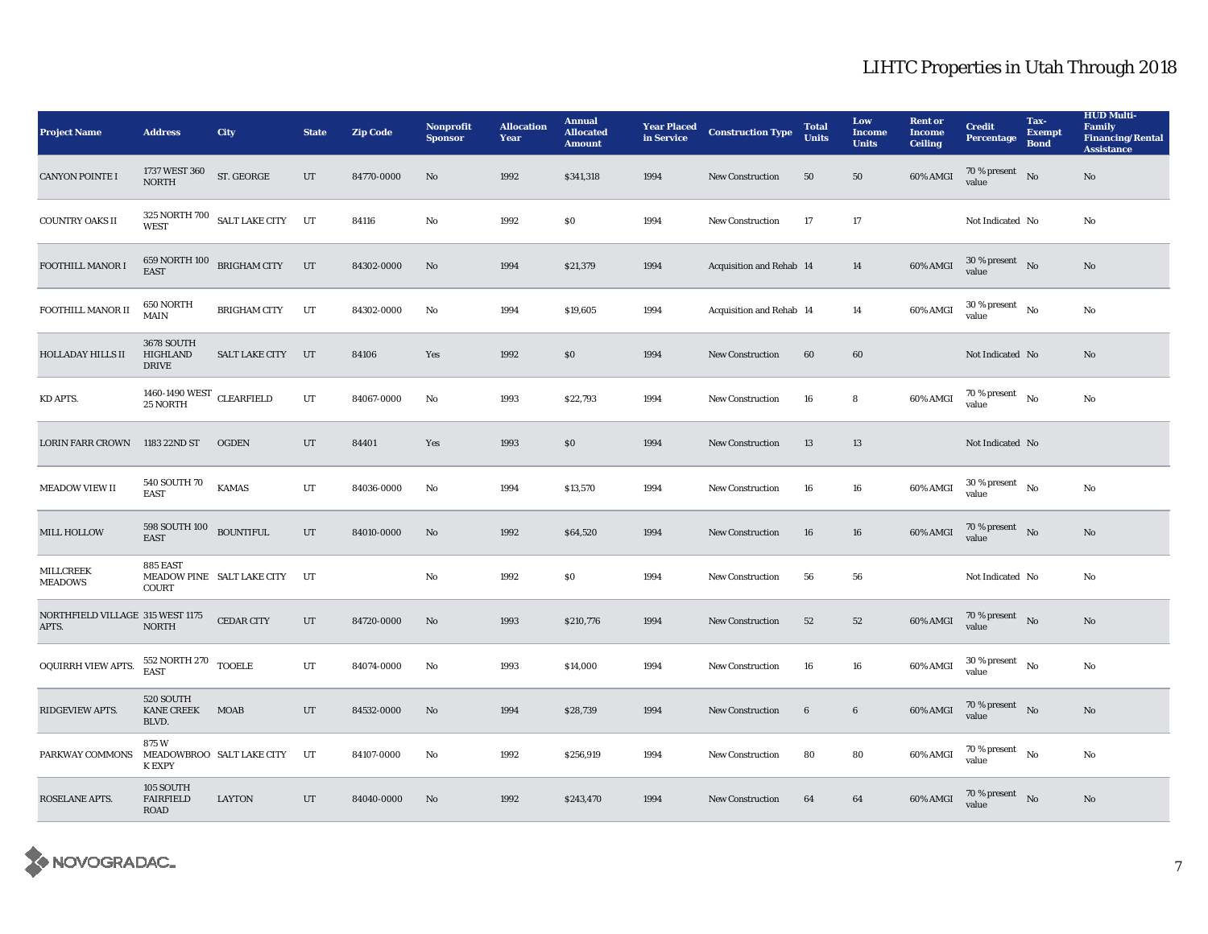| <b>Project Name</b>                       | <b>Address</b>                                                | City                                                                                                                                                                                                                                                                                                                                                                                                                                                                           | <b>State</b> | <b>Zip Code</b> | Nonprofit<br><b>Sponsor</b> | <b>Allocation</b><br>Year | <b>Annual</b><br><b>Allocated</b><br><b>Amount</b> | <b>Year Placed</b><br>in Service | <b>Construction Type</b> | <b>Total</b><br><b>Units</b> | Low<br><b>Income</b><br><b>Units</b> | <b>Rent or</b><br><b>Income</b><br><b>Ceiling</b> | <b>Credit</b><br><b>Percentage</b>         | Tax-<br><b>Exempt</b><br><b>Bond</b> | <b>HUD Multi-</b><br>Family<br><b>Financing/Rental</b><br><b>Assistance</b> |
|-------------------------------------------|---------------------------------------------------------------|--------------------------------------------------------------------------------------------------------------------------------------------------------------------------------------------------------------------------------------------------------------------------------------------------------------------------------------------------------------------------------------------------------------------------------------------------------------------------------|--------------|-----------------|-----------------------------|---------------------------|----------------------------------------------------|----------------------------------|--------------------------|------------------------------|--------------------------------------|---------------------------------------------------|--------------------------------------------|--------------------------------------|-----------------------------------------------------------------------------|
| <b>CANYON POINTE I</b>                    | 1737 WEST 360<br><b>NORTH</b>                                 | ST. GEORGE                                                                                                                                                                                                                                                                                                                                                                                                                                                                     | UT           | 84770-0000      | No                          | 1992                      | \$341,318                                          | 1994                             | <b>New Construction</b>  | 50                           | 50                                   | 60% AMGI                                          | 70 % present<br>value                      | N <sub>0</sub>                       | No                                                                          |
| <b>COUNTRY OAKS II</b>                    | <b>WEST</b>                                                   | $\begin{tabular}{ll} 325$ NORTH 700}\\ \begin{tabular}{ll} \multicolumn{2}{l}{\textbf{SALT LAKE CITY}}\\ \multicolumn{2}{l}{\textbf{CATT}}\\ \multicolumn{2}{l}{\textbf{ALT LAKE CITY}}\\ \multicolumn{2}{l}{\textbf{SALT LAKE CITY}}\\ \multicolumn{2}{l}{\textbf{AKT}}\\ \multicolumn{2}{l}{\textbf{AKT}}\\ \multicolumn{2}{l}{\textbf{AKT}}\\ \multicolumn{2}{l}{\textbf{AKT}}\\ \multicolumn{2}{l}{\textbf{AKT}}\\ \multicolumn{2}{l}{\textbf{AKT}}\\ \multicolumn{2}{l}{$ |              | 84116           | No                          | 1992                      | $\$0$                                              | 1994                             | New Construction         | 17                           | $17\,$                               |                                                   | Not Indicated No                           |                                      | No                                                                          |
| FOOTHILL MANOR I                          | <b>EAST</b>                                                   | $659$ NORTH $100\quad$ BRIGHAM CITY                                                                                                                                                                                                                                                                                                                                                                                                                                            | UT           | 84302-0000      | $\rm No$                    | 1994                      | \$21,379                                           | 1994                             | Acquisition and Rehab 14 |                              | 14                                   | 60% AMGI                                          | 30 % present $N_0$<br>value                |                                      | No                                                                          |
| FOOTHILL MANOR II                         | 650 NORTH<br><b>MAIN</b>                                      | <b>BRIGHAM CITY</b>                                                                                                                                                                                                                                                                                                                                                                                                                                                            | UT           | 84302-0000      | No                          | 1994                      | \$19,605                                           | 1994                             | Acquisition and Rehab 14 |                              | 14                                   | 60% AMGI                                          | $30$ % present $\hbox{~No}$<br>value       |                                      | No                                                                          |
| <b>HOLLADAY HILLS II</b>                  | <b>3678 SOUTH</b><br>HIGHLAND<br><b>DRIVE</b>                 | <b>SALT LAKE CITY</b>                                                                                                                                                                                                                                                                                                                                                                                                                                                          | UT           | 84106           | Yes                         | 1992                      | \$0\$                                              | 1994                             | <b>New Construction</b>  | 60                           | 60                                   |                                                   | Not Indicated No                           |                                      | No                                                                          |
| KD APTS.                                  | 1460-1490 WEST CLEARFIELD<br>25 NORTH                         |                                                                                                                                                                                                                                                                                                                                                                                                                                                                                | UT           | 84067-0000      | No                          | 1993                      | \$22,793                                           | 1994                             | <b>New Construction</b>  | 16                           | 8                                    | 60% AMGI                                          | $70$ % present $_{\, \rm No}$<br>value     |                                      | No                                                                          |
| LORIN FARR CROWN 1183 22ND ST             |                                                               | <b>OGDEN</b>                                                                                                                                                                                                                                                                                                                                                                                                                                                                   | $_{\rm UT}$  | 84401           | Yes                         | 1993                      | \$0\$                                              | 1994                             | <b>New Construction</b>  | 13                           | 13                                   |                                                   | Not Indicated No                           |                                      |                                                                             |
| <b>MEADOW VIEW II</b>                     | 540 SOUTH 70<br><b>EAST</b>                                   | <b>KAMAS</b>                                                                                                                                                                                                                                                                                                                                                                                                                                                                   | UT           | 84036-0000      | No                          | 1994                      | \$13,570                                           | 1994                             | <b>New Construction</b>  | 16                           | 16                                   | 60% AMGI                                          | $30$ % present $\hbox{~No}$<br>value       |                                      | No                                                                          |
| MILL HOLLOW                               | $598$ SOUTH $100$ $_{\hbox{\small BOUNTIFUL}}$<br><b>EAST</b> |                                                                                                                                                                                                                                                                                                                                                                                                                                                                                | UT           | 84010-0000      | No                          | 1992                      | \$64,520                                           | 1994                             | <b>New Construction</b>  | 16                           | 16                                   | 60% AMGI                                          | 70 % present $N0$<br>value                 |                                      | No                                                                          |
| <b>MILLCREEK</b><br><b>MEADOWS</b>        | 885 EAST<br>COURT                                             | MEADOW PINE SALT LAKE CITY                                                                                                                                                                                                                                                                                                                                                                                                                                                     | UT           |                 | No                          | 1992                      | \$0\$                                              | 1994                             | <b>New Construction</b>  | 56                           | 56                                   |                                                   | Not Indicated No                           |                                      | No                                                                          |
| NORTHFIELD VILLAGE 315 WEST 1175<br>APTS. | <b>NORTH</b>                                                  | <b>CEDAR CITY</b>                                                                                                                                                                                                                                                                                                                                                                                                                                                              | UT           | 84720-0000      | No                          | 1993                      | \$210,776                                          | 1994                             | <b>New Construction</b>  | 52                           | 52                                   | 60% AMGI                                          | $70\,\%$ present $$$ No $\,$<br>value      |                                      | No                                                                          |
| OQUIRRH VIEW APTS.                        | $552$ NORTH $270$ $\,$ TOOELE EAST                            |                                                                                                                                                                                                                                                                                                                                                                                                                                                                                | UT           | 84074-0000      | No                          | 1993                      | \$14,000                                           | 1994                             | <b>New Construction</b>  | 16                           | 16                                   | 60% AMGI                                          | $30$ % present $_{\rm{No}}$<br>value       |                                      | No                                                                          |
| RIDGEVIEW APTS.                           | 520 SOUTH<br><b>KANE CREEK</b><br>BLVD.                       | <b>MOAB</b>                                                                                                                                                                                                                                                                                                                                                                                                                                                                    | UT           | 84532-0000      | No                          | 1994                      | \$28,739                                           | 1994                             | New Construction         | 6                            | $\boldsymbol{6}$                     | 60% AMGI                                          | 70 % present $\hbox{No}$<br>value          |                                      | $\mathbf{N}\mathbf{o}$                                                      |
| PARKWAY COMMONS                           | 875W<br><b>K EXPY</b>                                         | MEADOWBROO SALT LAKE CITY                                                                                                                                                                                                                                                                                                                                                                                                                                                      | UT           | 84107-0000      | No                          | 1992                      | \$256,919                                          | 1994                             | New Construction         | 80                           | 80                                   | 60% AMGI                                          | $70$ % present $\quad$ No $\quad$<br>value |                                      | No                                                                          |
| <b>ROSELANE APTS.</b>                     | 105 SOUTH<br><b>FAIRFIELD</b><br><b>ROAD</b>                  | LAYTON                                                                                                                                                                                                                                                                                                                                                                                                                                                                         | UT           | 84040-0000      | No                          | 1992                      | \$243,470                                          | 1994                             | <b>New Construction</b>  | 64                           | 64                                   | 60% AMGI                                          | $70$ % present $\;\;$ No $\;$<br>value     |                                      | No                                                                          |

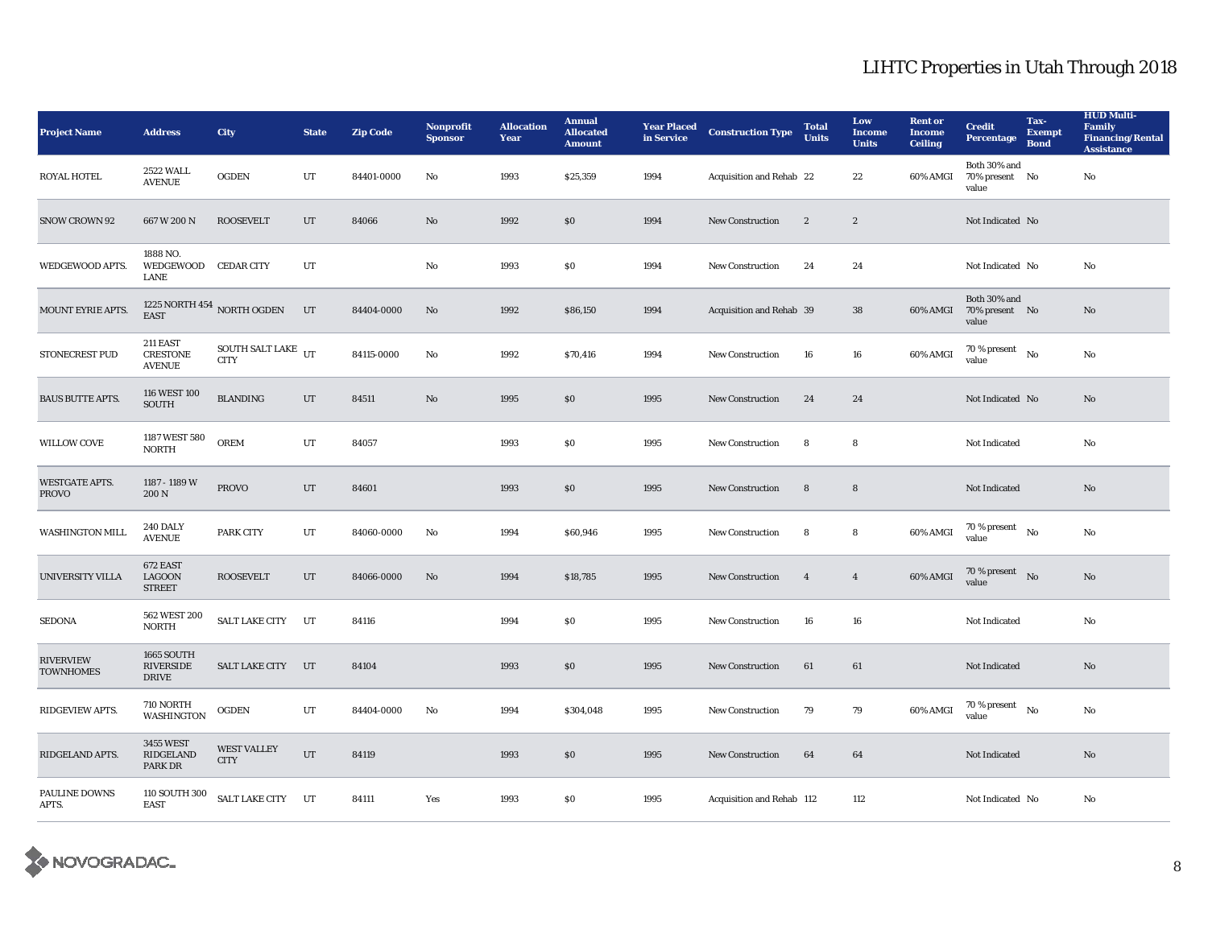| <b>Project Name</b>                   | <b>Address</b>                                  | <b>City</b>                                 | <b>State</b> | <b>Zip Code</b> | <b>Nonprofit</b><br><b>Sponsor</b> | <b>Allocation</b><br>Year | <b>Annual</b><br><b>Allocated</b><br><b>Amount</b> | <b>Year Placed<br/>in Service</b> | <b>Construction Type</b>  | <b>Total</b><br><b>Units</b> | Low<br><b>Income</b><br><b>Units</b> | <b>Rent or</b><br><b>Income</b><br><b>Ceiling</b> | <b>Credit</b><br><b>Percentage</b>         | Tax-<br><b>Exempt</b><br><b>Bond</b> | <b>HUD Multi-</b><br>Family<br><b>Financing/Rental</b><br><b>Assistance</b> |
|---------------------------------------|-------------------------------------------------|---------------------------------------------|--------------|-----------------|------------------------------------|---------------------------|----------------------------------------------------|-----------------------------------|---------------------------|------------------------------|--------------------------------------|---------------------------------------------------|--------------------------------------------|--------------------------------------|-----------------------------------------------------------------------------|
| <b>ROYAL HOTEL</b>                    | 2522 WALL<br><b>AVENUE</b>                      | <b>OGDEN</b>                                | UT           | 84401-0000      | No                                 | 1993                      | \$25,359                                           | 1994                              | Acquisition and Rehab 22  |                              | 22                                   | 60% AMGI                                          | Both 30% and<br>70% present No<br>value    |                                      | No                                                                          |
| <b>SNOW CROWN 92</b>                  | 667 W 200 N                                     | <b>ROOSEVELT</b>                            | UT           | 84066           | No                                 | 1992                      | \$0\$                                              | 1994                              | <b>New Construction</b>   | $\boldsymbol{2}$             | $\boldsymbol{2}$                     |                                                   | Not Indicated No                           |                                      |                                                                             |
| WEDGEWOOD APTS.                       | 1888 NO.<br>WEDGEWOOD CEDAR CITY<br><b>LANE</b> |                                             | UT           |                 | No                                 | 1993                      | \$0\$                                              | 1994                              | New Construction          | 24                           | 24                                   |                                                   | Not Indicated No                           |                                      | No                                                                          |
| MOUNT EYRIE APTS.                     | <b>EAST</b>                                     | 1225 NORTH $454\,$ NORTH OGDEN              | UT           | 84404-0000      | No                                 | 1992                      | \$86,150                                           | 1994                              | Acquisition and Rehab 39  |                              | 38                                   | 60% AMGI                                          | Both 30% and<br>70% present No<br>value    |                                      | No                                                                          |
| <b>STONECREST PUD</b>                 | 211 EAST<br><b>CRESTONE</b><br><b>AVENUE</b>    | SOUTH SALT LAKE $_{\rm{UT}}$<br><b>CITY</b> |              | 84115-0000      | $\mathbf{No}$                      | 1992                      | \$70,416                                           | 1994                              | <b>New Construction</b>   | 16                           | 16                                   | 60% AMGI                                          | $70$ % present $\quad$ No $\quad$<br>value |                                      | No                                                                          |
| <b>BAUS BUTTE APTS.</b>               | 116 WEST 100<br><b>SOUTH</b>                    | <b>BLANDING</b>                             | UT           | 84511           | $\mathbf{N}\mathbf{o}$             | 1995                      | $\$0$                                              | 1995                              | <b>New Construction</b>   | 24                           | 24                                   |                                                   | Not Indicated No                           |                                      | No                                                                          |
| WILLOW COVE                           | 1187 WEST 580<br><b>NORTH</b>                   | <b>OREM</b>                                 | UT           | 84057           |                                    | 1993                      | $\$0$                                              | 1995                              | New Construction          | 8                            | 8                                    |                                                   | Not Indicated                              |                                      | No                                                                          |
| <b>WESTGATE APTS.</b><br><b>PROVO</b> | 1187 - 1189 W<br>200 N                          | <b>PROVO</b>                                | UT           | 84601           |                                    | 1993                      | \$0\$                                              | 1995                              | New Construction          | 8                            | 8                                    |                                                   | Not Indicated                              |                                      | No                                                                          |
| <b>WASHINGTON MILL</b>                | <b>240 DALY</b><br><b>AVENUE</b>                | <b>PARK CITY</b>                            | UT           | 84060-0000      | No                                 | 1994                      | \$60,946                                           | 1995                              | New Construction          | 8                            | 8                                    | 60% AMGI                                          | $70$ % present $$_{\rm No}$$<br>value      |                                      | No                                                                          |
| UNIVERSITY VILLA                      | 672 EAST<br><b>LAGOON</b><br><b>STREET</b>      | <b>ROOSEVELT</b>                            | UT           | 84066-0000      | No                                 | 1994                      | \$18,785                                           | 1995                              | <b>New Construction</b>   | $\overline{4}$               | $\overline{4}$                       | 60% AMGI                                          | 70 % present $\hbox{No}$<br>value          |                                      | No                                                                          |
| <b>SEDONA</b>                         | 562 WEST 200<br><b>NORTH</b>                    | SALT LAKE CITY                              | UT           | 84116           |                                    | 1994                      | \$0\$                                              | 1995                              | <b>New Construction</b>   | 16                           | 16                                   |                                                   | Not Indicated                              |                                      | No                                                                          |
| <b>RIVERVIEW</b><br><b>TOWNHOMES</b>  | 1665 SOUTH<br>RIVERSIDE<br><b>DRIVE</b>         | <b>SALT LAKE CITY</b>                       | UT           | 84104           |                                    | 1993                      | $\$0$                                              | 1995                              | New Construction          | 61                           | 61                                   |                                                   | Not Indicated                              |                                      | No                                                                          |
| RIDGEVIEW APTS.                       | 710 NORTH<br><b>WASHINGTON</b>                  | <b>OGDEN</b>                                | UT           | 84404-0000      | No                                 | 1994                      | \$304,048                                          | 1995                              | <b>New Construction</b>   | 79                           | 79                                   | 60% AMGI                                          | $70$ % present $\quad$ No $\quad$<br>value |                                      | No                                                                          |
| RIDGELAND APTS.                       | <b>3455 WEST</b><br>RIDGELAND<br>PARK DR        | <b>WEST VALLEY</b><br><b>CITY</b>           | UT           | 84119           |                                    | 1993                      | $\$0$                                              | 1995                              | <b>New Construction</b>   | 64                           | 64                                   |                                                   | Not Indicated                              |                                      | No                                                                          |
| <b>PAULINE DOWNS</b><br>APTS.         | 110 SOUTH 300<br><b>EAST</b>                    | SALT LAKE CITY UT                           |              | 84111           | Yes                                | 1993                      | \$0\$                                              | 1995                              | Acquisition and Rehab 112 |                              | 112                                  |                                                   | Not Indicated No                           |                                      | No                                                                          |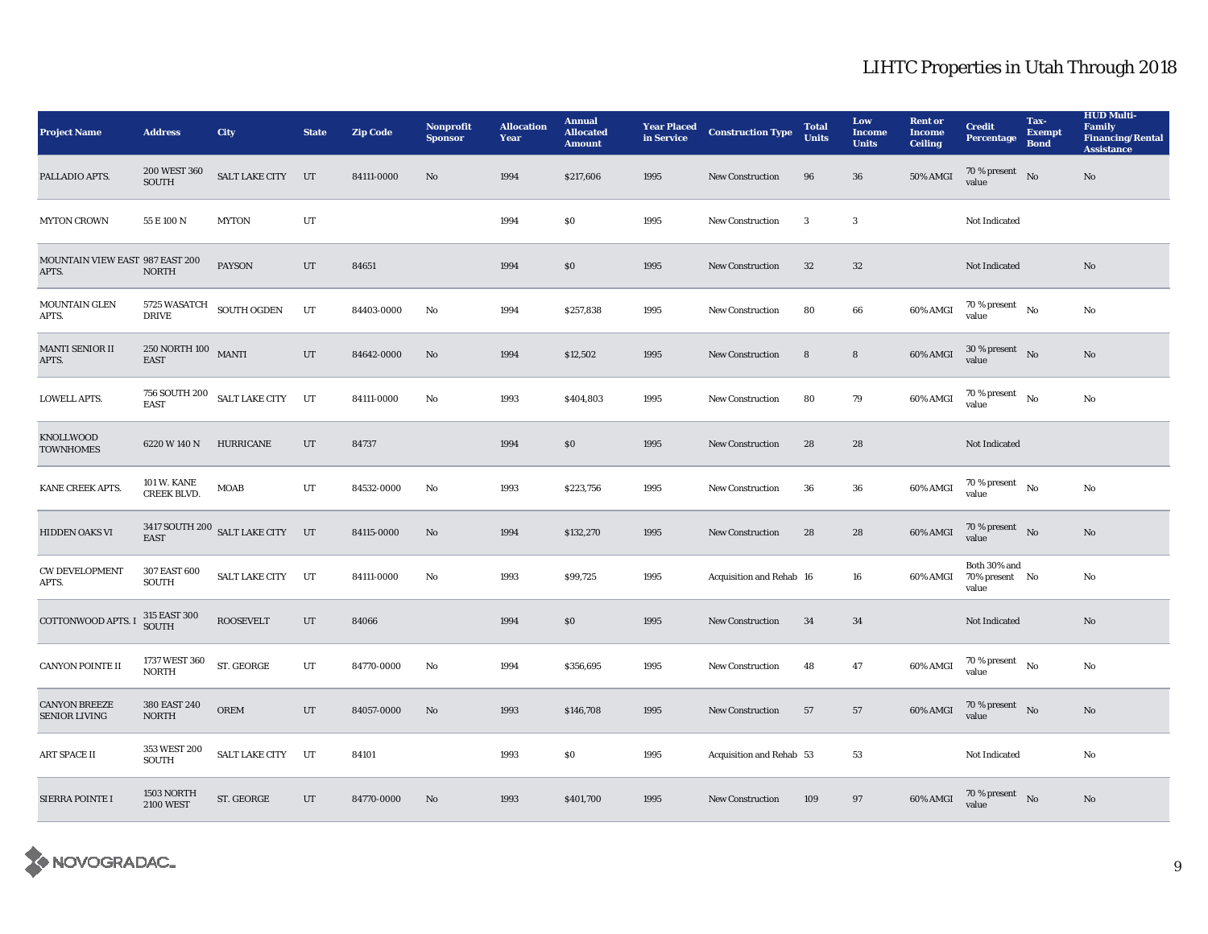| <b>Project Name</b>                          | <b>Address</b>                           | <b>City</b>                      | <b>State</b> | <b>Zip Code</b> | <b>Nonprofit</b><br><b>Sponsor</b> | <b>Allocation</b><br>Year | <b>Annual</b><br><b>Allocated</b><br><b>Amount</b> | <b>Year Placed</b><br>in Service | <b>Construction Type</b> | <b>Total</b><br><b>Units</b> | Low<br><b>Income</b><br><b>Units</b> | <b>Rent or</b><br><b>Income</b><br><b>Ceiling</b> | <b>Credit</b><br><b>Percentage</b>          | Tax-<br><b>Exempt</b><br><b>Bond</b> | <b>HUD Multi-</b><br><b>Family</b><br><b>Financing/Rental</b><br><b>Assistance</b> |
|----------------------------------------------|------------------------------------------|----------------------------------|--------------|-----------------|------------------------------------|---------------------------|----------------------------------------------------|----------------------------------|--------------------------|------------------------------|--------------------------------------|---------------------------------------------------|---------------------------------------------|--------------------------------------|------------------------------------------------------------------------------------|
| PALLADIO APTS.                               | 200 WEST 360<br>SOUTH                    | SALT LAKE CITY UT                |              | 84111-0000      | $\mathbf{No}$                      | 1994                      | \$217,606                                          | 1995                             | <b>New Construction</b>  | 96                           | 36                                   | 50% AMGI                                          | 70 % present<br>value                       | No                                   | $\rm No$                                                                           |
| <b>MYTON CROWN</b>                           | 55 E 100 N                               | <b>MYTON</b>                     | UT           |                 |                                    | 1994                      | \$0\$                                              | 1995                             | <b>New Construction</b>  | $\boldsymbol{\cdot}$         | 3                                    |                                                   | Not Indicated                               |                                      |                                                                                    |
| MOUNTAIN VIEW EAST 987 EAST 200<br>APTS.     | <b>NORTH</b>                             | <b>PAYSON</b>                    | $_{\rm UT}$  | 84651           |                                    | 1994                      | \$0\$                                              | 1995                             | New Construction         | $32\,$                       | $32\,$                               |                                                   | Not Indicated                               |                                      | No                                                                                 |
| <b>MOUNTAIN GLEN</b><br>APTS.                | <b>5725 WASATCH</b><br><b>DRIVE</b>      | SOUTH OGDEN                      | UT           | 84403-0000      | No                                 | 1994                      | \$257,838                                          | 1995                             | <b>New Construction</b>  | 80                           | 66                                   | 60% AMGI                                          | $70$ % present $\quad$ No $\quad$<br>value  |                                      | No                                                                                 |
| MANTI SENIOR II<br>APTS.                     | 250 NORTH 100 MANTI<br><b>EAST</b>       |                                  | UT           | 84642-0000      | No                                 | 1994                      | \$12,502                                           | 1995                             | <b>New Construction</b>  | 8                            | 8                                    | 60% AMGI                                          | $30\%$ present No<br>value                  |                                      | No                                                                                 |
| <b>LOWELL APTS.</b>                          | <b>EAST</b>                              | 756 SOUTH 200 SALT LAKE CITY UT  |              | 84111-0000      | No                                 | 1993                      | \$404,803                                          | 1995                             | <b>New Construction</b>  | 80                           | $79\,$                               | 60% AMGI                                          | $70$ % present $\quad$ $_{\rm No}$<br>value |                                      | No                                                                                 |
| <b>KNOLLWOOD</b><br><b>TOWNHOMES</b>         | 6220 W 140 N                             | HURRICANE                        | UT           | 84737           |                                    | 1994                      | \$0\$                                              | 1995                             | <b>New Construction</b>  | 28                           | 28                                   |                                                   | Not Indicated                               |                                      |                                                                                    |
| KANE CREEK APTS.                             | <b>101 W. KANE</b><br><b>CREEK BLVD.</b> | <b>MOAB</b>                      | UT           | 84532-0000      | No                                 | 1993                      | \$223,756                                          | 1995                             | New Construction         | ${\bf 36}$                   | 36                                   | 60% AMGI                                          | $70$ % present $\quad$ No $\quad$<br>value  |                                      | No                                                                                 |
| <b>HIDDEN OAKS VI</b>                        | <b>EAST</b>                              | 3417 SOUTH 200 SALT LAKE CITY UT |              | 84115-0000      | No                                 | 1994                      | \$132,270                                          | 1995                             | <b>New Construction</b>  | 28                           | 28                                   | 60% AMGI                                          | 70 % present $\bar{N}$ o<br>value           |                                      | No                                                                                 |
| <b>CW DEVELOPMENT</b><br>APTS.               | 307 EAST 600<br><b>SOUTH</b>             | SALT LAKE CITY UT                |              | 84111-0000      | No                                 | 1993                      | \$99,725                                           | 1995                             | Acquisition and Rehab 16 |                              | 16                                   | 60% AMGI                                          | Both 30% and<br>70% present No<br>value     |                                      | No                                                                                 |
| COTTONWOOD APTS. I                           | 315 EAST 300<br><b>SOUTH</b>             | <b>ROOSEVELT</b>                 | UT           | 84066           |                                    | 1994                      | \$0\$                                              | 1995                             | <b>New Construction</b>  | 34                           | 34                                   |                                                   | Not Indicated                               |                                      | No                                                                                 |
| <b>CANYON POINTE II</b>                      | 1737 WEST 360<br><b>NORTH</b>            | ST. GEORGE                       | UT           | 84770-0000      | No                                 | 1994                      | \$356,695                                          | 1995                             | <b>New Construction</b>  | 48                           | 47                                   | 60% AMGI                                          | $70$ % present $\quad$ $_{\rm No}$<br>value |                                      | No                                                                                 |
| <b>CANYON BREEZE</b><br><b>SENIOR LIVING</b> | 380 EAST 240<br><b>NORTH</b>             | <b>OREM</b>                      | UT           | 84057-0000      | $\mathbf{N}\mathbf{o}$             | 1993                      | \$146,708                                          | 1995                             | New Construction         | 57                           | 57                                   | 60% AMGI                                          | 70 % present $N0$<br>value                  |                                      | No                                                                                 |
| <b>ART SPACE II</b>                          | 353 WEST 200<br><b>SOUTH</b>             | <b>SALT LAKE CITY</b>            | UT           | 84101           |                                    | 1993                      | \$0\$                                              | 1995                             | Acquisition and Rehab 53 |                              | 53                                   |                                                   | Not Indicated                               |                                      | No                                                                                 |
| <b>SIERRA POINTE I</b>                       | 1503 NORTH<br><b>2100 WEST</b>           | ST. GEORGE                       | UT           | 84770-0000      | No                                 | 1993                      | \$401,700                                          | 1995                             | <b>New Construction</b>  | 109                          | 97                                   | 60% AMGI                                          | 70 % present $\sqrt{\ }$ No<br>value        |                                      | No                                                                                 |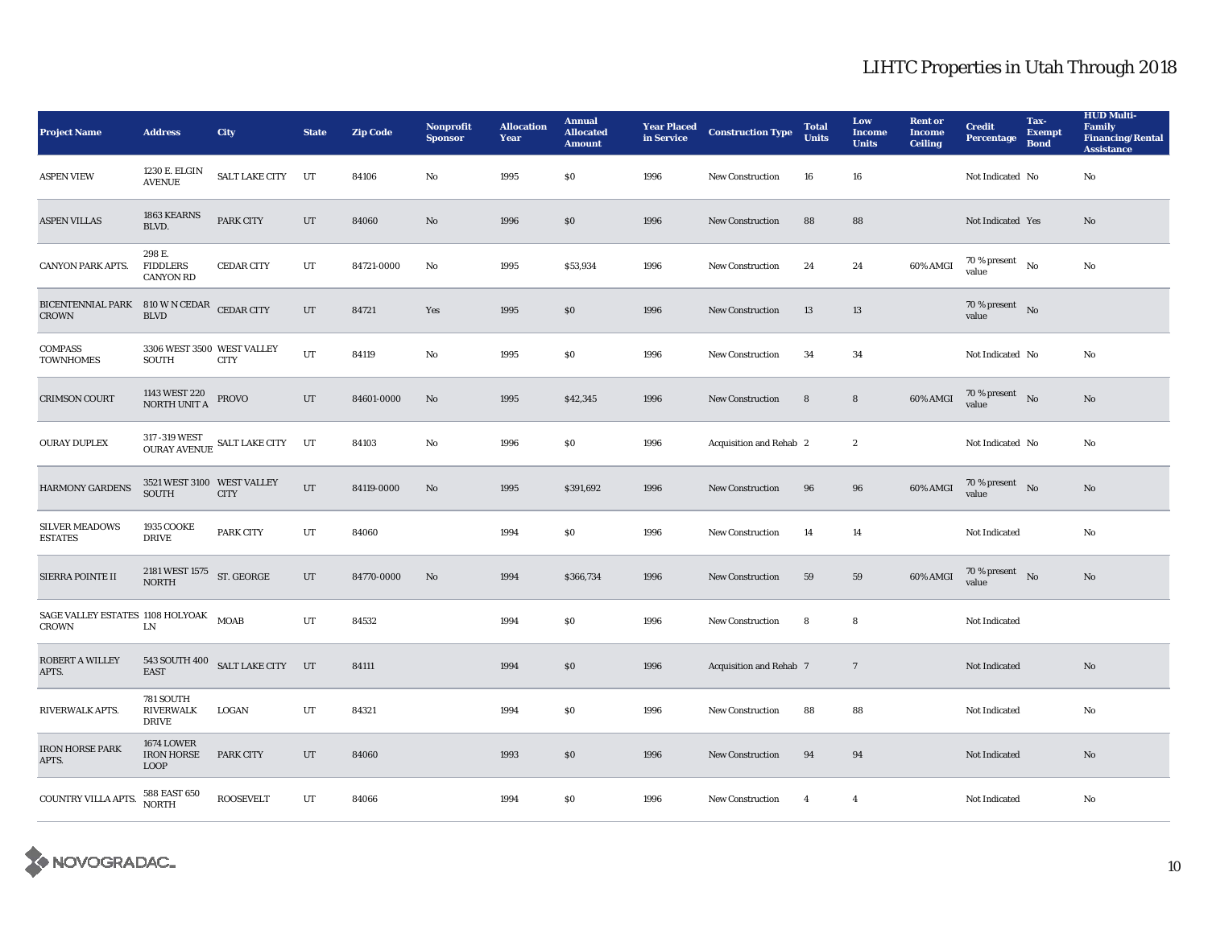| <b>Project Name</b>                                        | <b>Address</b>                                        | <b>City</b>                                                                                    | <b>State</b> | <b>Zip Code</b> | <b>Nonprofit</b><br><b>Sponsor</b> | <b>Allocation</b><br>Year | <b>Annual</b><br><b>Allocated</b><br><b>Amount</b> | <b>Year Placed</b><br>in Service | <b>Construction Type</b> | <b>Total</b><br><b>Units</b> | Low<br><b>Income</b><br><b>Units</b> | <b>Rent or</b><br><b>Income</b><br><b>Ceiling</b> | <b>Credit</b><br><b>Percentage</b>         | Tax-<br><b>Exempt</b><br><b>Bond</b> | <b>HUD Multi-</b><br>Family<br><b>Financing/Rental</b><br><b>Assistance</b> |
|------------------------------------------------------------|-------------------------------------------------------|------------------------------------------------------------------------------------------------|--------------|-----------------|------------------------------------|---------------------------|----------------------------------------------------|----------------------------------|--------------------------|------------------------------|--------------------------------------|---------------------------------------------------|--------------------------------------------|--------------------------------------|-----------------------------------------------------------------------------|
| <b>ASPEN VIEW</b>                                          | 1230 E. ELGIN<br><b>AVENUE</b>                        | SALT LAKE CITY UT                                                                              |              | 84106           | No                                 | 1995                      | \$0\$                                              | 1996                             | <b>New Construction</b>  | 16                           | 16                                   |                                                   | Not Indicated No                           |                                      | No                                                                          |
| <b>ASPEN VILLAS</b>                                        | 1863 KEARNS<br>BLVD.                                  | <b>PARK CITY</b>                                                                               | UT           | 84060           | No                                 | 1996                      | \$0                                                | 1996                             | <b>New Construction</b>  | 88                           | 88                                   |                                                   | Not Indicated Yes                          |                                      | No                                                                          |
| <b>CANYON PARK APTS.</b>                                   | 298 E.<br><b>FIDDLERS</b><br><b>CANYON RD</b>         | <b>CEDAR CITY</b>                                                                              | UT           | 84721-0000      | No                                 | 1995                      | \$53,934                                           | 1996                             | New Construction         | 24                           | 24                                   | 60% AMGI                                          | $70$ % present $\quad$ No $\quad$<br>value |                                      | No                                                                          |
| BICENTENNIAL PARK 810 W N CEDAR CEDAR CITY<br><b>CROWN</b> | <b>BLVD</b>                                           |                                                                                                | UT           | 84721           | Yes                                | 1995                      | \$0                                                | 1996                             | New Construction         | 13                           | 13                                   |                                                   | 70 % present $\bar{N}$ o<br>value          |                                      |                                                                             |
| <b>COMPASS</b><br><b>TOWNHOMES</b>                         | 3306 WEST 3500 WEST VALLEY<br><b>SOUTH</b>            | <b>CITY</b>                                                                                    | UT           | 84119           | No                                 | 1995                      | $\$0$                                              | 1996                             | New Construction         | 34                           | 34                                   |                                                   | Not Indicated No                           |                                      | No                                                                          |
| <b>CRIMSON COURT</b>                                       | 1143 WEST 220<br>NORTH UNIT A                         | PROVO                                                                                          | UT           | 84601-0000      | No                                 | 1995                      | \$42,345                                           | 1996                             | <b>New Construction</b>  | 8                            | 8                                    | 60% AMGI                                          | 70 % present $\hbox{No}$<br>value          |                                      | No                                                                          |
| <b>OURAY DUPLEX</b>                                        |                                                       | $317$ -319 WEST $$\tt SALT$ LAKE CITY $$\tt UT$$ OURAY AVENUE $$\tt SALT$ LAKE CITY $$\tt UT$$ |              | 84103           | No                                 | 1996                      | $\$0$                                              | 1996                             | Acquisition and Rehab 2  |                              | $\boldsymbol{2}$                     |                                                   | Not Indicated No                           |                                      | No                                                                          |
| <b>HARMONY GARDENS</b>                                     | 3521 WEST 3100 WEST VALLEY<br><b>SOUTH</b>            | <b>CITY</b>                                                                                    | UT           | 84119-0000      | No                                 | 1995                      | \$391,692                                          | 1996                             | <b>New Construction</b>  | 96                           | 96                                   | 60% AMGI                                          | 70 % present $\hbox{No}$<br>value          |                                      | No                                                                          |
| <b>SILVER MEADOWS</b><br><b>ESTATES</b>                    | <b>1935 COOKE</b><br><b>DRIVE</b>                     | <b>PARK CITY</b>                                                                               | UT           | 84060           |                                    | 1994                      | $\$0$                                              | 1996                             | New Construction         | 14                           | 14                                   |                                                   | Not Indicated                              |                                      | No                                                                          |
| SIERRA POINTE II                                           | 2181 WEST 1575 ST. GEORGE<br><b>NORTH</b>             |                                                                                                | UT           | 84770-0000      | No                                 | 1994                      | \$366,734                                          | 1996                             | New Construction         | 59                           | 59                                   | 60% AMGI                                          | $70\,\%$ present $$\rm{No}$$ value         |                                      | No                                                                          |
| SAGE VALLEY ESTATES 1108 HOLYOAK MOAB<br>CROWN             | LN                                                    |                                                                                                | UT           | 84532           |                                    | 1994                      | $\$0$                                              | 1996                             | <b>New Construction</b>  | 8                            | 8                                    |                                                   | Not Indicated                              |                                      |                                                                             |
| ROBERT A WILLEY<br>APTS.                                   | <b>EAST</b>                                           | 543 SOUTH 400 SALT LAKE CITY UT                                                                |              | 84111           |                                    | 1994                      | \$0\$                                              | 1996                             | Acquisition and Rehab 7  |                              | $7\phantom{.0}$                      |                                                   | Not Indicated                              |                                      | No                                                                          |
| RIVERWALK APTS.                                            | 781 SOUTH<br><b>RIVERWALK</b><br><b>DRIVE</b>         | LOGAN                                                                                          | UT           | 84321           |                                    | 1994                      | $\$0$                                              | 1996                             | New Construction         | 88                           | 88                                   |                                                   | Not Indicated                              |                                      | No                                                                          |
| <b>IRON HORSE PARK</b><br>APTS.                            | <b>1674 LOWER</b><br><b>IRON HORSE</b><br><b>LOOP</b> | <b>PARK CITY</b>                                                                               | UT           | 84060           |                                    | 1993                      | \$0                                                | 1996                             | <b>New Construction</b>  | 94                           | 94                                   |                                                   | Not Indicated                              |                                      | No                                                                          |
| COUNTRY VILLA APTS.                                        | 588 EAST 650<br>NORTH                                 | <b>ROOSEVELT</b>                                                                               | $_{\rm UT}$  | 84066           |                                    | 1994                      | $\$0$                                              | 1996                             | New Construction         | $\overline{4}$               | $\overline{4}$                       |                                                   | Not Indicated                              |                                      | No                                                                          |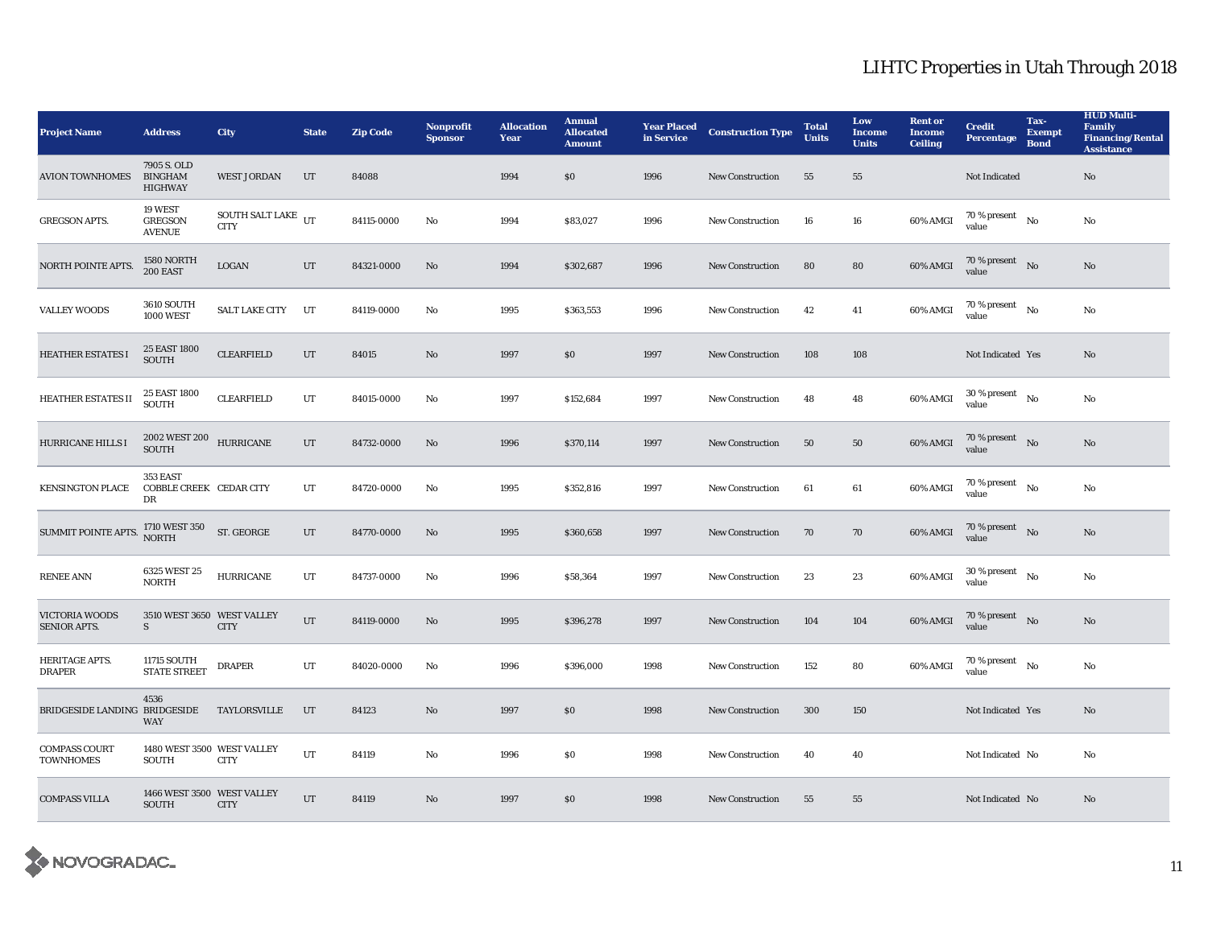| <b>Project Name</b>                          | <b>Address</b>                                    | <b>City</b>                                 | <b>State</b> | <b>Zip Code</b> | Nonprofit<br><b>Sponsor</b> | <b>Allocation</b><br>Year | <b>Annual</b><br><b>Allocated</b><br><b>Amount</b> | <b>Year Placed</b><br>in Service | <b>Construction Type</b> | <b>Total</b><br><b>Units</b> | Low<br><b>Income</b><br><b>Units</b> | <b>Rent or</b><br><b>Income</b><br><b>Ceiling</b> | <b>Credit</b><br><b>Percentage</b>         | Tax-<br><b>Exempt</b><br><b>Bond</b> | <b>HUD Multi-</b><br><b>Family</b><br><b>Financing/Rental</b><br><b>Assistance</b> |
|----------------------------------------------|---------------------------------------------------|---------------------------------------------|--------------|-----------------|-----------------------------|---------------------------|----------------------------------------------------|----------------------------------|--------------------------|------------------------------|--------------------------------------|---------------------------------------------------|--------------------------------------------|--------------------------------------|------------------------------------------------------------------------------------|
| <b>AVION TOWNHOMES</b>                       | 7905 S. OLD<br><b>BINGHAM</b><br><b>HIGHWAY</b>   | <b>WEST JORDAN</b>                          | UT           | 84088           |                             | 1994                      | \$0                                                | 1996                             | <b>New Construction</b>  | 55                           | 55                                   |                                                   | Not Indicated                              |                                      | $\rm No$                                                                           |
| <b>GREGSON APTS.</b>                         | 19 WEST<br><b>GREGSON</b><br><b>AVENUE</b>        | SOUTH SALT LAKE $_{\rm{UT}}$<br><b>CITY</b> |              | 84115-0000      | No                          | 1994                      | \$83,027                                           | 1996                             | <b>New Construction</b>  | 16                           | 16                                   | 60% AMGI                                          | $70$ % present $\quad$ No $\quad$<br>value |                                      | No                                                                                 |
| NORTH POINTE APTS.                           | 1580 NORTH<br>200 EAST                            | <b>LOGAN</b>                                | UT           | 84321-0000      | No                          | 1994                      | \$302,687                                          | 1996                             | <b>New Construction</b>  | 80                           | 80                                   | 60% AMGI                                          | $70$ % present $\;\;$ No $\;$<br>value     |                                      | No                                                                                 |
| <b>VALLEY WOODS</b>                          | <b>3610 SOUTH</b><br><b>1000 WEST</b>             | <b>SALT LAKE CITY</b>                       | UT           | 84119-0000      | No                          | 1995                      | \$363,553                                          | 1996                             | New Construction         | 42                           | 41                                   | 60% AMGI                                          | $70$ % present $\quad$ No $\quad$<br>value |                                      | $\rm No$                                                                           |
| <b>HEATHER ESTATES I</b>                     | 25 EAST 1800<br><b>SOUTH</b>                      | <b>CLEARFIELD</b>                           | UT           | 84015           | No                          | 1997                      | $\$0$                                              | 1997                             | New Construction         | 108                          | 108                                  |                                                   | Not Indicated Yes                          |                                      | No                                                                                 |
| HEATHER ESTATES II                           | 25 EAST 1800<br>SOUTH                             | <b>CLEARFIELD</b>                           | UT           | 84015-0000      | No                          | 1997                      | \$152,684                                          | 1997                             | <b>New Construction</b>  | 48                           | 48                                   | 60% AMGI                                          | $30$ % present $\hbox{~No}$<br>value       |                                      | No                                                                                 |
| HURRICANE HILLS I                            | $2002$ WEST $200\quad$ HURRICANE<br><b>SOUTH</b>  |                                             | $_{\rm UT}$  | 84732-0000      | No                          | 1996                      | \$370,114                                          | 1997                             | <b>New Construction</b>  | 50                           | 50                                   | 60% AMGI                                          | $70$ % present $\;\;$ No $\;$<br>value     |                                      | $\rm No$                                                                           |
| <b>KENSINGTON PLACE</b>                      | 353 EAST<br>COBBLE CREEK CEDAR CITY<br>DR         |                                             | UT           | 84720-0000      | No                          | 1995                      | \$352,816                                          | 1997                             | New Construction         | 61                           | 61                                   | 60% AMGI                                          | $70$ % present $\quad$ No $\quad$<br>value |                                      | No                                                                                 |
| SUMMIT POINTE APTS.                          | $1710$ WEST $350$ $$\rm{ST}$ $\rm{GEORGE}$$ NORTH |                                             | UT           | 84770-0000      | No                          | 1995                      | \$360,658                                          | 1997                             | <b>New Construction</b>  | 70                           | 70                                   | 60% AMGI                                          | $70$ % present $\;\;$ No $\;$<br>value     |                                      | No                                                                                 |
| <b>RENEE ANN</b>                             | 6325 WEST 25<br><b>NORTH</b>                      | <b>HURRICANE</b>                            | UT           | 84737-0000      | No                          | 1996                      | \$58,364                                           | 1997                             | <b>New Construction</b>  | 23                           | 23                                   | 60% AMGI                                          | $30$ % present $\hbox{~No}$<br>value       |                                      | No                                                                                 |
| <b>VICTORIA WOODS</b><br><b>SENIOR APTS.</b> | 3510 WEST 3650 WEST VALLEY<br>S                   | <b>CITY</b>                                 | UT           | 84119-0000      | $\mathbf{No}$               | 1995                      | \$396,278                                          | 1997                             | New Construction         | 104                          | 104                                  | 60% AMGI                                          | 70 % present $N0$<br>value                 |                                      | $\mathbf{No}$                                                                      |
| HERITAGE APTS.<br><b>DRAPER</b>              | 11715 SOUTH<br><b>STATE STREET</b>                | <b>DRAPER</b>                               | UT           | 84020-0000      | No                          | 1996                      | \$396,000                                          | 1998                             | <b>New Construction</b>  | 152                          | 80                                   | 60% AMGI                                          | $70$ % present $_{\rm ~No}$<br>value       |                                      | No                                                                                 |
| BRIDGESIDE LANDING BRIDGESIDE                | 4536<br><b>WAY</b>                                | TAYLORSVILLE                                | UT           | 84123           | No                          | 1997                      | $\boldsymbol{\mathsf{S}}\boldsymbol{\mathsf{O}}$   | 1998                             | <b>New Construction</b>  | 300                          | 150                                  |                                                   | Not Indicated Yes                          |                                      | No                                                                                 |
| <b>COMPASS COURT</b><br><b>TOWNHOMES</b>     | 1480 WEST 3500 WEST VALLEY<br>SOUTH               | <b>CITY</b>                                 | $_{\rm UT}$  | 84119           | $\mathbf{No}$               | 1996                      | $\$0$                                              | 1998                             | <b>New Construction</b>  | 40                           | 40                                   |                                                   | Not Indicated No                           |                                      | No                                                                                 |
| <b>COMPASS VILLA</b>                         | 1466 WEST 3500 WEST VALLEY<br>SOUTH               | <b>CITY</b>                                 | UT           | 84119           | No                          | 1997                      | \$0                                                | 1998                             | <b>New Construction</b>  | 55                           | 55                                   |                                                   | Not Indicated No                           |                                      | $\mathbf{N}\mathbf{o}$                                                             |

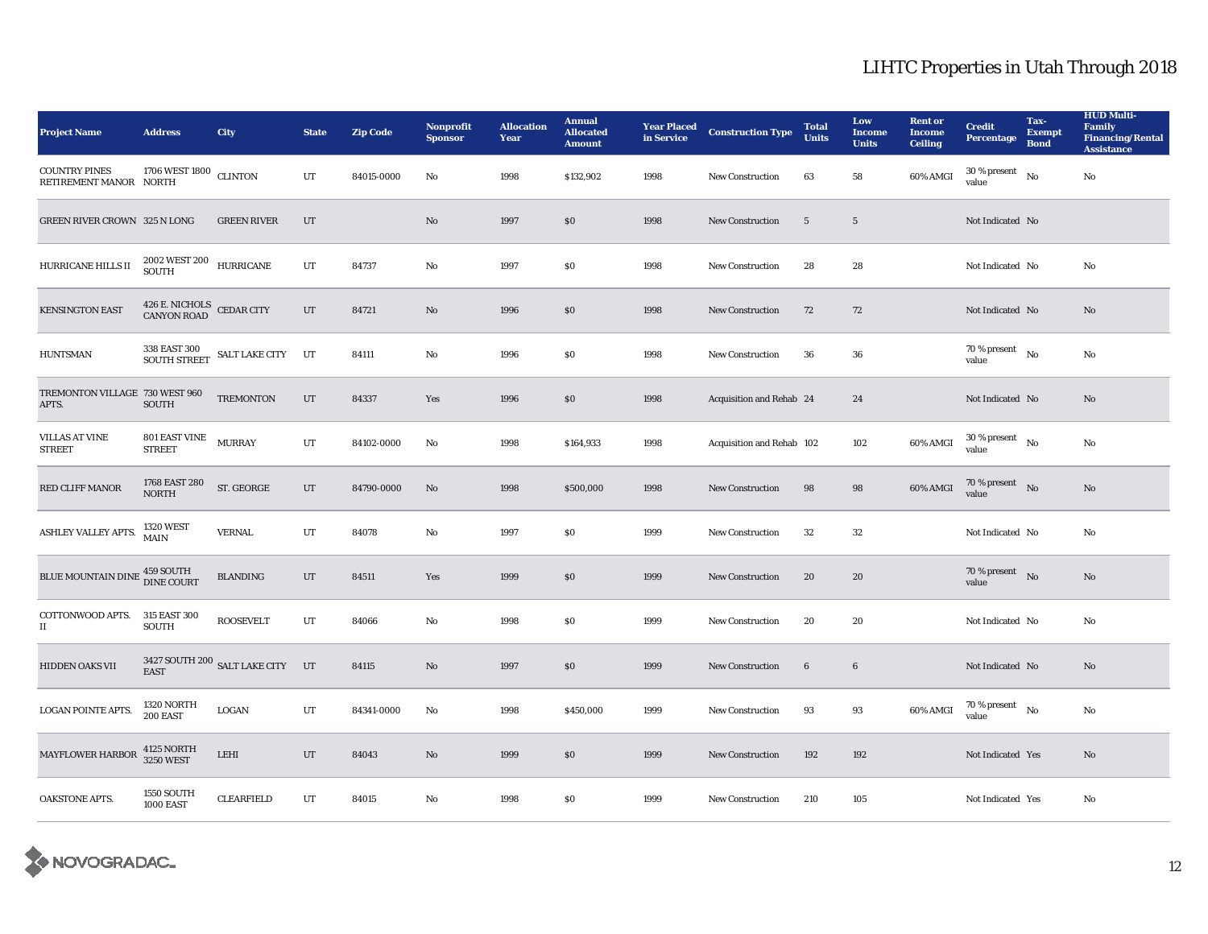| <b>Project Name</b>                                | <b>Address</b>                                      | <b>City</b>                                                                                                        | <b>State</b> | <b>Zip Code</b> | Nonprofit<br><b>Sponsor</b> | <b>Allocation</b><br>Year | <b>Annual</b><br><b>Allocated</b><br><b>Amount</b> | <b>Year Placed</b><br>in Service | <b>Construction Type</b>  | <b>Total</b><br><b>Units</b> | Low<br><b>Income</b><br><b>Units</b> | <b>Rent or</b><br><b>Income</b><br><b>Ceiling</b> | <b>Credit</b><br><b>Percentage</b>          | Tax-<br><b>Exempt</b><br><b>Bond</b> | <b>HUD Multi-</b><br><b>Family</b><br><b>Financing/Rental</b><br><b>Assistance</b> |
|----------------------------------------------------|-----------------------------------------------------|--------------------------------------------------------------------------------------------------------------------|--------------|-----------------|-----------------------------|---------------------------|----------------------------------------------------|----------------------------------|---------------------------|------------------------------|--------------------------------------|---------------------------------------------------|---------------------------------------------|--------------------------------------|------------------------------------------------------------------------------------|
| <b>COUNTRY PINES</b><br>RETIREMENT MANOR NORTH     | 1706 WEST 1800                                      | <b>CLINTON</b>                                                                                                     | UT           | 84015-0000      | No                          | 1998                      | \$132,902                                          | 1998                             | <b>New Construction</b>   | 63                           | 58                                   | 60% AMGI                                          | 30 % present<br>value                       | No                                   | $\rm No$                                                                           |
| GREEN RIVER CROWN 325 N LONG                       |                                                     | <b>GREEN RIVER</b>                                                                                                 | UT           |                 | No                          | 1997                      | \$0                                                | 1998                             | New Construction          | $5\phantom{.0}$              | $\overline{\mathbf{5}}$              |                                                   | Not Indicated No                            |                                      |                                                                                    |
| HURRICANE HILLS II                                 | $2002$ WEST $200$ $$\,$ HURRICANE SOUTH             |                                                                                                                    | UT           | 84737           | No                          | 1997                      | \$0                                                | 1998                             | <b>New Construction</b>   | 28                           | 28                                   |                                                   | Not Indicated No                            |                                      | No                                                                                 |
| <b>KENSINGTON EAST</b>                             | 426 E. NICHOLS CEDAR CITY<br>CANYON ROAD CEDAR CITY |                                                                                                                    | $_{\rm UT}$  | 84721           | $\mathbf{N}\mathbf{o}$      | 1996                      | $\$0$                                              | 1998                             | <b>New Construction</b>   | 72                           | 72                                   |                                                   | Not Indicated No                            |                                      | $\mathbf{N}\mathbf{o}$                                                             |
| <b>HUNTSMAN</b>                                    |                                                     | $\begin{array}{ll} 338 \text{ EAST } 300 \\ \text{SOUTH } \text{STREET} \end{array} \text{SALT } \text{LAKE CITY}$ | UT           | 84111           | No                          | 1996                      | \$0                                                | 1998                             | <b>New Construction</b>   | 36                           | 36                                   |                                                   | $70$ % present $\quad$ No $\quad$<br>value  |                                      | No                                                                                 |
| TREMONTON VILLAGE 730 WEST 960<br>APTS.            | <b>SOUTH</b>                                        | <b>TREMONTON</b>                                                                                                   | UT           | 84337           | Yes                         | 1996                      | \$0                                                | 1998                             | Acquisition and Rehab 24  |                              | 24                                   |                                                   | Not Indicated No                            |                                      | No                                                                                 |
| <b>VILLAS AT VINE</b><br><b>STREET</b>             | 801 EAST VINE MURRAY<br><b>STREET</b>               |                                                                                                                    | UT           | 84102-0000      | No                          | 1998                      | \$164,933                                          | 1998                             | Acquisition and Rehab 102 |                              | 102                                  | 60% AMGI                                          | $30$ % present $_{\rm ~No}$<br>value        |                                      | No                                                                                 |
| <b>RED CLIFF MANOR</b>                             | 1768 EAST 280<br><b>NORTH</b>                       | ST. GEORGE                                                                                                         | UT           | 84790-0000      | $\mathbf{No}$               | 1998                      | \$500,000                                          | 1998                             | New Construction          | 98                           | 98                                   | 60% AMGI                                          | 70 % present $\bar{N}$ o<br>value           |                                      | No                                                                                 |
| ASHLEY VALLEY APTS.                                | <b>1320 WEST</b><br>$\operatorname{\mathbf{MAIN}}$  | <b>VERNAL</b>                                                                                                      | UT           | 84078           | No                          | 1997                      | \$0\$                                              | 1999                             | <b>New Construction</b>   | 32                           | $32\,$                               |                                                   | Not Indicated No                            |                                      | No                                                                                 |
| BLUE MOUNTAIN DINE <sup>459</sup> SOUTH DINE COURT |                                                     | <b>BLANDING</b>                                                                                                    | UT           | 84511           | <b>Yes</b>                  | 1999                      | \$0                                                | 1999                             | <b>New Construction</b>   | 20                           | 20                                   |                                                   | 70 % present No<br>value                    |                                      | No                                                                                 |
| COTTONWOOD APTS. 315 EAST 300<br>П                 | <b>SOUTH</b>                                        | <b>ROOSEVELT</b>                                                                                                   | UT           | 84066           | No                          | 1998                      | $\$0$                                              | 1999                             | New Construction          | 20                           | 20                                   |                                                   | Not Indicated No                            |                                      | No                                                                                 |
| <b>HIDDEN OAKS VII</b>                             | <b>EAST</b>                                         | 3427 SOUTH 200 SALT LAKE CITY UT                                                                                   |              | 84115           | No                          | 1997                      | \$0                                                | 1999                             | <b>New Construction</b>   | $\boldsymbol{6}$             | 6                                    |                                                   | Not Indicated No                            |                                      | No                                                                                 |
| <b>LOGAN POINTE APTS.</b>                          | 1320 NORTH<br>200 EAST                              | LOGAN                                                                                                              | UT           | 84341-0000      | No                          | 1998                      | \$450,000                                          | 1999                             | <b>New Construction</b>   | 93                           | 93                                   | 60% AMGI                                          | $70$ % present $\quad$ $_{\rm No}$<br>value |                                      | No                                                                                 |
| <b>MAYFLOWER HARBOR</b>                            | 4125 NORTH<br><b>3250 WEST</b>                      | $\tt LEHI$                                                                                                         | UT           | 84043           | $\mathbf{N}\mathbf{o}$      | 1999                      | \$0                                                | 1999                             | <b>New Construction</b>   | 192                          | 192                                  |                                                   | Not Indicated Yes                           |                                      | $\mathbf{No}$                                                                      |
| OAKSTONE APTS.                                     | 1550 SOUTH<br><b>1000 EAST</b>                      | CLEARFIELD                                                                                                         | UT           | 84015           | No                          | 1998                      | \$0                                                | 1999                             | <b>New Construction</b>   | 210                          | 105                                  |                                                   | Not Indicated Yes                           |                                      | No                                                                                 |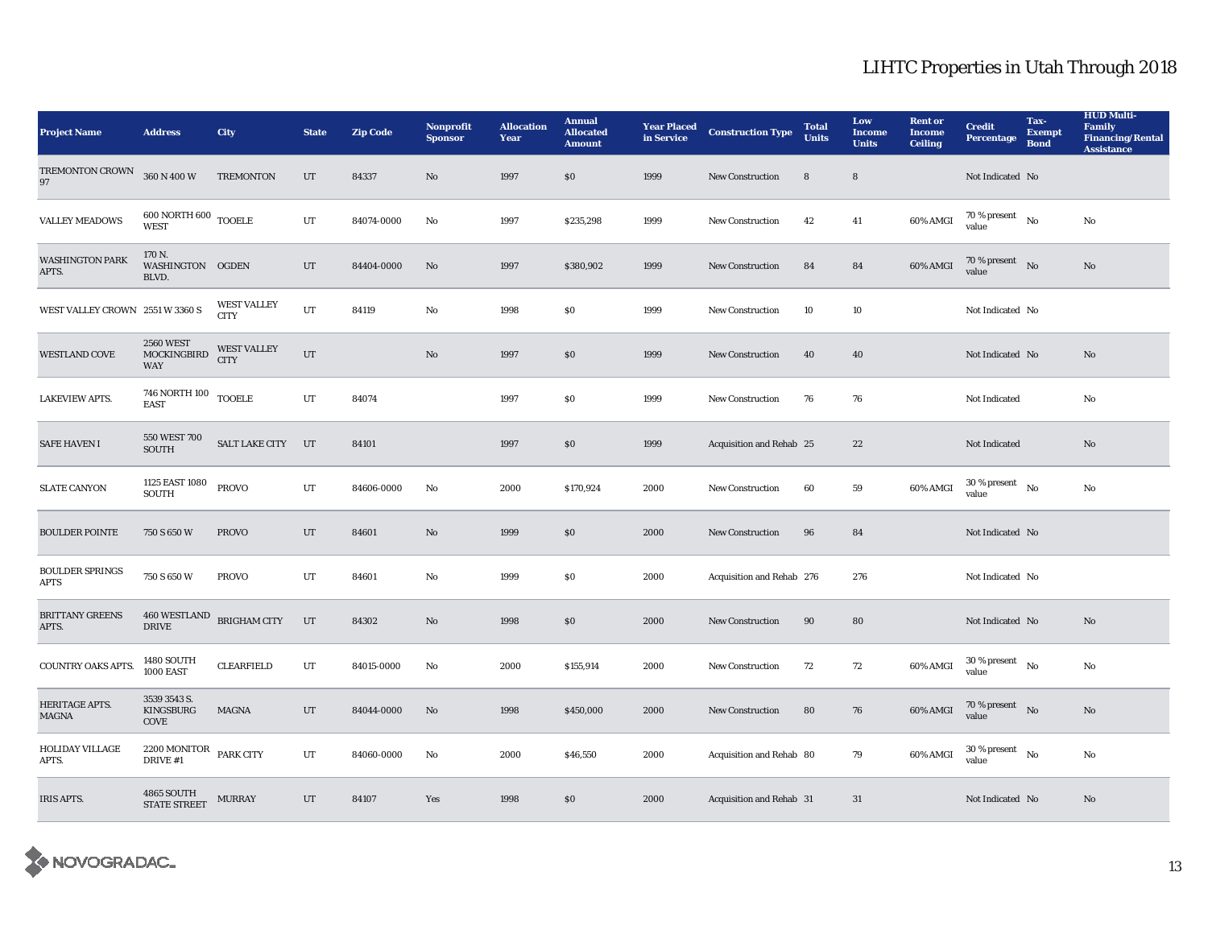| <b>Project Name</b>                   | <b>Address</b>                                        | <b>City</b>                       | <b>State</b> | <b>Zip Code</b> | <b>Nonprofit</b><br><b>Sponsor</b> | <b>Allocation</b><br>Year | <b>Annual</b><br><b>Allocated</b><br><b>Amount</b> | <b>Year Placed<br/>in Service</b> | <b>Construction Type</b>  | <b>Total</b><br><b>Units</b> | Low<br><b>Income</b><br><b>Units</b> | <b>Rent or</b><br><b>Income</b><br><b>Ceiling</b> | <b>Credit</b><br><b>Percentage</b>         | Tax-<br><b>Exempt</b><br><b>Bond</b> | <b>HUD Multi-</b><br><b>Family</b><br><b>Financing/Rental</b><br><b>Assistance</b> |
|---------------------------------------|-------------------------------------------------------|-----------------------------------|--------------|-----------------|------------------------------------|---------------------------|----------------------------------------------------|-----------------------------------|---------------------------|------------------------------|--------------------------------------|---------------------------------------------------|--------------------------------------------|--------------------------------------|------------------------------------------------------------------------------------|
| TREMONTON CROWN<br>97                 | 360 N 400 W                                           | <b>TREMONTON</b>                  | $_{\rm UT}$  | 84337           | $\mathbf{N}\mathbf{o}$             | 1997                      | \$0\$                                              | 1999                              | <b>New Construction</b>   | 8                            | 8                                    |                                                   | Not Indicated No                           |                                      |                                                                                    |
| <b>VALLEY MEADOWS</b>                 | $600$ NORTH $600$ $_{\rm TOOELE}$<br><b>WEST</b>      |                                   | UT           | 84074-0000      | No                                 | 1997                      | \$235,298                                          | 1999                              | <b>New Construction</b>   | 42                           | 41                                   | 60% AMGI                                          | $70$ % present $\quad$ No $\quad$<br>value |                                      | No                                                                                 |
| <b>WASHINGTON PARK</b><br>APTS.       | 170 N.<br>WASHINGTON OGDEN<br>BLVD.                   |                                   | $_{\rm UT}$  | 84404-0000      | $\mathbf{N}\mathbf{o}$             | 1997                      | \$380,902                                          | 1999                              | New Construction          | 84                           | 84                                   | 60% AMGI                                          | 70 % present No<br>value                   |                                      | $\rm No$                                                                           |
| WEST VALLEY CROWN 2551 W 3360 S       |                                                       | <b>WEST VALLEY</b><br><b>CITY</b> | UT           | 84119           | No                                 | 1998                      | \$0\$                                              | 1999                              | <b>New Construction</b>   | 10                           | 10                                   |                                                   | Not Indicated No                           |                                      |                                                                                    |
| <b>WESTLAND COVE</b>                  | <b>2560 WEST</b><br>${\bf MOCKINGBIRD}$<br><b>WAY</b> | <b>WEST VALLEY</b><br><b>CITY</b> | $_{\rm UT}$  |                 | No                                 | 1997                      | \$0\$                                              | 1999                              | <b>New Construction</b>   | 40                           | 40                                   |                                                   | Not Indicated No                           |                                      | No                                                                                 |
| <b>LAKEVIEW APTS.</b>                 | $746$ NORTH $100$ $\,$ TOOELE<br><b>EAST</b>          |                                   | $_{\rm{UT}}$ | 84074           |                                    | 1997                      | $\$0$                                              | 1999                              | <b>New Construction</b>   | 76                           | 76                                   |                                                   | Not Indicated                              |                                      | $_{\rm No}$                                                                        |
| <b>SAFE HAVEN I</b>                   | 550 WEST 700<br>SOUTH                                 | <b>SALT LAKE CITY</b>             | UT           | 84101           |                                    | 1997                      | \$0\$                                              | 1999                              | Acquisition and Rehab 25  |                              | 22                                   |                                                   | Not Indicated                              |                                      | No                                                                                 |
| <b>SLATE CANYON</b>                   | 1125 EAST 1080<br><b>SOUTH</b>                        | <b>PROVO</b>                      | UT           | 84606-0000      | No                                 | 2000                      | \$170,924                                          | 2000                              | New Construction          | 60                           | 59                                   | 60% AMGI                                          | $30$ % present $\hbox{~No}$<br>value       |                                      | No                                                                                 |
| <b>BOULDER POINTE</b>                 | 750 S 650 W                                           | <b>PROVO</b>                      | UT           | 84601           | No                                 | 1999                      | \$0\$                                              | 2000                              | <b>New Construction</b>   | 96                           | 84                                   |                                                   | Not Indicated No                           |                                      |                                                                                    |
| <b>BOULDER SPRINGS</b><br><b>APTS</b> | 750 S 650 W                                           | <b>PROVO</b>                      | UT           | 84601           | No                                 | 1999                      | \$0\$                                              | 2000                              | Acquisition and Rehab 276 |                              | 276                                  |                                                   | Not Indicated No                           |                                      |                                                                                    |
| <b>BRITTANY GREENS</b><br>APTS.       | <b>460 WESTLAND</b><br><b>DRIVE</b>                   | <b>BRIGHAM CITY</b>               | UT           | 84302           | No                                 | 1998                      | \$0\$                                              | 2000                              | <b>New Construction</b>   | 90                           | 80                                   |                                                   | Not Indicated No                           |                                      | No                                                                                 |
| COUNTRY OAKS APTS.                    | <b>1480 SOUTH</b><br><b>1000 EAST</b>                 | <b>CLEARFIELD</b>                 | UT           | 84015-0000      | No                                 | 2000                      | \$155,914                                          | 2000                              | <b>New Construction</b>   | 72                           | 72                                   | 60% AMGI                                          | $30$ % present $\hbox{~No}$<br>value       |                                      | $\rm No$                                                                           |
| HERITAGE APTS.<br><b>MAGNA</b>        | 3539 3543 S.<br>KINGSBURG<br>COVE                     | MAGNA                             | $_{\rm{UT}}$ | 84044-0000      | $\mathbf{No}$                      | 1998                      | \$450,000                                          | 2000                              | <b>New Construction</b>   | 80                           | 76                                   | $60\%$ AMGI                                       | $70\,\%$ present $$$ No value              |                                      | $\rm No$                                                                           |
| <b>HOLIDAY VILLAGE</b><br>APTS.       | 2200 MONITOR<br>DRIVE #1                              | PARK CITY                         | UT           | 84060-0000      | No                                 | 2000                      | \$46,550                                           | 2000                              | Acquisition and Rehab 80  |                              | 79                                   | 60% AMGI                                          | $30$ % present $_{\rm ~No}$<br>value       |                                      | No                                                                                 |
| <b>IRIS APTS.</b>                     | 4865 SOUTH<br>STATE STREET                            | <b>MURRAY</b>                     | UT           | 84107           | Yes                                | 1998                      | \$0\$                                              | 2000                              | Acquisition and Rehab 31  |                              | 31                                   |                                                   | Not Indicated No                           |                                      | No                                                                                 |

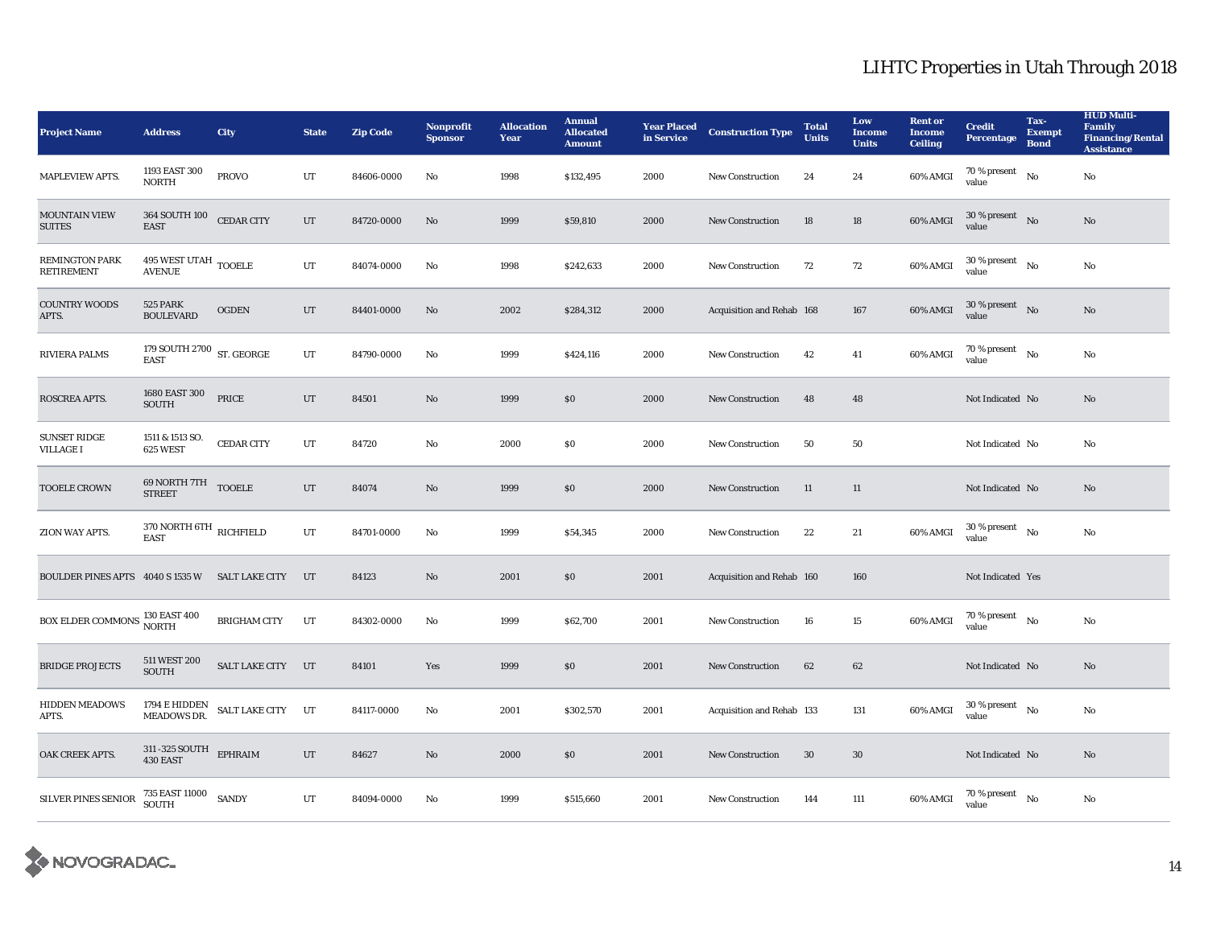| <b>Project Name</b>                                     | <b>Address</b>                                   | <b>City</b>                        | <b>State</b> | <b>Zip Code</b> | <b>Nonprofit</b><br><b>Sponsor</b> | <b>Allocation</b><br>Year | <b>Annual</b><br><b>Allocated</b><br><b>Amount</b> | <b>Year Placed</b><br>in Service | <b>Construction Type</b>  | <b>Total</b><br><b>Units</b> | Low<br><b>Income</b><br><b>Units</b> | <b>Rent or</b><br><b>Income</b><br><b>Ceiling</b> | <b>Credit</b><br><b>Percentage</b>         | Tax-<br><b>Exempt</b><br><b>Bond</b> | <b>HUD Multi-</b><br>Family<br><b>Financing/Rental</b><br><b>Assistance</b> |
|---------------------------------------------------------|--------------------------------------------------|------------------------------------|--------------|-----------------|------------------------------------|---------------------------|----------------------------------------------------|----------------------------------|---------------------------|------------------------------|--------------------------------------|---------------------------------------------------|--------------------------------------------|--------------------------------------|-----------------------------------------------------------------------------|
| <b>MAPLEVIEW APTS.</b>                                  | 1193 EAST 300<br><b>NORTH</b>                    | <b>PROVO</b>                       | UT           | 84606-0000      | No                                 | 1998                      | \$132,495                                          | 2000                             | <b>New Construction</b>   | 24                           | 24                                   | 60% AMGI                                          | 70 % present<br>value                      | No                                   | No                                                                          |
| <b>MOUNTAIN VIEW</b><br><b>SUITES</b>                   | 364 SOUTH 100 CEDAR CITY<br><b>EAST</b>          |                                    | UT           | 84720-0000      | No                                 | 1999                      | \$59,810                                           | 2000                             | New Construction          | 18                           | 18                                   | 60% AMGI                                          | $30$ % present $\;\;$ No $\;$<br>value     |                                      | No                                                                          |
| <b>REMINGTON PARK</b><br><b>RETIREMENT</b>              | $495$ WEST UTAH $_{\rm TOOELE}$<br><b>AVENUE</b> |                                    | UT           | 84074-0000      | No                                 | 1998                      | \$242,633                                          | 2000                             | <b>New Construction</b>   | 72                           | 72                                   | 60% AMGI                                          | $30$ % present $\hbox{~No}$<br>value       |                                      | No                                                                          |
| <b>COUNTRY WOODS</b><br>APTS.                           | <b>525 PARK</b><br><b>BOULEVARD</b>              | <b>OGDEN</b>                       | UT           | 84401-0000      | No                                 | 2002                      | \$284,312                                          | 2000                             | Acquisition and Rehab 168 |                              | 167                                  | 60% AMGI                                          | $30$ % present $\;\;$ No $\;$<br>value     |                                      | No                                                                          |
| <b>RIVIERA PALMS</b>                                    | 179 SOUTH 2700 $\,$ ST. GEORGE<br><b>EAST</b>    |                                    | UT           | 84790-0000      | No                                 | 1999                      | \$424,116                                          | 2000                             | New Construction          | 42                           | 41                                   | 60% AMGI                                          | $70$ % present $\quad$ No $\quad$<br>value |                                      | No                                                                          |
| <b>ROSCREA APTS.</b>                                    | 1680 EAST 300<br><b>SOUTH</b>                    | PRICE                              | UT           | 84501           | No                                 | 1999                      | \$0\$                                              | 2000                             | <b>New Construction</b>   | 48                           | 48                                   |                                                   | Not Indicated No                           |                                      | No                                                                          |
| <b>SUNSET RIDGE</b><br><b>VILLAGE I</b>                 | 1511 & 1513 SO.<br>625 WEST                      | <b>CEDAR CITY</b>                  | UT           | 84720           | No                                 | 2000                      | $\$0$                                              | 2000                             | New Construction          | 50                           | 50                                   |                                                   | Not Indicated No                           |                                      | No                                                                          |
| <b>TOOELE CROWN</b>                                     | 69 NORTH 7TH TOOELE<br><b>STREET</b>             |                                    | UT           | 84074           | $\mathbf{No}$                      | 1999                      | $\$0$                                              | 2000                             | New Construction          | 11                           | 11                                   |                                                   | Not Indicated No                           |                                      | No                                                                          |
| ZION WAY APTS.                                          | 370 NORTH 6TH RICHFIELD<br><b>EAST</b>           |                                    | UT           | 84701-0000      | No                                 | 1999                      | \$54,345                                           | 2000                             | <b>New Construction</b>   | 22                           | 21                                   | 60% AMGI                                          | $30$ % present $\hbox{~No}$<br>value       |                                      | No                                                                          |
| BOULDER PINES APTS 4040 S 1535 W SALT LAKE CITY UT      |                                                  |                                    |              | 84123           | No                                 | 2001                      | \$0                                                | 2001                             | Acquisition and Rehab 160 |                              | 160                                  |                                                   | Not Indicated Yes                          |                                      |                                                                             |
| BOX ELDER COMMONS $^{130\, \rm EAST\,400}_{\rm MODIII}$ |                                                  | <b>BRIGHAM CITY</b>                | UT           | 84302-0000      | No                                 | 1999                      | \$62,700                                           | 2001                             | New Construction          | 16                           | 15                                   | 60% AMGI                                          | $70\%$ present $N_0$<br>value              |                                      | No                                                                          |
| <b>BRIDGE PROJECTS</b>                                  | 511 WEST 200<br><b>SOUTH</b>                     | SALT LAKE CITY UT                  |              | 84101           | Yes                                | 1999                      | $\$0$                                              | 2001                             | <b>New Construction</b>   | 62                           | 62                                   |                                                   | Not Indicated No                           |                                      | No                                                                          |
| <b>HIDDEN MEADOWS</b><br>APTS.                          | MEADOWS DR.                                      | 1794 E HIDDEN<br>SALT LAKE CITY UT |              | 84117-0000      | No                                 | 2001                      | \$302,570                                          | 2001                             | Acquisition and Rehab 133 |                              | 131                                  | 60% AMGI                                          | $30$ % present $\hbox{~No}$<br>value       |                                      | No                                                                          |
| OAK CREEK APTS.                                         | $311$ -325 SOUTH $\quad$ EPHRAIM<br>430 EAST     |                                    | UT           | 84627           | $\mathbf{No}$                      | 2000                      | $\$0$                                              | 2001                             | <b>New Construction</b>   | $30\,$                       | 30                                   |                                                   | Not Indicated No                           |                                      | No                                                                          |
| SILVER PINES SENIOR                                     | 735 EAST 11000 SANDY<br>SOUTH                    |                                    | UT           | 84094-0000      | No                                 | 1999                      | \$515,660                                          | 2001                             | New Construction          | 144                          | 111                                  | 60% AMGI                                          | $70$ % present $\quad$ No $\quad$<br>value |                                      | No                                                                          |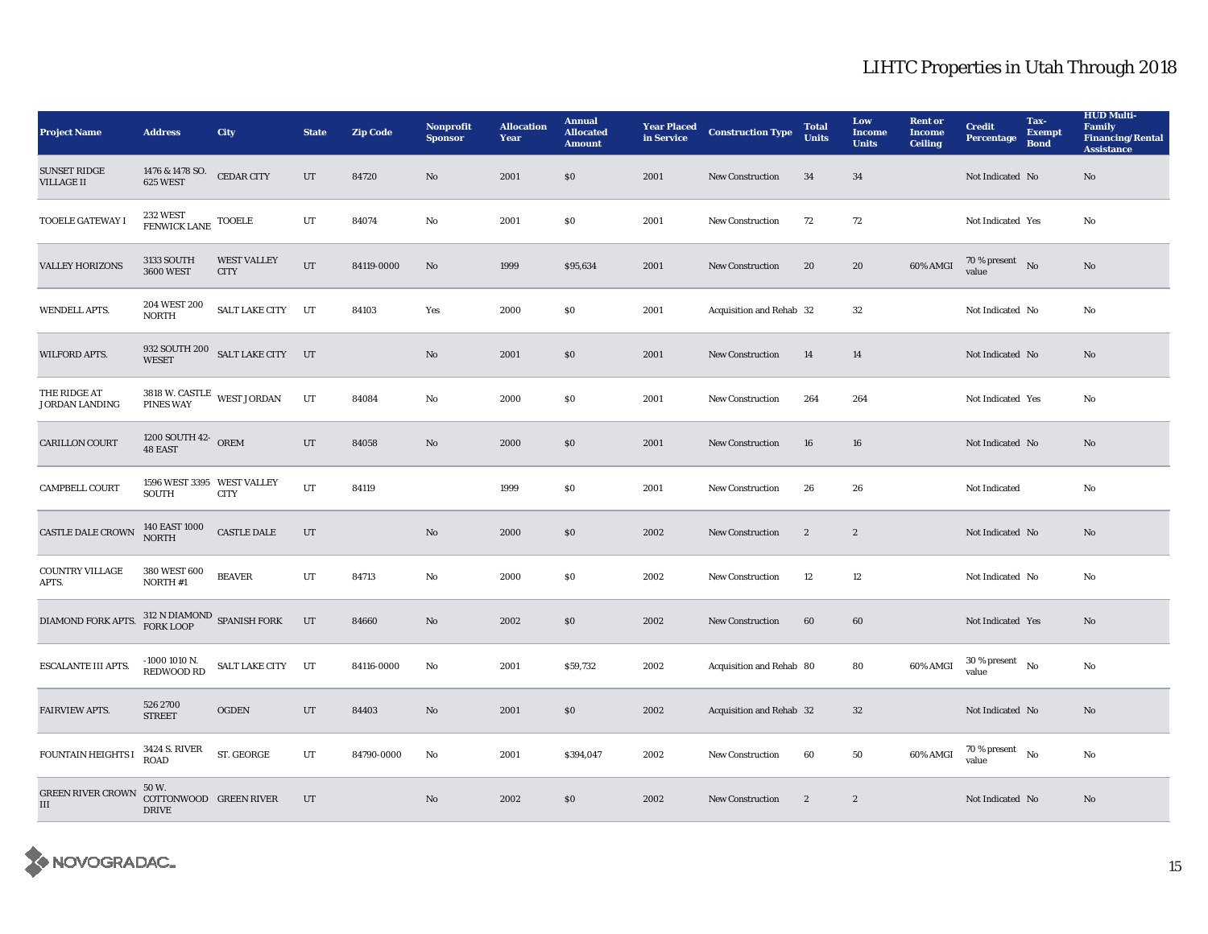| <b>Project Name</b>                      | <b>Address</b>                                  | <b>City</b>                                 | <b>State</b> | <b>Zip Code</b> | <b>Nonprofit</b><br><b>Sponsor</b> | <b>Allocation</b><br>Year | <b>Annual</b><br><b>Allocated</b><br><b>Amount</b> | <b>Year Placed</b><br>in Service | <b>Construction Type</b> | <b>Total</b><br><b>Units</b> | Low<br><b>Income</b><br><b>Units</b> | <b>Rent or</b><br><b>Income</b><br><b>Ceiling</b> | <b>Credit</b><br><b>Percentage</b>         | Tax-<br><b>Exempt</b><br><b>Bond</b> | <b>HUD Multi-</b><br><b>Family</b><br><b>Financing/Rental</b><br><b>Assistance</b> |
|------------------------------------------|-------------------------------------------------|---------------------------------------------|--------------|-----------------|------------------------------------|---------------------------|----------------------------------------------------|----------------------------------|--------------------------|------------------------------|--------------------------------------|---------------------------------------------------|--------------------------------------------|--------------------------------------|------------------------------------------------------------------------------------|
| <b>SUNSET RIDGE</b><br><b>VILLAGE II</b> | 1476 & 1478 SO.<br>625 WEST                     | <b>CEDAR CITY</b>                           | $_{\rm UT}$  | 84720           | $\mathbf{No}$                      | 2001                      | \$0\$                                              | 2001                             | <b>New Construction</b>  | 34                           | 34                                   |                                                   | Not Indicated No                           |                                      | $\rm No$                                                                           |
| <b>TOOELE GATEWAY I</b>                  | 232 WEST<br>FENWICK LANE TOOELE                 |                                             | UT           | 84074           | No                                 | 2001                      | \$0\$                                              | 2001                             | New Construction         | 72                           | 72                                   |                                                   | Not Indicated Yes                          |                                      | No                                                                                 |
| <b>VALLEY HORIZONS</b>                   | <b>3133 SOUTH</b><br><b>3600 WEST</b>           | <b>WEST VALLEY</b><br><b>CITY</b>           | UT           | 84119-0000      | No                                 | 1999                      | \$95,634                                           | 2001                             | <b>New Construction</b>  | 20                           | 20                                   | 60% AMGI                                          | 70 % present $\bar{N}$ o<br>value          |                                      | No                                                                                 |
| <b>WENDELL APTS.</b>                     | 204 WEST 200<br><b>NORTH</b>                    | SALT LAKE CITY UT                           |              | 84103           | Yes                                | 2000                      | \$0\$                                              | 2001                             | Acquisition and Rehab 32 |                              | 32                                   |                                                   | Not Indicated No                           |                                      | No                                                                                 |
| <b>WILFORD APTS.</b>                     | <b>WESET</b>                                    | 932 SOUTH 200 SALT LAKE CITY UT             |              |                 | No                                 | 2001                      | \$0\$                                              | 2001                             | <b>New Construction</b>  | 14                           | 14                                   |                                                   | Not Indicated No                           |                                      | No                                                                                 |
| THE RIDGE AT<br><b>JORDAN LANDING</b>    |                                                 | $3818$ W. CASTLE $\,$ WEST JORDAN PINES WAY | UT           | 84084           | No                                 | 2000                      | \$0\$                                              | 2001                             | New Construction         | 264                          | 264                                  |                                                   | Not Indicated Yes                          |                                      | $\rm No$                                                                           |
| <b>CARILLON COURT</b>                    | $1200$ SOUTH $42\textnormal{-}$ OREM $48$ EAST  |                                             | UT           | 84058           | No                                 | 2000                      | $\$0$                                              | 2001                             | <b>New Construction</b>  | 16                           | ${\bf 16}$                           |                                                   | Not Indicated No                           |                                      | $\rm No$                                                                           |
| <b>CAMPBELL COURT</b>                    | 1596 WEST 3395 WEST VALLEY<br>SOUTH             | <b>CITY</b>                                 | UT           | 84119           |                                    | 1999                      | \$0\$                                              | 2001                             | <b>New Construction</b>  | 26                           | 26                                   |                                                   | Not Indicated                              |                                      | No                                                                                 |
| <b>CASTLE DALE CROWN</b>                 | 140 EAST 1000<br>NORTH                          | <b>CASTLE DALE</b>                          | UT           |                 | $\mathbf{N}\mathbf{o}$             | 2000                      | \$0\$                                              | 2002                             | <b>New Construction</b>  | $\boldsymbol{2}$             | $\mathbf{2}$                         |                                                   | Not Indicated No                           |                                      | No                                                                                 |
| <b>COUNTRY VILLAGE</b><br>APTS.          | 380 WEST 600<br>NORTH #1                        | <b>BEAVER</b>                               | UT           | 84713           | No                                 | 2000                      | \$0\$                                              | 2002                             | New Construction         | 12                           | 12                                   |                                                   | Not Indicated No                           |                                      | No                                                                                 |
| DIAMOND FORK APTS.                       |                                                 | $312$ N DIAMOND $\:$ SPANISH FORK FORK LOOP | UT           | 84660           | No                                 | 2002                      | \$0\$                                              | 2002                             | New Construction         | 60                           | 60                                   |                                                   | Not Indicated Yes                          |                                      | No                                                                                 |
| <b>ESCALANTE III APTS.</b>               | $-10001010$ N.<br><b>REDWOOD RD</b>             | SALT LAKE CITY UT                           |              | 84116-0000      | No                                 | 2001                      | \$59,732                                           | 2002                             | Acquisition and Rehab 80 |                              | 80                                   | 60% AMGI                                          | $30$ % present $\hbox{~No}$<br>value       |                                      | No                                                                                 |
| FAIRVIEW APTS.                           | 526 2700<br><b>STREET</b>                       | <b>OGDEN</b>                                | UT           | 84403           | No                                 | 2001                      | \$0\$                                              | 2002                             | Acquisition and Rehab 32 |                              | 32                                   |                                                   | Not Indicated No                           |                                      | No                                                                                 |
| <b>FOUNTAIN HEIGHTS I</b>                | 3424 S. RIVER<br><b>ROAD</b>                    | ST. GEORGE                                  | UT           | 84790-0000      | No                                 | 2001                      | \$394,047                                          | 2002                             | <b>New Construction</b>  | 60                           | 50                                   | 60% AMGI                                          | $70$ % present $\quad$ No $\quad$<br>value |                                      | No                                                                                 |
| <b>GREEN RIVER CROWN</b><br>$\rm III$    | 50 W.<br>COTTONWOOD GREEN RIVER<br><b>DRIVE</b> |                                             | UT           |                 | No                                 | 2002                      | \$0\$                                              | 2002                             | <b>New Construction</b>  | $\overline{2}$               | $\boldsymbol{2}$                     |                                                   | Not Indicated No                           |                                      | No                                                                                 |

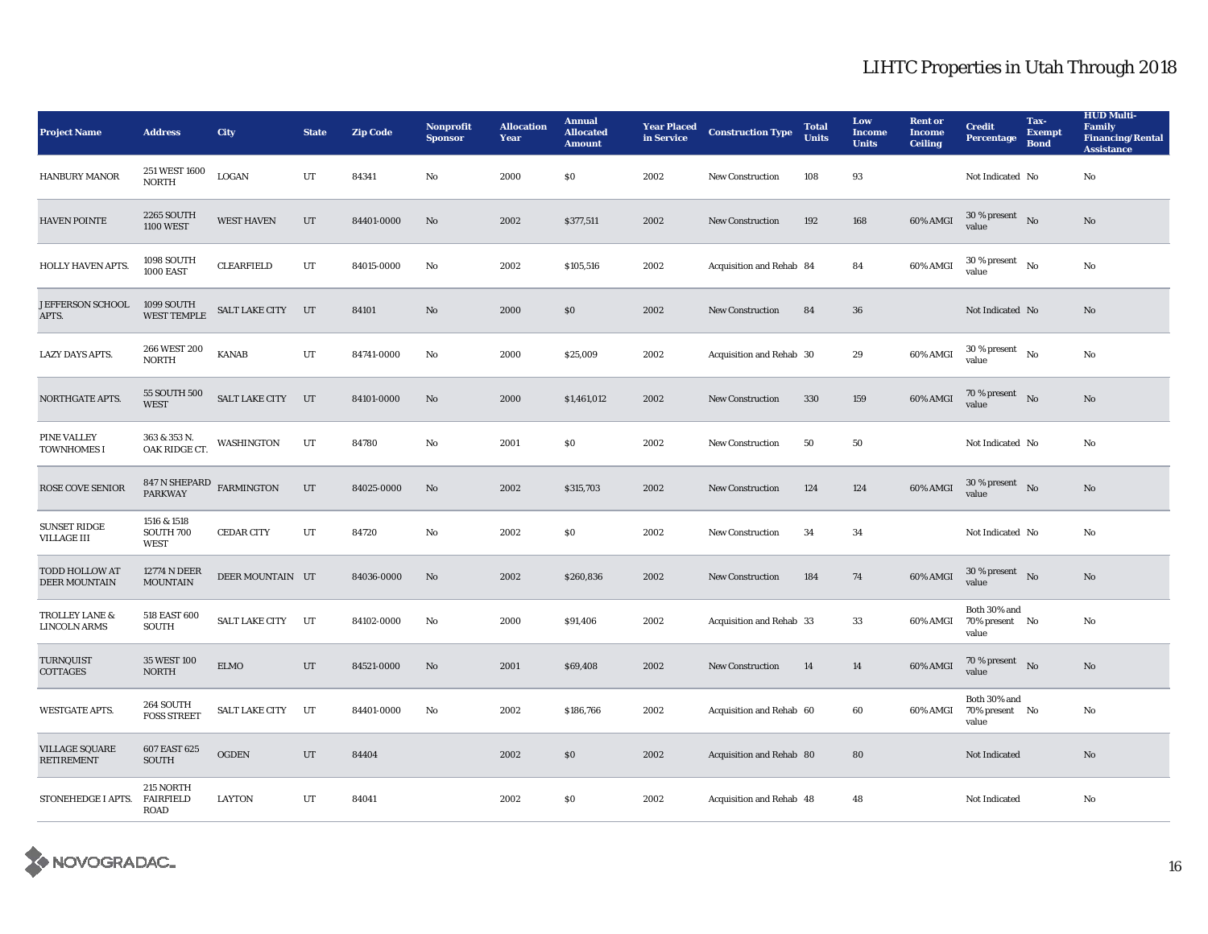| <b>Project Name</b>                           | <b>Address</b>                             | <b>City</b>       | <b>State</b> | <b>Zip Code</b> | <b>Nonprofit</b><br><b>Sponsor</b> | <b>Allocation</b><br>Year | <b>Annual</b><br><b>Allocated</b><br><b>Amount</b> | <b>Year Placed</b><br>in Service | <b>Construction Type</b> | <b>Total</b><br><b>Units</b> | Low<br><b>Income</b><br><b>Units</b> | <b>Rent or</b><br><b>Income</b><br><b>Ceiling</b> | <b>Credit</b><br><b>Percentage</b>      | Tax-<br><b>Exempt</b><br><b>Bond</b> | <b>HUD Multi-</b><br><b>Family</b><br><b>Financing/Rental</b><br><b>Assistance</b> |
|-----------------------------------------------|--------------------------------------------|-------------------|--------------|-----------------|------------------------------------|---------------------------|----------------------------------------------------|----------------------------------|--------------------------|------------------------------|--------------------------------------|---------------------------------------------------|-----------------------------------------|--------------------------------------|------------------------------------------------------------------------------------|
| <b>HANBURY MANOR</b>                          | 251 WEST 1600<br><b>NORTH</b>              | LOGAN             | UT           | 84341           | No                                 | 2000                      | \$0\$                                              | 2002                             | <b>New Construction</b>  | 108                          | 93                                   |                                                   | Not Indicated No                        |                                      | $\rm No$                                                                           |
| <b>HAVEN POINTE</b>                           | <b>2265 SOUTH</b><br><b>1100 WEST</b>      | <b>WEST HAVEN</b> | UT           | 84401-0000      | No                                 | 2002                      | \$377,511                                          | 2002                             | <b>New Construction</b>  | 192                          | 168                                  | 60% AMGI                                          | $30$ % present $\;\;$ No $\;$<br>value  |                                      | $\rm No$                                                                           |
| HOLLY HAVEN APTS.                             | 1098 SOUTH<br><b>1000 EAST</b>             | <b>CLEARFIELD</b> | UT           | 84015-0000      | No                                 | 2002                      | \$105,516                                          | 2002                             | Acquisition and Rehab 84 |                              | 84                                   | 60% AMGI                                          | $30$ % present $\hbox{~No}$<br>value    |                                      | No                                                                                 |
| JEFFERSON SCHOOL<br>APTS.                     | 1099 SOUTH<br><b>WEST TEMPLE</b>           | SALT LAKE CITY UT |              | 84101           | No                                 | 2000                      | \$0\$                                              | 2002                             | <b>New Construction</b>  | 84                           | 36                                   |                                                   | Not Indicated No                        |                                      | No                                                                                 |
| <b>LAZY DAYS APTS.</b>                        | 266 WEST 200<br><b>NORTH</b>               | <b>KANAB</b>      | UT           | 84741-0000      | No                                 | 2000                      | \$25,009                                           | 2002                             | Acquisition and Rehab 30 |                              | 29                                   | 60% AMGI                                          | $30$ % present $\hbox{~No}$<br>value    |                                      | $\mathbf{N}\mathbf{o}$                                                             |
| NORTHGATE APTS.                               | 55 SOUTH 500<br><b>WEST</b>                | SALT LAKE CITY UT |              | 84101-0000      | $\mathbf{N}\mathbf{o}$             | 2000                      | \$1,461,012                                        | 2002                             | New Construction         | 330                          | 159                                  | 60% AMGI                                          | $70\%$ present No<br>value              |                                      | $\rm No$                                                                           |
| <b>PINE VALLEY</b><br>TOWNHOMES I             | 363 & 353 N.<br>OAK RIDGE CT.              | WASHINGTON        | UT           | 84780           | No                                 | 2001                      | \$0\$                                              | 2002                             | <b>New Construction</b>  | 50                           | $50\,$                               |                                                   | Not Indicated No                        |                                      | No                                                                                 |
| <b>ROSE COVE SENIOR</b>                       | 847 N SHEPARD FARMINGTON<br><b>PARKWAY</b> |                   | UT           | 84025-0000      | No                                 | 2002                      | \$315,703                                          | 2002                             | <b>New Construction</b>  | 124                          | 124                                  | 60% AMGI                                          | $30\%$ present No<br>value              |                                      | No                                                                                 |
| <b>SUNSET RIDGE</b><br><b>VILLAGE III</b>     | 1516 & 1518<br>SOUTH 700<br><b>WEST</b>    | <b>CEDAR CITY</b> | UT           | 84720           | No                                 | 2002                      | \$0\$                                              | 2002                             | <b>New Construction</b>  | 34                           | 34                                   |                                                   | Not Indicated No                        |                                      | $\rm No$                                                                           |
| <b>TODD HOLLOW AT</b><br><b>DEER MOUNTAIN</b> | <b>12774 N DEER</b><br><b>MOUNTAIN</b>     | DEER MOUNTAIN UT  |              | 84036-0000      | No                                 | 2002                      | \$260,836                                          | 2002                             | <b>New Construction</b>  | 184                          | 74                                   | 60% AMGI                                          | $30$ % present $\;\;$ No $\;$<br>value  |                                      | $\rm No$                                                                           |
| TROLLEY LANE &<br><b>LINCOLN ARMS</b>         | 518 EAST 600<br><b>SOUTH</b>               | SALT LAKE CITY    | UT           | 84102-0000      | No                                 | 2000                      | \$91,406                                           | 2002                             | Acquisition and Rehab 33 |                              | 33                                   | 60% AMGI                                          | Both 30% and<br>70% present No<br>value |                                      | No                                                                                 |
| TURNQUIST<br>COTTAGES                         | 35 WEST 100<br><b>NORTH</b>                | <b>ELMO</b>       | UT           | 84521-0000      | No                                 | 2001                      | \$69,408                                           | 2002                             | <b>New Construction</b>  | 14                           | 14                                   | 60% AMGI                                          | 70 % present $\bar{N}$ o<br>value       |                                      | No                                                                                 |
| <b>WESTGATE APTS.</b>                         | 264 SOUTH<br><b>FOSS STREET</b>            | SALT LAKE CITY UT |              | 84401-0000      | No                                 | 2002                      | \$186,766                                          | 2002                             | Acquisition and Rehab 60 |                              | 60                                   | 60% AMGI                                          | Both 30% and<br>70% present No<br>value |                                      | No                                                                                 |
| <b>VILLAGE SQUARE</b><br><b>RETIREMENT</b>    | 607 EAST 625<br><b>SOUTH</b>               | $\rm OGDEN$       | $_{\rm UT}$  | 84404           |                                    | 2002                      | \$0\$                                              | 2002                             | Acquisition and Rehab 80 |                              | 80                                   |                                                   | Not Indicated                           |                                      | $\rm No$                                                                           |
| STONEHEDGE I APTS.                            | 215 NORTH<br><b>FAIRFIELD</b><br>ROAD      | LAYTON            | UT           | 84041           |                                    | 2002                      | \$0\$                                              | 2002                             | Acquisition and Rehab 48 |                              | 48                                   |                                                   | Not Indicated                           |                                      | No                                                                                 |

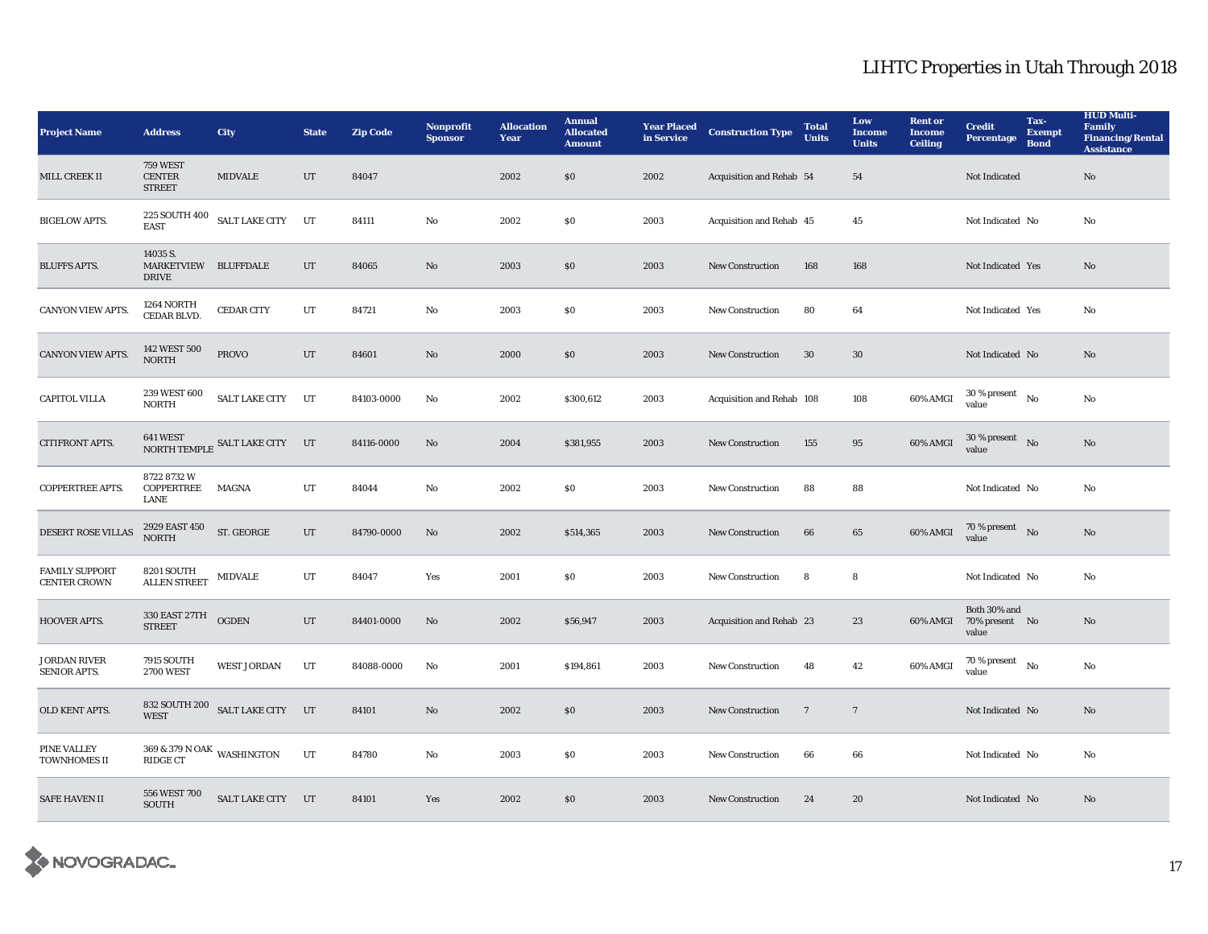| <b>Project Name</b>                          | <b>Address</b>                                    | <b>City</b>                           | <b>State</b> | <b>Zip Code</b> | <b>Nonprofit</b><br><b>Sponsor</b> | <b>Allocation</b><br>Year | <b>Annual</b><br><b>Allocated</b><br><b>Amount</b> | <b>Year Placed</b><br>in Service | <b>Construction Type</b>  | <b>Total</b><br><b>Units</b> | Low<br><b>Income</b><br><b>Units</b> | <b>Rent or</b><br><b>Income</b><br><b>Ceiling</b> | <b>Credit</b><br><b>Percentage</b>      | Tax-<br><b>Exempt</b><br><b>Bond</b> | <b>HUD Multi-</b><br><b>Family</b><br><b>Financing/Rental</b><br><b>Assistance</b> |
|----------------------------------------------|---------------------------------------------------|---------------------------------------|--------------|-----------------|------------------------------------|---------------------------|----------------------------------------------------|----------------------------------|---------------------------|------------------------------|--------------------------------------|---------------------------------------------------|-----------------------------------------|--------------------------------------|------------------------------------------------------------------------------------|
| MILL CREEK II                                | <b>759 WEST</b><br><b>CENTER</b><br><b>STREET</b> | <b>MIDVALE</b>                        | UT           | 84047           |                                    | 2002                      | \$0\$                                              | 2002                             | Acquisition and Rehab 54  |                              | 54                                   |                                                   | Not Indicated                           |                                      | No                                                                                 |
| <b>BIGELOW APTS.</b>                         | <b>EAST</b>                                       | $225$ SOUTH $400$ $\,$ SALT LAKE CITY | UT           | 84111           | No                                 | 2002                      | \$0\$                                              | 2003                             | Acquisition and Rehab 45  |                              | 45                                   |                                                   | Not Indicated No                        |                                      | No                                                                                 |
| <b>BLUFFS APTS.</b>                          | 14035 S.<br>MARKETVIEW BLUFFDALE<br><b>DRIVE</b>  |                                       | UT           | 84065           | No                                 | 2003                      | \$0\$                                              | 2003                             | <b>New Construction</b>   | 168                          | 168                                  |                                                   | Not Indicated Yes                       |                                      | No                                                                                 |
| <b>CANYON VIEW APTS.</b>                     | 1264 NORTH<br>CEDAR BLVD.                         | <b>CEDAR CITY</b>                     | UT           | 84721           | No                                 | 2003                      | $\$0$                                              | 2003                             | New Construction          | 80                           | 64                                   |                                                   | Not Indicated Yes                       |                                      | No                                                                                 |
| <b>CANYON VIEW APTS.</b>                     | 142 WEST 500<br><b>NORTH</b>                      | <b>PROVO</b>                          | UT           | 84601           | No                                 | 2000                      | \$0\$                                              | 2003                             | New Construction          | 30                           | $30\,$                               |                                                   | Not Indicated No                        |                                      | No                                                                                 |
| <b>CAPITOL VILLA</b>                         | 239 WEST 600<br><b>NORTH</b>                      | <b>SALT LAKE CITY</b>                 | UT           | 84103-0000      | No                                 | 2002                      | \$300,612                                          | 2003                             | Acquisition and Rehab 108 |                              | 108                                  | 60% AMGI                                          | $30$ % present $\hbox{~No}$<br>value    |                                      | No                                                                                 |
| CITIFRONT APTS.                              |                                                   | NORTH TEMPLE SALT LAKE CITY UT        |              | 84116-0000      | No                                 | 2004                      | \$381,955                                          | 2003                             | <b>New Construction</b>   | 155                          | 95                                   | 60% AMGI                                          | $30$ % present $\;\;$ No $\;$<br>value  |                                      | No                                                                                 |
| <b>COPPERTREE APTS.</b>                      | 8722 8732 W<br>COPPERTREE<br>LANE                 | <b>MAGNA</b>                          | $_{\rm UT}$  | 84044           | No                                 | 2002                      | \$0\$                                              | 2003                             | New Construction          | 88                           | 88                                   |                                                   | Not Indicated No                        |                                      | No                                                                                 |
| DESERT ROSE VILLAS                           | 2929 EAST 450<br>NORTH                            | ST. GEORGE                            | UT           | 84790-0000      | No                                 | 2002                      | \$514,365                                          | 2003                             | <b>New Construction</b>   | 66                           | 65                                   | 60% AMGI                                          | 70 % present $N0$<br>value              |                                      | No                                                                                 |
| <b>FAMILY SUPPORT</b><br><b>CENTER CROWN</b> | 8201 SOUTH<br><b>ALLEN STREET</b>                 | <b>MIDVALE</b>                        | UT           | 84047           | Yes                                | 2001                      | \$0\$                                              | 2003                             | <b>New Construction</b>   | 8                            | 8                                    |                                                   | Not Indicated No                        |                                      | No                                                                                 |
| HOOVER APTS.                                 | 330 EAST 27TH<br><b>STREET</b>                    | <b>OGDEN</b>                          | $_{\rm UT}$  | 84401-0000      | $\mathbf{No}$                      | 2002                      | \$56,947                                           | 2003                             | Acquisition and Rehab 23  |                              | 23                                   | 60% AMGI                                          | Both 30% and<br>70% present No<br>value |                                      | No                                                                                 |
| <b>JORDAN RIVER</b><br>SENIOR APTS.          | <b>7915 SOUTH</b><br><b>2700 WEST</b>             | <b>WEST JORDAN</b>                    | UT           | 84088-0000      | No                                 | 2001                      | \$194,861                                          | 2003                             | <b>New Construction</b>   | 48                           | 42                                   | 60% AMGI                                          | $70$ % present $_{\, \rm No}$<br>value  |                                      | No                                                                                 |
| OLD KENT APTS.                               | <b>WEST</b>                                       | 832 SOUTH 200 SALT LAKE CITY UT       |              | 84101           | No                                 | 2002                      | $\$0$                                              | 2003                             | <b>New Construction</b>   | $7\phantom{.0}$              | $\overline{7}$                       |                                                   | Not Indicated No                        |                                      | No                                                                                 |
| PINE VALLEY<br><b>TOWNHOMES II</b>           | 369 & 379 N OAK WASHINGTON<br><b>RIDGE CT</b>     |                                       | UT           | 84780           | No                                 | 2003                      | \$0\$                                              | 2003                             | <b>New Construction</b>   | 66                           | 66                                   |                                                   | Not Indicated No                        |                                      | No                                                                                 |
| <b>SAFE HAVEN II</b>                         | 556 WEST 700<br><b>SOUTH</b>                      | SALT LAKE CITY UT                     |              | 84101           | Yes                                | 2002                      | \$0\$                                              | 2003                             | New Construction          | 24                           | 20                                   |                                                   | Not Indicated No                        |                                      | No                                                                                 |

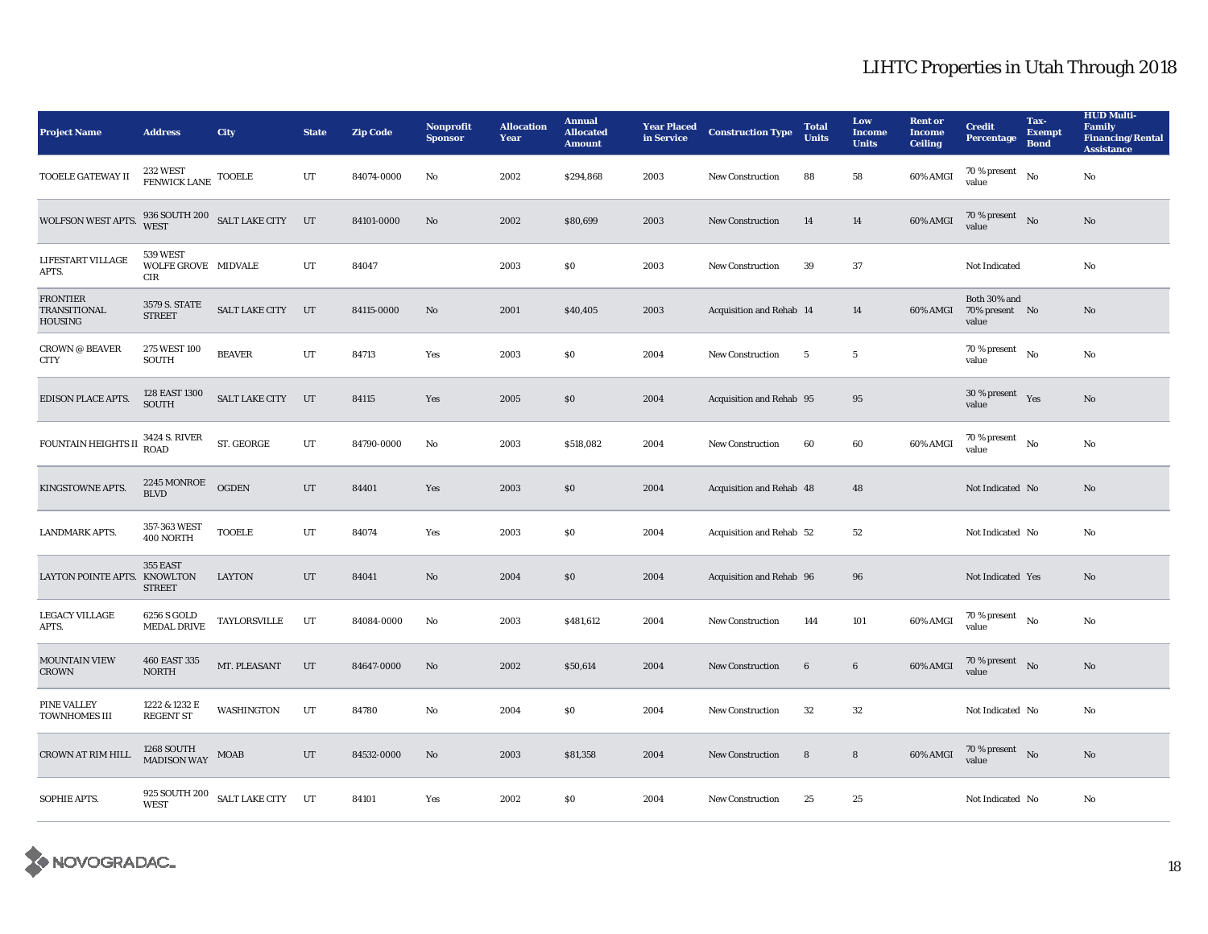| <b>Project Name</b>                                | <b>Address</b>                         | <b>City</b>                                             | <b>State</b> | <b>Zip Code</b> | <b>Nonprofit</b><br><b>Sponsor</b> | <b>Allocation</b><br>Year | <b>Annual</b><br><b>Allocated</b><br><b>Amount</b> | <b>Year Placed</b><br>in Service | <b>Construction Type</b> | <b>Total</b><br><b>Units</b> | Low<br><b>Income</b><br><b>Units</b> | <b>Rent or</b><br><b>Income</b><br><b>Ceiling</b> | <b>Credit</b><br><b>Percentage</b>      | Tax-<br><b>Exempt</b><br><b>Bond</b> | <b>HUD Multi-</b><br><b>Family</b><br><b>Financing/Rental</b><br><b>Assistance</b> |
|----------------------------------------------------|----------------------------------------|---------------------------------------------------------|--------------|-----------------|------------------------------------|---------------------------|----------------------------------------------------|----------------------------------|--------------------------|------------------------------|--------------------------------------|---------------------------------------------------|-----------------------------------------|--------------------------------------|------------------------------------------------------------------------------------|
| TOOELE GATEWAY II                                  | 232 WEST<br>FENWICK LANE TOOELE        |                                                         | UT           | 84074-0000      | No                                 | 2002                      | \$294,868                                          | 2003                             | <b>New Construction</b>  | 88                           | 58                                   | 60% AMGI                                          | 70 % present<br>value                   | No                                   | $\rm No$                                                                           |
| WOLFSON WEST APTS.                                 |                                        | $936$ SOUTH $200$ $\,$ SALT LAKE CITY $\,$ $\,$ UT WEST |              | 84101-0000      | No                                 | 2002                      | \$80,699                                           | 2003                             | <b>New Construction</b>  | 14                           | 14                                   | 60% AMGI                                          | 70 % present No<br>value                |                                      | $\mathbf{No}$                                                                      |
| LIFESTART VILLAGE<br>APTS.                         | 539 WEST<br>WOLFE GROVE MIDVALE<br>CIR |                                                         | UT           | 84047           |                                    | 2003                      | \$0\$                                              | 2003                             | <b>New Construction</b>  | 39                           | 37                                   |                                                   | Not Indicated                           |                                      | No                                                                                 |
| <b>FRONTIER</b><br>TRANSITIONAL<br><b>HOUSING</b>  | 3579 S. STATE<br><b>STREET</b>         | SALT LAKE CITY UT                                       |              | 84115-0000      | $\mathbf{N}\mathbf{o}$             | 2001                      | \$40,405                                           | 2003                             | Acquisition and Rehab 14 |                              | 14                                   | 60% AMGI                                          | Both 30% and<br>70% present No<br>value |                                      | $\mathbf{No}$                                                                      |
| <b>CROWN @ BEAVER</b><br>CITY                      | 275 WEST 100<br><b>SOUTH</b>           | <b>BEAVER</b>                                           | UT           | 84713           | Yes                                | 2003                      | \$0\$                                              | 2004                             | New Construction         | 5                            | $5\phantom{.0}$                      |                                                   | 70 % present<br>value                   | No                                   | No                                                                                 |
| <b>EDISON PLACE APTS.</b>                          | 128 EAST 1300<br><b>SOUTH</b>          | SALT LAKE CITY UT                                       |              | 84115           | Yes                                | 2005                      | \$0                                                | 2004                             | Acquisition and Rehab 95 |                              | 95                                   |                                                   | 30 % present Yes<br>value               |                                      | No                                                                                 |
| FOUNTAIN HEIGHTS II $^{3424}_{\rm{ROAD}}$ S. RIVER |                                        | ST. GEORGE                                              | $_{\rm{UT}}$ | 84790-0000      | No                                 | 2003                      | \$518,082                                          | 2004                             | <b>New Construction</b>  | 60                           | 60                                   | 60% AMGI                                          | 70 % present $N0$<br>value              |                                      | $\rm No$                                                                           |
| KINGSTOWNE APTS.                                   | 2245 MONROE<br><b>BLVD</b>             | <b>OGDEN</b>                                            | $_{\rm{UT}}$ | 84401           | Yes                                | 2003                      | $\$0$                                              | 2004                             | Acquisition and Rehab 48 |                              | 48                                   |                                                   | Not Indicated No                        |                                      | No                                                                                 |
| <b>LANDMARK APTS.</b>                              | 357-363 WEST<br>400 NORTH              | <b>TOOELE</b>                                           | UT           | 84074           | Yes                                | 2003                      | \$0\$                                              | 2004                             | Acquisition and Rehab 52 |                              | 52                                   |                                                   | Not Indicated No                        |                                      | No                                                                                 |
| LAYTON POINTE APTS. KNOWLTON                       | 355 EAST<br><b>STREET</b>              | <b>LAYTON</b>                                           | UT           | 84041           | No                                 | 2004                      | \$0                                                | 2004                             | Acquisition and Rehab 96 |                              | 96                                   |                                                   | Not Indicated Yes                       |                                      | No                                                                                 |
| <b>LEGACY VILLAGE</b><br>APTS.                     | 6256 S GOLD<br><b>MEDAL DRIVE</b>      | TAYLORSVILLE                                            | UT           | 84084-0000      | No                                 | 2003                      | \$481,612                                          | 2004                             | New Construction         | 144                          | 101                                  | 60% AMGI                                          | 70 % present $\hbox{~No}$<br>value      |                                      | No                                                                                 |
| <b>MOUNTAIN VIEW</b><br><b>CROWN</b>               | 460 EAST 335<br><b>NORTH</b>           | MT. PLEASANT                                            | UT           | 84647-0000      | No                                 | 2002                      | \$50,614                                           | 2004                             | <b>New Construction</b>  | 6                            | $6\phantom{.0}$                      | 60% AMGI                                          | 70 % present $\log$<br>value            |                                      | $\mathbf{N}\mathbf{o}$                                                             |
| PINE VALLEY<br>TOWNHOMES III                       | 1222 & 1232 E<br><b>REGENT ST</b>      | WASHINGTON                                              | UT           | 84780           | No                                 | 2004                      | \$0\$                                              | 2004                             | <b>New Construction</b>  | 32                           | 32                                   |                                                   | Not Indicated No                        |                                      | No                                                                                 |
| <b>CROWN AT RIM HILL</b>                           | 1268 SOUTH<br><b>MADISON WAY</b>       | <b>MOAB</b>                                             | UT           | 84532-0000      | $\mathbf{N}\mathbf{o}$             | 2003                      | \$81,358                                           | 2004                             | <b>New Construction</b>  | 8                            | 8                                    | 60% AMGI                                          | 70 % present $\bar{N}$ o<br>value       |                                      | $\mathbf{No}$                                                                      |
| SOPHIE APTS.                                       | <b>WEST</b>                            | 925 SOUTH 200 SALT LAKE CITY UT                         |              | 84101           | Yes                                | 2002                      | $\$0$                                              | 2004                             | New Construction         | 25                           | 25                                   |                                                   | Not Indicated No                        |                                      | No                                                                                 |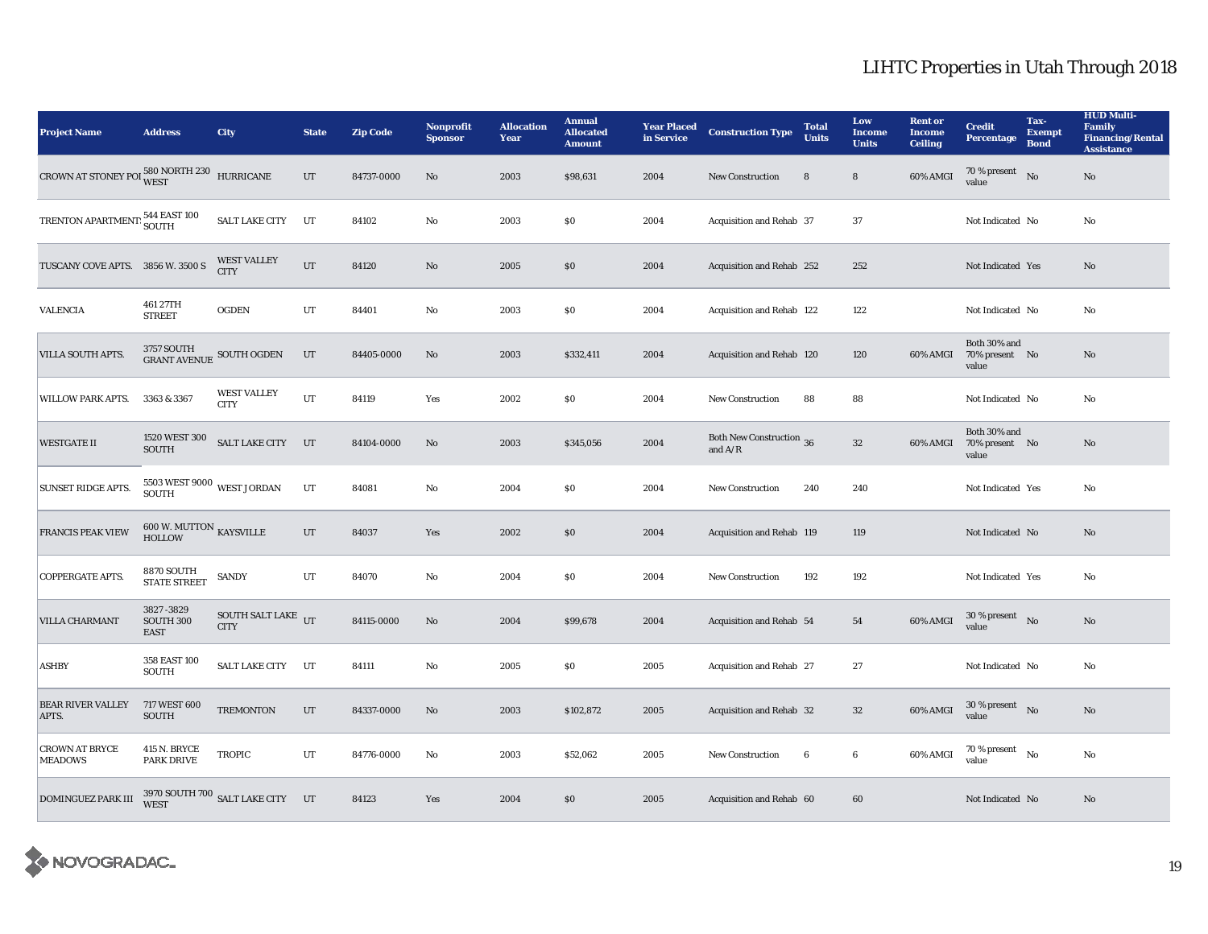| <b>Project Name</b>                                                 | <b>Address</b>                                       | <b>City</b>                                               | <b>State</b> | <b>Zip Code</b> | Nonprofit<br><b>Sponsor</b> | <b>Allocation</b><br>Year | <b>Annual</b><br><b>Allocated</b><br><b>Amount</b> | <b>Year Placed</b><br>in Service | <b>Construction Type</b>              | <b>Total</b><br><b>Units</b> | Low<br><b>Income</b><br><b>Units</b> | <b>Rent or</b><br><b>Income</b><br><b>Ceiling</b> | <b>Credit</b><br><b>Percentage</b>      | Tax-<br><b>Exempt</b><br><b>Bond</b> | <b>HUD Multi-</b><br><b>Family</b><br><b>Financing/Rental</b><br><b>Assistance</b> |
|---------------------------------------------------------------------|------------------------------------------------------|-----------------------------------------------------------|--------------|-----------------|-----------------------------|---------------------------|----------------------------------------------------|----------------------------------|---------------------------------------|------------------------------|--------------------------------------|---------------------------------------------------|-----------------------------------------|--------------------------------------|------------------------------------------------------------------------------------|
| CROWN AT STONEY POI $^{580\, \rm NORTH\, 230}_{\rm WEST}$ HURRICANE |                                                      |                                                           | $_{\rm UT}$  | 84737-0000      | $\mathbf{N}\mathbf{o}$      | 2003                      | \$98,631                                           | 2004                             | <b>New Construction</b>               | $\bf8$                       | 8                                    | 60% AMGI                                          | 70 % present<br>value                   | No                                   | $\rm No$                                                                           |
| TRENTON APARTMENT: 544 EAST 100                                     |                                                      | <b>SALT LAKE CITY</b>                                     | UT           | 84102           | No                          | 2003                      | \$0\$                                              | 2004                             | Acquisition and Rehab 37              |                              | 37                                   |                                                   | Not Indicated No                        |                                      | No                                                                                 |
| TUSCANY COVE APTS. 3856 W. 3500 S                                   |                                                      | <b>WEST VALLEY</b><br><b>CITY</b>                         | UT           | 84120           | $\mathbf{No}$               | 2005                      | $\$0$                                              | 2004                             | Acquisition and Rehab 252             |                              | 252                                  |                                                   | Not Indicated Yes                       |                                      | $\rm No$                                                                           |
| <b>VALENCIA</b>                                                     | 461 27TH<br><b>STREET</b>                            | <b>OGDEN</b>                                              | UT           | 84401           | No                          | 2003                      | \$0\$                                              | 2004                             | Acquisition and Rehab 122             |                              | 122                                  |                                                   | Not Indicated No                        |                                      | No                                                                                 |
| VILLA SOUTH APTS.                                                   |                                                      | $3757$ SOUTH $$\sf GUR$ SOUTH OGDEN $$\sf GRANT\; AVENUE$ | UT           | 84405-0000      | No                          | 2003                      | \$332,411                                          | 2004                             | Acquisition and Rehab 120             |                              | 120                                  | 60% AMGI                                          | Both 30% and<br>70% present No<br>value |                                      | No                                                                                 |
| WILLOW PARK APTS.                                                   | 3363 & 3367                                          | <b>WEST VALLEY</b><br><b>CITY</b>                         | UT           | 84119           | Yes                         | 2002                      | $\$0$                                              | 2004                             | <b>New Construction</b>               | 88                           | 88                                   |                                                   | Not Indicated No                        |                                      | No                                                                                 |
| <b>WESTGATE II</b>                                                  | 1520 WEST 300<br>SOUTH                               | SALT LAKE CITY UT                                         |              | 84104-0000      | No                          | 2003                      | \$345,056                                          | 2004                             | Both New Construction 36<br>and $A/R$ |                              | $32\,$                               | 60% AMGI                                          | Both 30% and<br>70% present No<br>value |                                      | No                                                                                 |
| <b>SUNSET RIDGE APTS.</b>                                           | $5503\,\rm{WEST}$ 9000 $\,\rm{WEST}$ JORDAN<br>SOUTH |                                                           | UT           | 84081           | No                          | 2004                      | $\$0$                                              | 2004                             | New Construction                      | 240                          | 240                                  |                                                   | Not Indicated Yes                       |                                      | No                                                                                 |
| FRANCIS PEAK VIEW                                                   | $600$ W. MUTTON $\,$ KAYSVILLE HOLLOW                |                                                           | UT           | 84037           | Yes                         | 2002                      | \$0\$                                              | 2004                             | Acquisition and Rehab 119             |                              | 119                                  |                                                   | Not Indicated No                        |                                      | No                                                                                 |
| COPPERGATE APTS.                                                    | <b>8870 SOUTH</b><br><b>STATE STREET</b>             | <b>SANDY</b>                                              | UT           | 84070           | No                          | 2004                      | $\$0$                                              | 2004                             | New Construction                      | 192                          | 192                                  |                                                   | Not Indicated Yes                       |                                      | No                                                                                 |
| <b>VILLA CHARMANT</b>                                               | 3827-3829<br>SOUTH 300<br><b>EAST</b>                | SOUTH SALT LAKE $_{\text{UT}}$<br><b>CITY</b>             |              | 84115-0000      | No                          | 2004                      | \$99,678                                           | 2004                             | Acquisition and Rehab 54              |                              | 54                                   | 60% AMGI                                          | 30 % present $N_0$<br>value             |                                      | No                                                                                 |
| <b>ASHBY</b>                                                        | 358 EAST 100<br><b>SOUTH</b>                         | <b>SALT LAKE CITY</b>                                     | UT           | 84111           | No                          | 2005                      | $\$0$                                              | 2005                             | Acquisition and Rehab 27              |                              | $\bf 27$                             |                                                   | Not Indicated No                        |                                      | No                                                                                 |
| <b>BEAR RIVER VALLEY</b><br>APTS.                                   | 717 WEST 600<br><b>SOUTH</b>                         | <b>TREMONTON</b>                                          | $_{\rm UT}$  | 84337-0000      | $\mathbf{No}$               | 2003                      | \$102,872                                          | 2005                             | Acquisition and Rehab 32              |                              | $32\,$                               | 60% AMGI                                          | $30$ % present $\hbox{~No}$<br>value    |                                      | No                                                                                 |
| <b>CROWN AT BRYCE</b><br><b>MEADOWS</b>                             | <b>415 N. BRYCE</b><br><b>PARK DRIVE</b>             | <b>TROPIC</b>                                             | UT           | 84776-0000      | No                          | 2003                      | \$52,062                                           | 2005                             | <b>New Construction</b>               | 6                            | 6                                    | 60% AMGI                                          | 70 % present<br>value                   | No                                   | No                                                                                 |
| <b>DOMINGUEZ PARK III</b>                                           |                                                      | 3970 SOUTH 700 SALT LAKE CITY UT                          |              | 84123           | Yes                         | 2004                      | \$0\$                                              | 2005                             | Acquisition and Rehab 60              |                              | 60                                   |                                                   | Not Indicated No                        |                                      | No                                                                                 |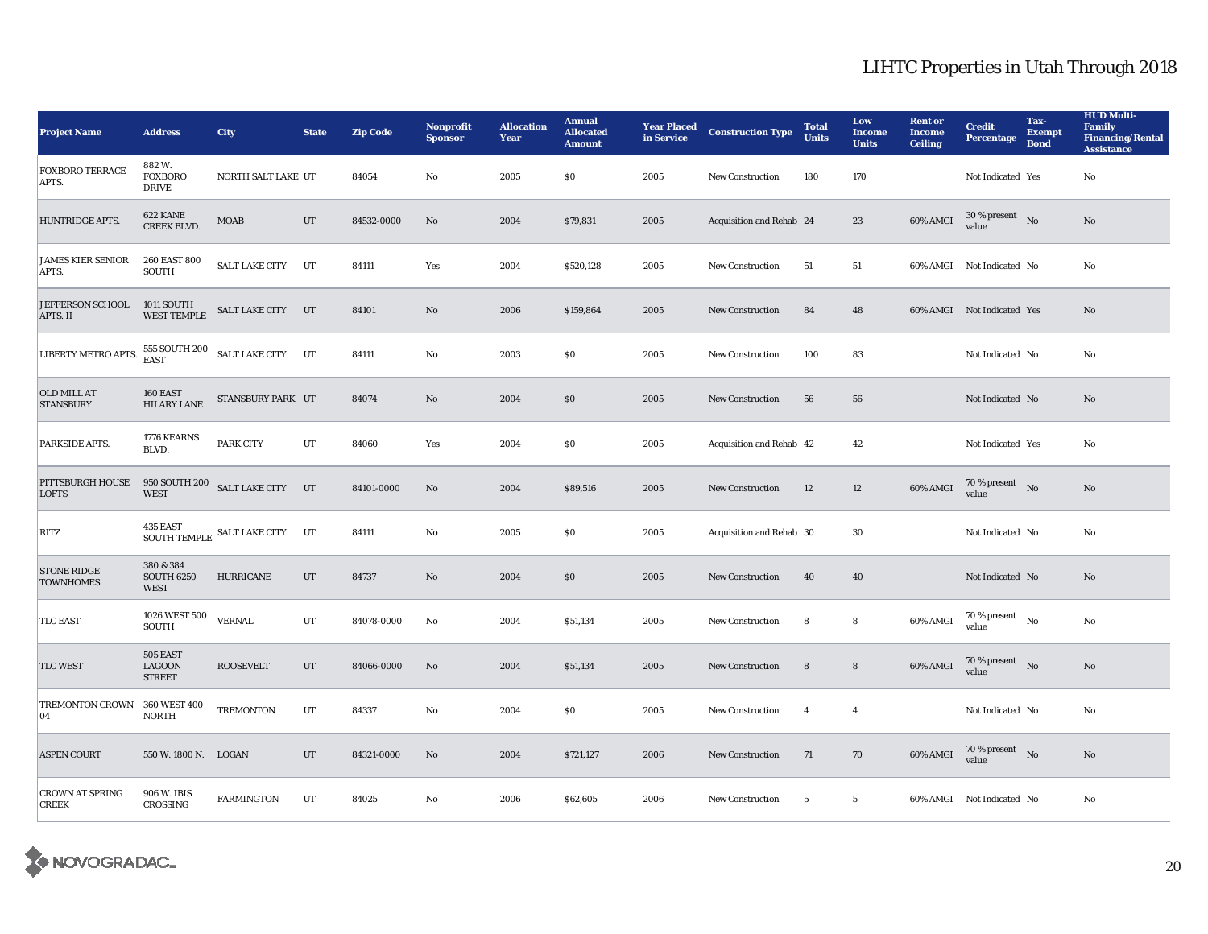| <b>Project Name</b>                    | <b>Address</b>                                | <b>City</b>                                             | <b>State</b> | <b>Zip Code</b> | <b>Nonprofit</b><br><b>Sponsor</b> | <b>Allocation</b><br>Year | <b>Annual</b><br><b>Allocated</b><br><b>Amount</b> | <b>Year Placed</b><br>in Service | <b>Construction Type</b> | <b>Total</b><br><b>Units</b> | Low<br><b>Income</b><br><b>Units</b> | <b>Rent or</b><br><b>Income</b><br><b>Ceiling</b> | <b>Credit</b><br><b>Percentage</b>         | Tax-<br><b>Exempt</b><br><b>Bond</b> | <b>HUD Multi-</b><br><b>Family</b><br><b>Financing/Rental</b><br><b>Assistance</b> |
|----------------------------------------|-----------------------------------------------|---------------------------------------------------------|--------------|-----------------|------------------------------------|---------------------------|----------------------------------------------------|----------------------------------|--------------------------|------------------------------|--------------------------------------|---------------------------------------------------|--------------------------------------------|--------------------------------------|------------------------------------------------------------------------------------|
| <b>FOXBORO TERRACE</b><br>APTS.        | 882W.<br><b>FOXBORO</b><br><b>DRIVE</b>       | NORTH SALT LAKE UT                                      |              | 84054           | No                                 | 2005                      | $\$0$                                              | 2005                             | New Construction         | 180                          | 170                                  |                                                   | Not Indicated Yes                          |                                      | $\rm No$                                                                           |
| HUNTRIDGE APTS.                        | 622 KANE<br><b>CREEK BLVD.</b>                | <b>MOAB</b>                                             | UT           | 84532-0000      | No                                 | 2004                      | \$79,831                                           | 2005                             | Acquisition and Rehab 24 |                              | 23                                   | 60% AMGI                                          | $30$ % present $\;\;$ No $\;$<br>value     |                                      | $\rm No$                                                                           |
| <b>JAMES KIER SENIOR</b><br>APTS.      | 260 EAST 800<br><b>SOUTH</b>                  | SALT LAKE CITY UT                                       |              | 84111           | Yes                                | 2004                      | \$520,128                                          | 2005                             | <b>New Construction</b>  | 51                           | 51                                   |                                                   | 60% AMGI Not Indicated No                  |                                      | No                                                                                 |
| JEFFERSON SCHOOL<br>APTS. II           | 1011 SOUTH<br>WEST TEMPLE                     | SALT LAKE CITY UT                                       |              | 84101           | No                                 | 2006                      | \$159,864                                          | 2005                             | New Construction         | 84                           | 48                                   |                                                   | 60% AMGI Not Indicated Yes                 |                                      | No                                                                                 |
| LIBERTY METRO APTS.                    |                                               | $555$ SOUTH $200$ $\,$ SALT LAKE CITY $\,$ UT $\,$ EAST |              | 84111           | No                                 | 2003                      | \$0                                                | 2005                             | New Construction         | 100                          | 83                                   |                                                   | Not Indicated No                           |                                      | No                                                                                 |
| OLD MILL AT<br><b>STANSBURY</b>        | 160 EAST<br><b>HILARY LANE</b>                | STANSBURY PARK UT                                       |              | 84074           | No                                 | 2004                      | \$0                                                | 2005                             | <b>New Construction</b>  | 56                           | 56                                   |                                                   | Not Indicated No                           |                                      | No                                                                                 |
| PARKSIDE APTS.                         | 1776 KEARNS<br>BLVD.                          | <b>PARK CITY</b>                                        | UT           | 84060           | Yes                                | 2004                      | $\$0$                                              | 2005                             | Acquisition and Rehab 42 |                              | 42                                   |                                                   | Not Indicated Yes                          |                                      | No                                                                                 |
| PITTSBURGH HOUSE<br><b>LOFTS</b>       | <b>WEST</b>                                   | 950 SOUTH 200 SALT LAKE CITY UT                         |              | 84101-0000      | No                                 | 2004                      | \$89,516                                           | 2005                             | New Construction         | 12                           | 12                                   | 60% AMGI                                          | $70\%$ present No<br>value                 |                                      | No                                                                                 |
| RITZ                                   |                                               |                                                         |              | 84111           | No                                 | 2005                      | \$0                                                | 2005                             | Acquisition and Rehab 30 |                              | 30                                   |                                                   | Not Indicated No                           |                                      | No                                                                                 |
| <b>STONE RIDGE</b><br><b>TOWNHOMES</b> | 380 & 384<br><b>SOUTH 6250</b><br><b>WEST</b> | <b>HURRICANE</b>                                        | UT           | 84737           | No                                 | 2004                      | \$0                                                | 2005                             | <b>New Construction</b>  | 40                           | 40                                   |                                                   | Not Indicated No                           |                                      | No                                                                                 |
| <b>TLC EAST</b>                        | 1026 WEST 500<br><b>SOUTH</b>                 | <b>VERNAL</b>                                           | UT           | 84078-0000      | No                                 | 2004                      | \$51,134                                           | 2005                             | New Construction         | 8                            | 8                                    | 60% AMGI                                          | $70$ % present $\quad$ No $\quad$<br>value |                                      | $\rm No$                                                                           |
| <b>TLC WEST</b>                        | 505 EAST<br>LAGOON<br><b>STREET</b>           | <b>ROOSEVELT</b>                                        | UT           | 84066-0000      | $\rm No$                           | 2004                      | \$51,134                                           | 2005                             | <b>New Construction</b>  | 8                            | 8                                    | 60% AMGI                                          | $70$ % present $\;\;$ No $\;$<br>value     |                                      | $\rm No$                                                                           |
| TREMONTON CROWN<br>04                  | 360 WEST 400<br><b>NORTH</b>                  | TREMONTON                                               | UT           | 84337           | No                                 | 2004                      | \$0                                                | 2005                             | <b>New Construction</b>  | $\overline{4}$               | $\overline{4}$                       |                                                   | Not Indicated No                           |                                      | No                                                                                 |
| <b>ASPEN COURT</b>                     | 550 W. 1800 N. LOGAN                          |                                                         | UT           | 84321-0000      | No                                 | 2004                      | \$721,127                                          | 2006                             | <b>New Construction</b>  | 71                           | 70                                   | 60% AMGI                                          | 70 % present $N_0$<br>value                |                                      | No                                                                                 |
| <b>CROWN AT SPRING</b><br><b>CREEK</b> | 906 W. IBIS<br>CROSSING                       | <b>FARMINGTON</b>                                       | UT           | 84025           | No                                 | 2006                      | \$62,605                                           | 2006                             | New Construction         | $5\phantom{.0}$              | $5\phantom{.0}$                      |                                                   | 60% AMGI Not Indicated No                  |                                      | No                                                                                 |

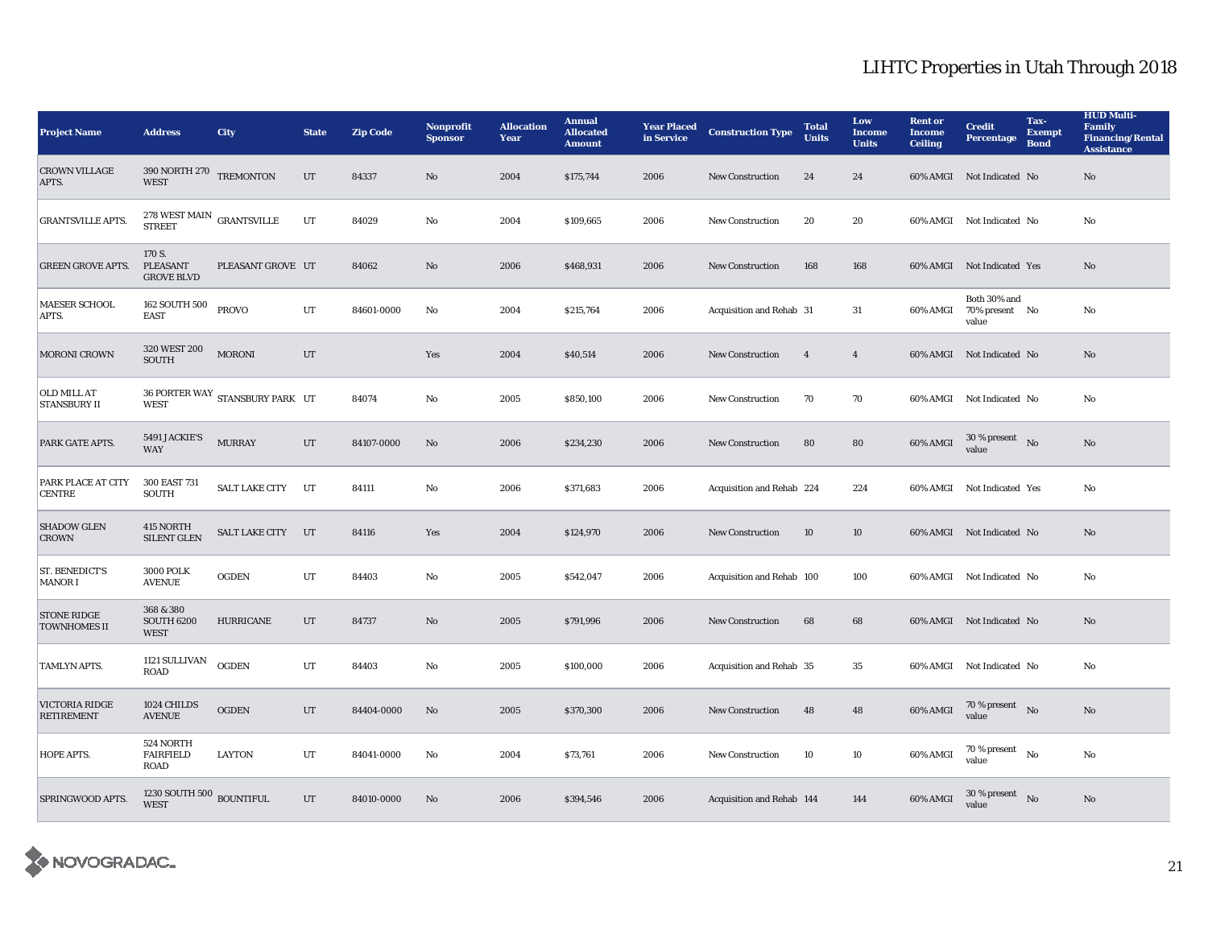| <b>Project Name</b>                       | <b>Address</b>                                         | <b>City</b>                     | <b>State</b> | <b>Zip Code</b> | Nonprofit<br><b>Sponsor</b> | <b>Allocation</b><br>Year | <b>Annual</b><br><b>Allocated</b><br><b>Amount</b> | <b>Year Placed</b><br>in Service | <b>Construction Type</b>  | <b>Total</b><br><b>Units</b> | Low<br><b>Income</b><br><b>Units</b> | <b>Rent or</b><br><b>Income</b><br><b>Ceiling</b> | <b>Credit</b><br><b>Percentage</b>         | Tax-<br><b>Exempt</b><br><b>Bond</b> | <b>HUD Multi-</b><br><b>Family</b><br><b>Financing/Rental</b><br><b>Assistance</b> |
|-------------------------------------------|--------------------------------------------------------|---------------------------------|--------------|-----------------|-----------------------------|---------------------------|----------------------------------------------------|----------------------------------|---------------------------|------------------------------|--------------------------------------|---------------------------------------------------|--------------------------------------------|--------------------------------------|------------------------------------------------------------------------------------|
| <b>CROWN VILLAGE</b><br>APTS.             | $390$ NORTH $270$ $$\,$ TREMONTON $\,$<br><b>WEST</b>  |                                 | UT           | 84337           | $\mathbf{N}\mathbf{o}$      | 2004                      | \$175,744                                          | 2006                             | <b>New Construction</b>   | 24                           | 24                                   |                                                   | 60% AMGI Not Indicated No                  |                                      | No                                                                                 |
| <b>GRANTSVILLE APTS.</b>                  | $278~\rm{WEST}$ MAIN $\,$ GRANTSVILLE<br><b>STREET</b> |                                 | UT           | 84029           | No                          | 2004                      | \$109,665                                          | 2006                             | <b>New Construction</b>   | 20                           | 20                                   |                                                   | 60% AMGI Not Indicated No                  |                                      | No                                                                                 |
| <b>GREEN GROVE APTS.</b>                  | 170 S.<br>PLEASANT<br><b>GROVE BLVD</b>                | PLEASANT GROVE UT               |              | 84062           | No                          | 2006                      | \$468,931                                          | 2006                             | <b>New Construction</b>   | 168                          | 168                                  |                                                   | 60% AMGI Not Indicated Yes                 |                                      | No                                                                                 |
| <b>MAESER SCHOOL</b><br>APTS.             | 162 SOUTH 500<br><b>EAST</b>                           | <b>PROVO</b>                    | UT           | 84601-0000      | No                          | 2004                      | \$215,764                                          | 2006                             | Acquisition and Rehab 31  |                              | 31                                   | 60% AMGI                                          | Both 30% and<br>70% present No<br>value    |                                      | No                                                                                 |
| <b>MORONI CROWN</b>                       | 320 WEST 200<br><b>SOUTH</b>                           | <b>MORONI</b>                   | UT           |                 | Yes                         | 2004                      | \$40,514                                           | 2006                             | <b>New Construction</b>   | $\overline{4}$               | $\overline{4}$                       |                                                   | 60% AMGI Not Indicated No                  |                                      | No                                                                                 |
| OLD MILL AT<br><b>STANSBURY II</b>        | <b>WEST</b>                                            | 36 PORTER WAY STANSBURY PARK UT |              | 84074           | No                          | 2005                      | \$850,100                                          | 2006                             | New Construction          | 70                           | 70                                   |                                                   | 60% AMGI Not Indicated No                  |                                      | No                                                                                 |
| PARK GATE APTS.                           | 5491 JACKIE'S<br><b>WAY</b>                            | <b>MURRAY</b>                   | UT           | 84107-0000      | No                          | 2006                      | \$234,230                                          | 2006                             | <b>New Construction</b>   | 80                           | 80                                   | 60% AMGI                                          | $30\,\%$ present $\;$ No $\;$<br>value     |                                      | No                                                                                 |
| PARK PLACE AT CITY<br><b>CENTRE</b>       | 300 EAST 731<br><b>SOUTH</b>                           | <b>SALT LAKE CITY</b>           | UT           | 84111           | No                          | 2006                      | \$371,683                                          | 2006                             | Acquisition and Rehab 224 |                              | 224                                  |                                                   | 60% AMGI Not Indicated Yes                 |                                      | No                                                                                 |
| <b>SHADOW GLEN</b><br><b>CROWN</b>        | 415 NORTH<br><b>SILENT GLEN</b>                        | <b>SALT LAKE CITY</b>           | UT           | 84116           | Yes                         | 2004                      | \$124,970                                          | 2006                             | <b>New Construction</b>   | 10                           | 10                                   |                                                   | 60% AMGI Not Indicated No                  |                                      | No                                                                                 |
| ST. BENEDICT'S<br>MANOR I                 | <b>3000 POLK</b><br><b>AVENUE</b>                      | <b>OGDEN</b>                    | $_{\rm UT}$  | 84403           | No                          | 2005                      | \$542,047                                          | 2006                             | Acquisition and Rehab 100 |                              | 100                                  |                                                   | 60% AMGI Not Indicated No                  |                                      | No                                                                                 |
| <b>STONE RIDGE</b><br><b>TOWNHOMES II</b> | 368 & 380<br><b>SOUTH 6200</b><br><b>WEST</b>          | <b>HURRICANE</b>                | UT           | 84737           | No                          | 2005                      | \$791,996                                          | 2006                             | <b>New Construction</b>   | 68                           | 68                                   |                                                   | 60% AMGI Not Indicated No                  |                                      | No                                                                                 |
| <b>TAMLYN APTS.</b>                       | 1121 SULLIVAN<br><b>ROAD</b>                           | <b>OGDEN</b>                    | UT           | 84403           | No.                         | 2005                      | \$100,000                                          | 2006                             | Acquisition and Rehab 35  |                              | 35                                   |                                                   | 60% AMGI Not Indicated No                  |                                      | No                                                                                 |
| VICTORIA RIDGE<br><b>RETIREMENT</b>       | 1024 CHILDS<br><b>AVENUE</b>                           | <b>OGDEN</b>                    | UT           | 84404-0000      | $\mathbf{No}$               | 2005                      | \$370,300                                          | 2006                             | <b>New Construction</b>   | 48                           | 48                                   | 60% AMGI                                          | $70\,\%$ present $$$ No value              |                                      | No                                                                                 |
| HOPE APTS.                                | 524 NORTH<br><b>FAIRFIELD</b><br><b>ROAD</b>           | <b>LAYTON</b>                   | UT           | 84041-0000      | No                          | 2004                      | \$73,761                                           | 2006                             | <b>New Construction</b>   | 10                           | 10                                   | 60% AMGI                                          | $70$ % present $\quad$ No $\quad$<br>value |                                      | No                                                                                 |
| SPRINGWOOD APTS.                          | 1230 SOUTH 500 $_{\rm BOUNTIFUL}$<br><b>WEST</b>       |                                 | UT           | 84010-0000      | No                          | 2006                      | \$394,546                                          | 2006                             | Acquisition and Rehab 144 |                              | 144                                  | 60% AMGI                                          | 30 % present<br>value                      | No                                   | No                                                                                 |

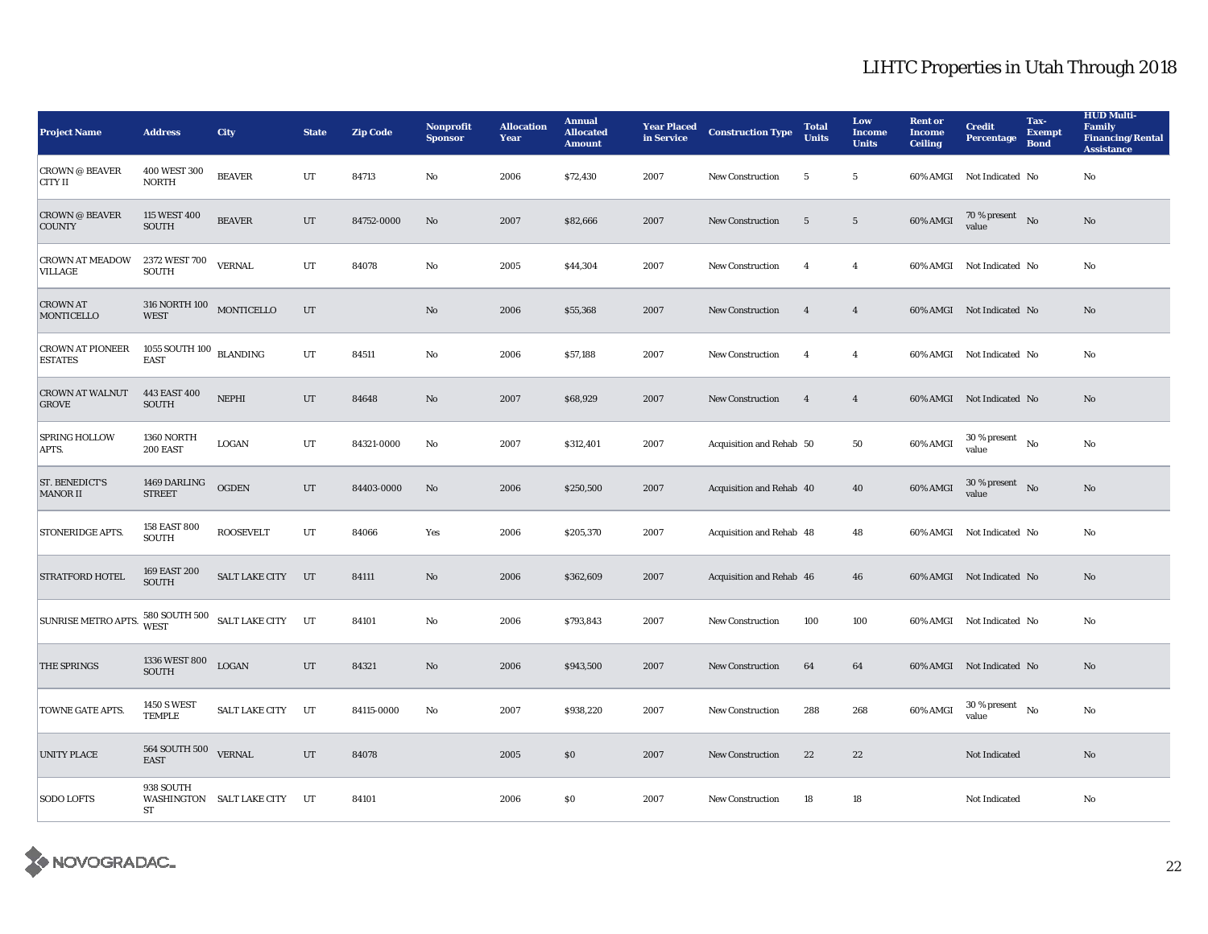| <b>Project Name</b>                       | <b>Address</b>                                  | <b>City</b>                     | <b>State</b> | <b>Zip Code</b> | Nonprofit<br><b>Sponsor</b> | <b>Allocation</b><br>Year | <b>Annual</b><br><b>Allocated</b><br><b>Amount</b> | <b>Year Placed</b><br>in Service | <b>Construction Type</b> | <b>Total</b><br><b>Units</b> | Low<br><b>Income</b><br><b>Units</b> | <b>Rent or</b><br><b>Income</b><br><b>Ceiling</b> | <b>Credit</b><br><b>Percentage</b>         | Tax-<br><b>Exempt</b><br><b>Bond</b> | <b>HUD Multi-</b><br><b>Family</b><br><b>Financing/Rental</b><br><b>Assistance</b> |
|-------------------------------------------|-------------------------------------------------|---------------------------------|--------------|-----------------|-----------------------------|---------------------------|----------------------------------------------------|----------------------------------|--------------------------|------------------------------|--------------------------------------|---------------------------------------------------|--------------------------------------------|--------------------------------------|------------------------------------------------------------------------------------|
| <b>CROWN @ BEAVER</b><br>CITY II          | 400 WEST 300<br><b>NORTH</b>                    | <b>BEAVER</b>                   | $_{\rm UT}$  | 84713           | $\mathbf{N}\mathbf{o}$      | 2006                      | \$72,430                                           | 2007                             | New Construction         | 5                            | $5\phantom{.0}$                      | 60% AMGI                                          | Not Indicated No                           |                                      | No                                                                                 |
| <b>CROWN @ BEAVER</b><br><b>COUNTY</b>    | 115 WEST 400<br><b>SOUTH</b>                    | <b>BEAVER</b>                   | $_{\rm UT}$  | 84752-0000      | No                          | 2007                      | \$82,666                                           | 2007                             | New Construction         | $5\phantom{.0}$              | $5\phantom{.0}$                      | 60% AMGI                                          | 70 % present No<br>value                   |                                      | No                                                                                 |
| <b>CROWN AT MEADOW</b><br><b>VILLAGE</b>  | 2372 WEST 700<br><b>SOUTH</b>                   | <b>VERNAL</b>                   | UT           | 84078           | No                          | 2005                      | \$44,304                                           | 2007                             | <b>New Construction</b>  | $\overline{4}$               | $\overline{4}$                       |                                                   | 60% AMGI Not Indicated No                  |                                      | No                                                                                 |
| <b>CROWN AT</b><br><b>MONTICELLO</b>      | 316 NORTH 100 MONTICELLO<br><b>WEST</b>         |                                 | UT           |                 | No                          | 2006                      | \$55,368                                           | 2007                             | <b>New Construction</b>  | $\overline{4}$               | $\overline{4}$                       |                                                   | 60% AMGI Not Indicated No                  |                                      | No                                                                                 |
| <b>CROWN AT PIONEER</b><br><b>ESTATES</b> | 1055 SOUTH 100 $_{\rm BLANDING}$<br><b>EAST</b> |                                 | UT           | 84511           | No                          | 2006                      | \$57,188                                           | 2007                             | <b>New Construction</b>  | $\overline{4}$               | $\overline{4}$                       |                                                   | 60% AMGI Not Indicated No                  |                                      | No                                                                                 |
| <b>CROWN AT WALNUT</b><br><b>GROVE</b>    | 443 EAST 400<br><b>SOUTH</b>                    | <b>NEPHI</b>                    | $_{\rm UT}$  | 84648           | No                          | 2007                      | \$68,929                                           | 2007                             | New Construction         | $\overline{\mathbf{4}}$      | $\overline{4}$                       |                                                   | 60% AMGI Not Indicated No                  |                                      | No                                                                                 |
| <b>SPRING HOLLOW</b><br>APTS.             | 1360 NORTH<br>200 EAST                          | <b>LOGAN</b>                    | UT           | 84321-0000      | No                          | 2007                      | \$312,401                                          | 2007                             | Acquisition and Rehab 50 |                              | 50                                   | 60% AMGI                                          | $30$ % present $_{\rm ~No}$<br>value       |                                      | No                                                                                 |
| <b>ST. BENEDICT'S</b><br><b>MANOR II</b>  | 1469 DARLING<br><b>STREET</b>                   | <b>OGDEN</b>                    | UT           | 84403-0000      | No                          | 2006                      | \$250,500                                          | 2007                             | Acquisition and Rehab 40 |                              | 40                                   | 60% AMGI                                          | $30\%$ present No<br>value                 |                                      | No                                                                                 |
| <b>STONERIDGE APTS.</b>                   | 158 EAST 800<br><b>SOUTH</b>                    | <b>ROOSEVELT</b>                | $_{\rm UT}$  | 84066           | Yes                         | 2006                      | \$205,370                                          | 2007                             | Acquisition and Rehab 48 |                              | 48                                   |                                                   | 60% AMGI Not Indicated No                  |                                      | No                                                                                 |
| <b>STRATFORD HOTEL</b>                    | 169 EAST 200<br><b>SOUTH</b>                    | SALT LAKE CITY UT               |              | 84111           | No                          | 2006                      | \$362,609                                          | 2007                             | Acquisition and Rehab 46 |                              | 46                                   |                                                   | 60% AMGI Not Indicated No                  |                                      | No                                                                                 |
| SUNRISE METRO APTS.                       |                                                 | 580 SOUTH 500 SALT LAKE CITY UT |              | 84101           | No                          | 2006                      | \$793,843                                          | 2007                             | New Construction         | 100                          | 100                                  |                                                   | 60% AMGI Not Indicated No                  |                                      | No                                                                                 |
| <b>THE SPRINGS</b>                        | 1336 WEST 800<br><b>SOUTH</b>                   | <b>LOGAN</b>                    | UT           | 84321           | No                          | 2006                      | \$943,500                                          | 2007                             | <b>New Construction</b>  | 64                           | 64                                   |                                                   | 60% AMGI Not Indicated No                  |                                      | No                                                                                 |
| TOWNE GATE APTS.                          | <b>1450 S WEST</b><br><b>TEMPLE</b>             | <b>SALT LAKE CITY</b>           | UT           | 84115-0000      | No                          | 2007                      | \$938,220                                          | 2007                             | <b>New Construction</b>  | 288                          | 268                                  | 60% AMGI                                          | $30$ % present $\quad$ No $\quad$<br>value |                                      | No                                                                                 |
| <b>UNITY PLACE</b>                        | 564 SOUTH 500<br><b>EAST</b>                    | <b>VERNAL</b>                   | $_{\rm UT}$  | 84078           |                             | 2005                      | $\$0$                                              | 2007                             | New Construction         | 22                           | 22                                   |                                                   | Not Indicated                              |                                      | No                                                                                 |
| <b>SODO LOFTS</b>                         | 938 SOUTH<br>ST                                 | WASHINGTON SALT LAKE CITY       | UT           | 84101           |                             | 2006                      | $\$0$                                              | 2007                             | New Construction         | 18                           | 18                                   |                                                   | Not Indicated                              |                                      | No                                                                                 |

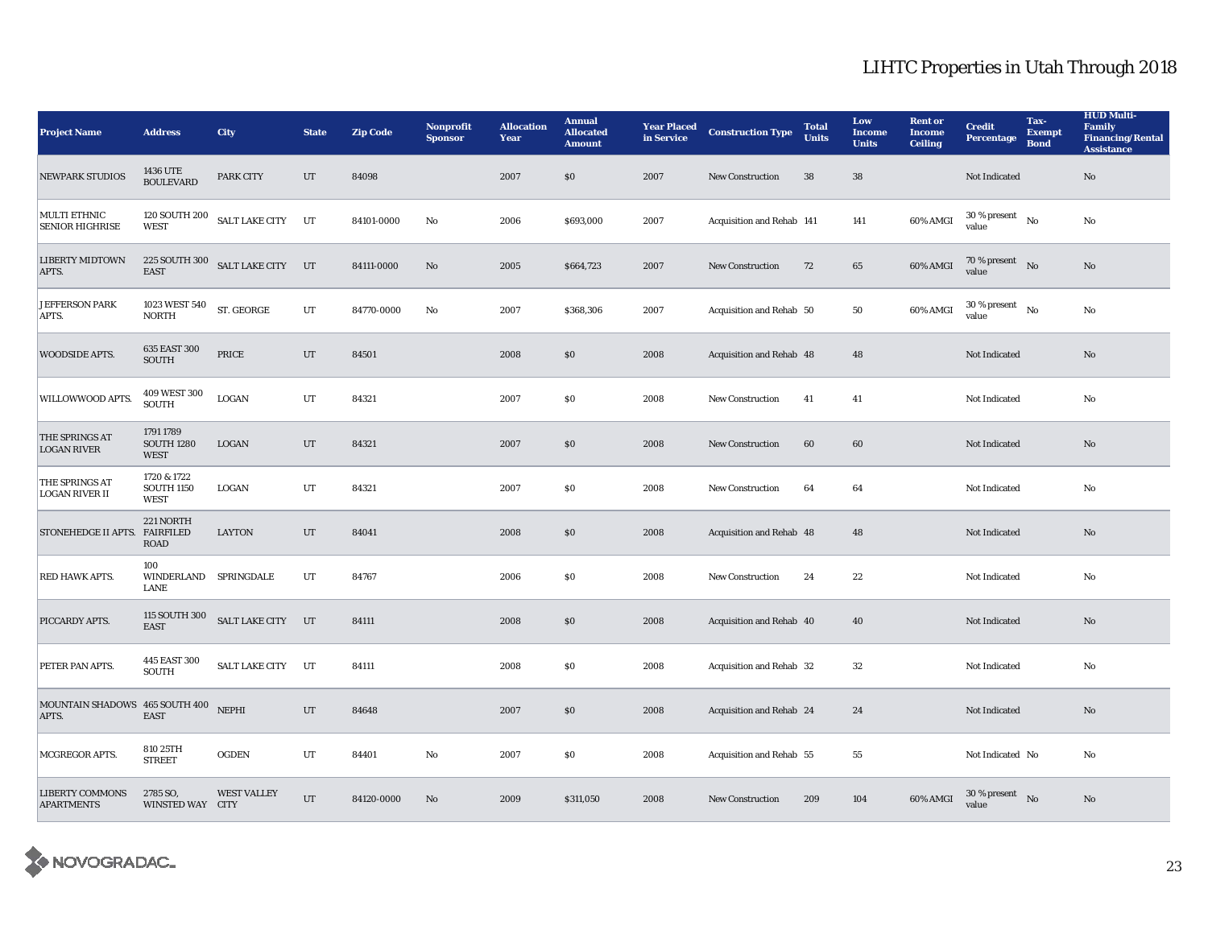| <b>Project Name</b>                         | <b>Address</b>                                  | <b>City</b>           | <b>State</b> | <b>Zip Code</b> | <b>Nonprofit</b><br><b>Sponsor</b> | <b>Allocation</b><br>Year | <b>Annual</b><br><b>Allocated</b><br><b>Amount</b> | <b>Year Placed</b><br>in Service | <b>Construction Type</b>  | <b>Total</b><br><b>Units</b> | Low<br><b>Income</b><br><b>Units</b> | <b>Rent or</b><br><b>Income</b><br><b>Ceiling</b> | <b>Credit</b><br><b>Percentage</b>   | Tax-<br><b>Exempt</b><br><b>Bond</b> | <b>HUD Multi-</b><br><b>Family</b><br><b>Financing/Rental</b><br><b>Assistance</b> |
|---------------------------------------------|-------------------------------------------------|-----------------------|--------------|-----------------|------------------------------------|---------------------------|----------------------------------------------------|----------------------------------|---------------------------|------------------------------|--------------------------------------|---------------------------------------------------|--------------------------------------|--------------------------------------|------------------------------------------------------------------------------------|
| <b>NEWPARK STUDIOS</b>                      | <b>1436 UTE</b><br><b>BOULEVARD</b>             | PARK CITY             | $_{\rm UT}$  | 84098           |                                    | 2007                      | \$0                                                | 2007                             | New Construction          | 38                           | 38                                   |                                                   | Not Indicated                        |                                      | $\rm No$                                                                           |
| MULTI ETHNIC<br><b>SENIOR HIGHRISE</b>      | 120 SOUTH 200<br><b>WEST</b>                    | <b>SALT LAKE CITY</b> | UT           | 84101-0000      | No                                 | 2006                      | \$693,000                                          | 2007                             | Acquisition and Rehab 141 |                              | 141                                  | 60% AMGI                                          | $30$ % present $\hbox{~No}$<br>value |                                      | No                                                                                 |
| <b>LIBERTY MIDTOWN</b><br>APTS.             | 225 SOUTH 300<br><b>EAST</b>                    | SALT LAKE CITY UT     |              | 84111-0000      | No                                 | 2005                      | \$664,723                                          | 2007                             | New Construction          | 72                           | 65                                   | 60% AMGI                                          | 70 % present $N0$<br>value           |                                      | No                                                                                 |
| <b>JEFFERSON PARK</b><br>APTS.              | 1023 WEST 540<br><b>NORTH</b>                   | ST. GEORGE            | UT           | 84770-0000      | No                                 | 2007                      | \$368,306                                          | 2007                             | Acquisition and Rehab 50  |                              | 50                                   | 60% AMGI                                          | 30 % present<br>value                | $\mathbf{N}$ o                       | No                                                                                 |
| <b>WOODSIDE APTS.</b>                       | 635 EAST 300<br><b>SOUTH</b>                    | PRICE                 | UT           | 84501           |                                    | 2008                      | \$0                                                | 2008                             | Acquisition and Rehab 48  |                              | 48                                   |                                                   | Not Indicated                        |                                      | No                                                                                 |
| WILLOWWOOD APTS.                            | 409 WEST 300<br><b>SOUTH</b>                    | LOGAN                 | UT           | 84321           |                                    | 2007                      | $\$0$                                              | 2008                             | <b>New Construction</b>   | 41                           | 41                                   |                                                   | Not Indicated                        |                                      | No                                                                                 |
| THE SPRINGS AT<br><b>LOGAN RIVER</b>        | 1791 1789<br><b>SOUTH 1280</b><br><b>WEST</b>   | LOGAN                 | UT           | 84321           |                                    | 2007                      | \$0                                                | 2008                             | <b>New Construction</b>   | 60                           | 60                                   |                                                   | Not Indicated                        |                                      | $\rm No$                                                                           |
| THE SPRINGS AT<br><b>LOGAN RIVER II</b>     | 1720 & 1722<br><b>SOUTH 1150</b><br><b>WEST</b> | LOGAN                 | $_{\rm UT}$  | 84321           |                                    | 2007                      | $\$0$                                              | 2008                             | New Construction          | 64                           | 64                                   |                                                   | Not Indicated                        |                                      | No                                                                                 |
| STONEHEDGE II APTS. FAIRFILED               | 221 NORTH<br><b>ROAD</b>                        | <b>LAYTON</b>         | UT           | 84041           |                                    | 2008                      | \$0                                                | 2008                             | Acquisition and Rehab 48  |                              | 48                                   |                                                   | Not Indicated                        |                                      | $\rm No$                                                                           |
| RED HAWK APTS.                              | 100<br>WINDERLAND SPRINGDALE<br>LANE            |                       | $_{\rm UT}$  | 84767           |                                    | 2006                      | \$0                                                | 2008                             | New Construction          | 24                           | 22                                   |                                                   | Not Indicated                        |                                      | No                                                                                 |
| PICCARDY APTS.                              | 115 SOUTH 300<br><b>EAST</b>                    | SALT LAKE CITY UT     |              | 84111           |                                    | 2008                      | \$0                                                | 2008                             | Acquisition and Rehab 40  |                              | 40                                   |                                                   | Not Indicated                        |                                      | No                                                                                 |
| PETER PAN APTS.                             | 445 EAST 300<br><b>SOUTH</b>                    | SALT LAKE CITY UT     |              | 84111           |                                    | 2008                      | $\$0$                                              | 2008                             | Acquisition and Rehab 32  |                              | $32\,$                               |                                                   | Not Indicated                        |                                      | $\rm No$                                                                           |
| MOUNTAIN SHADOWS 465 SOUTH 400<br>APTS.     | <b>EAST</b>                                     | <b>NEPHI</b>          | $_{\rm UT}$  | 84648           |                                    | 2007                      | \$0                                                | 2008                             | Acquisition and Rehab 24  |                              | 24                                   |                                                   | Not Indicated                        |                                      | $\rm No$                                                                           |
| MCGREGOR APTS.                              | 810 25TH<br><b>STREET</b>                       | <b>OGDEN</b>          | UT           | 84401           | No                                 | 2007                      | \$0                                                | 2008                             | Acquisition and Rehab 55  |                              | 55                                   |                                                   | Not Indicated No                     |                                      | No                                                                                 |
| <b>LIBERTY COMMONS</b><br><b>APARTMENTS</b> | 2785 SO.<br>WINSTED WAY CITY                    | <b>WEST VALLEY</b>    | UT           | 84120-0000      | No                                 | 2009                      | \$311,050                                          | 2008                             | <b>New Construction</b>   | 209                          | 104                                  | 60% AMGI                                          | $30$ % present $\hbox{~No}$<br>value |                                      | No                                                                                 |

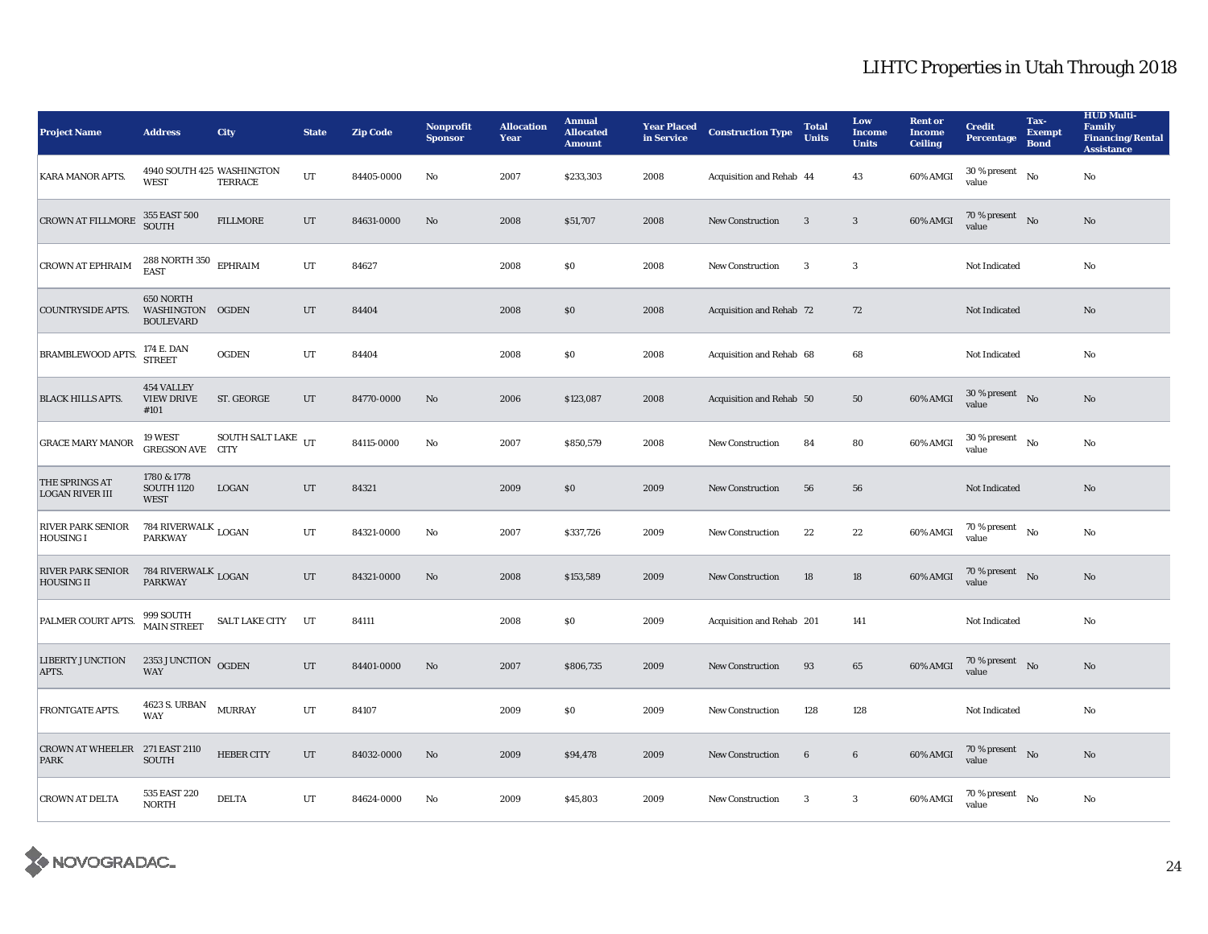| <b>Project Name</b>                           | <b>Address</b>                                    | <b>City</b>                  | <b>State</b> | <b>Zip Code</b> | Nonprofit<br><b>Sponsor</b> | <b>Allocation</b><br>Year | <b>Annual</b><br><b>Allocated</b><br><b>Amount</b> | <b>Year Placed</b><br>in Service | <b>Construction Type</b>  | <b>Total</b><br><b>Units</b> | Low<br><b>Income</b><br><b>Units</b> | <b>Rent or</b><br><b>Income</b><br><b>Ceiling</b> | <b>Credit</b><br><b>Percentage</b>         | Tax-<br><b>Exempt</b><br><b>Bond</b> | <b>HUD Multi-</b><br><b>Family</b><br><b>Financing/Rental</b><br><b>Assistance</b> |
|-----------------------------------------------|---------------------------------------------------|------------------------------|--------------|-----------------|-----------------------------|---------------------------|----------------------------------------------------|----------------------------------|---------------------------|------------------------------|--------------------------------------|---------------------------------------------------|--------------------------------------------|--------------------------------------|------------------------------------------------------------------------------------|
| KARA MANOR APTS.                              | 4940 SOUTH 425 WASHINGTON<br><b>WEST</b>          | TERRACE                      | $_{\rm UT}$  | 84405-0000      | No                          | 2007                      | \$233,303                                          | 2008                             | Acquisition and Rehab 44  |                              | 43                                   | 60% AMGI                                          | 30 % present<br>value                      | No                                   | $\rm No$                                                                           |
| <b>CROWN AT FILLMORE</b>                      | 355 EAST 500<br><b>SOUTH</b>                      | <b>FILLMORE</b>              | $_{\rm{UT}}$ | 84631-0000      | No                          | 2008                      | \$51,707                                           | 2008                             | New Construction          | $\overline{\mathbf{3}}$      | $\mathbf{3}$                         | 60% AMGI                                          | 70 % present No<br>value                   |                                      | No                                                                                 |
| <b>CROWN AT EPHRAIM</b>                       | 288 NORTH 350 $\,$ EPHRAIM<br><b>EAST</b>         |                              | UT           | 84627           |                             | 2008                      | \$0\$                                              | 2008                             | <b>New Construction</b>   | $\mathbf{3}$                 | 3                                    |                                                   | Not Indicated                              |                                      | No                                                                                 |
| <b>COUNTRYSIDE APTS.</b>                      | 650 NORTH<br>WASHINGTON OGDEN<br><b>BOULEVARD</b> |                              | UT           | 84404           |                             | 2008                      | \$0\$                                              | 2008                             | Acquisition and Rehab 72  |                              | 72                                   |                                                   | Not Indicated                              |                                      | No                                                                                 |
| <b>BRAMBLEWOOD APTS.</b>                      | 174 E. DAN<br><b>STREET</b>                       | <b>OGDEN</b>                 | UT           | 84404           |                             | 2008                      | $\$0$                                              | 2008                             | Acquisition and Rehab 68  |                              | 68                                   |                                                   | Not Indicated                              |                                      | No                                                                                 |
| <b>BLACK HILLS APTS.</b>                      | 454 VALLEY<br><b>VIEW DRIVE</b><br>#101           | ST. GEORGE                   | UT           | 84770-0000      | No                          | 2006                      | \$123,087                                          | 2008                             | Acquisition and Rehab 50  |                              | 50                                   | 60% AMGI                                          | $30$ % present $\hbox{~No}$<br>value       |                                      | No                                                                                 |
| <b>GRACE MARY MANOR</b>                       | 19 WEST<br><b>GREGSON AVE CITY</b>                | SOUTH SALT LAKE $_{\rm{UT}}$ |              | 84115-0000      | No                          | 2007                      | \$850,579                                          | 2008                             | New Construction          | 84                           | 80                                   | 60% AMGI                                          | $30$ % present $\quad$ No $\quad$<br>value |                                      | $\rm No$                                                                           |
| THE SPRINGS AT<br><b>LOGAN RIVER III</b>      | 1780 & 1778<br><b>SOUTH 1120</b><br><b>WEST</b>   | LOGAN                        | UT           | 84321           |                             | 2009                      | \$0\$                                              | 2009                             | New Construction          | 56                           | 56                                   |                                                   | Not Indicated                              |                                      | No                                                                                 |
| <b>RIVER PARK SENIOR</b><br><b>HOUSING I</b>  | 784 RIVERWALK $_{\rm LOGAN}$<br><b>PARKWAY</b>    |                              | UT           | 84321-0000      | No                          | 2007                      | \$337,726                                          | 2009                             | <b>New Construction</b>   | 22                           | 22                                   | 60% AMGI                                          | $70$ % present $\hbox{~~No}$<br>value      |                                      | No                                                                                 |
| <b>RIVER PARK SENIOR</b><br><b>HOUSING II</b> | $784$ RIVERWALK $_{\rm LOGAN}$                    |                              | UT           | 84321-0000      | No                          | 2008                      | \$153,589                                          | 2009                             | <b>New Construction</b>   | 18                           | 18                                   | 60% AMGI                                          | 70 % present $\bar{N}$ o<br>value          |                                      | No                                                                                 |
| PALMER COURT APTS.                            | 999 SOUTH<br><b>MAIN STREET</b>                   | <b>SALT LAKE CITY</b>        | UT           | 84111           |                             | 2008                      | $\$0$                                              | 2009                             | Acquisition and Rehab 201 |                              | 141                                  |                                                   | Not Indicated                              |                                      | No                                                                                 |
| <b>LIBERTY JUNCTION</b><br>APTS.              | 2353 JUNCTION OGDEN<br><b>WAY</b>                 |                              | UT           | 84401-0000      | No                          | 2007                      | \$806,735                                          | 2009                             | <b>New Construction</b>   | 93                           | 65                                   | 60% AMGI                                          | $70$ % present $\quad$ No $\quad$<br>value |                                      | $\mathbf{N}\mathbf{o}$                                                             |
| FRONTGATE APTS.                               | 4623 S. URBAN<br>WAY                              | <b>MURRAY</b>                | UT           | 84107           |                             | 2009                      | \$0\$                                              | 2009                             | <b>New Construction</b>   | 128                          | 128                                  |                                                   | Not Indicated                              |                                      | No                                                                                 |
| CROWN AT WHEELER 271 EAST 2110<br><b>PARK</b> | <b>SOUTH</b>                                      | <b>HEBER CITY</b>            | UT           | 84032-0000      | No                          | 2009                      | \$94,478                                           | 2009                             | <b>New Construction</b>   | 6                            | $6\phantom{.0}$                      | 60% AMGI                                          | 70 % present $N0$<br>value                 |                                      | No                                                                                 |
| <b>CROWN AT DELTA</b>                         | 535 EAST 220<br><b>NORTH</b>                      | <b>DELTA</b>                 | UT           | 84624-0000      | No                          | 2009                      | \$45,803                                           | 2009                             | <b>New Construction</b>   | $\boldsymbol{3}$             | $\boldsymbol{3}$                     | 60% AMGI                                          | $70$ % present $\quad$ No $\quad$<br>value |                                      | No                                                                                 |

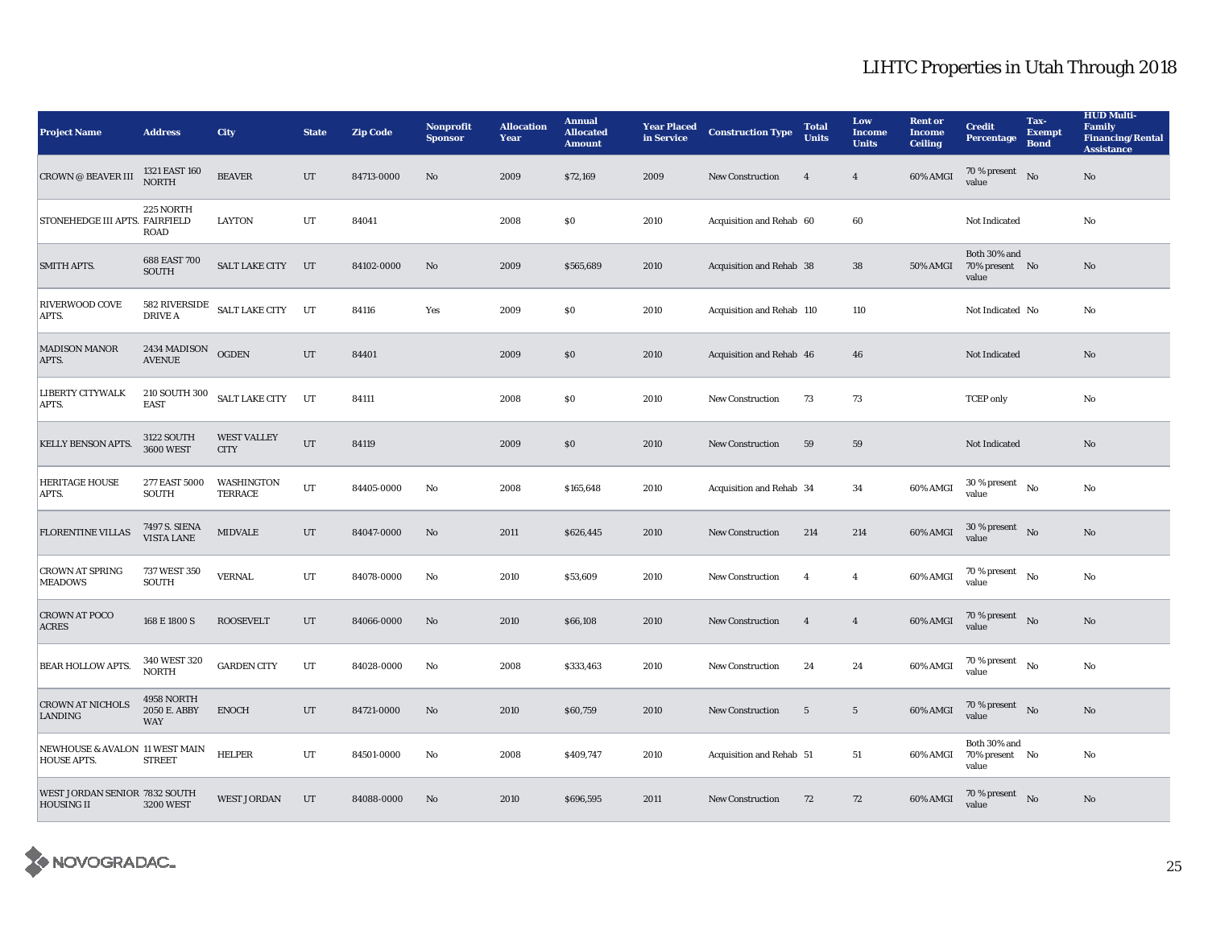| <b>Project Name</b>                                  | <b>Address</b>                           | <b>City</b>                       | <b>State</b> | <b>Zip Code</b> | Nonprofit<br><b>Sponsor</b> | <b>Allocation</b><br>Year | <b>Annual</b><br><b>Allocated</b><br><b>Amount</b> | <b>Year Placed</b><br>in Service | <b>Construction Type</b>        | <b>Total</b><br><b>Units</b> | Low<br><b>Income</b><br><b>Units</b> | <b>Rent or</b><br><b>Income</b><br><b>Ceiling</b> | <b>Credit</b><br><b>Percentage</b>      | Tax-<br><b>Exempt</b><br><b>Bond</b> | <b>HUD Multi-</b><br><b>Family</b><br><b>Financing/Rental</b><br><b>Assistance</b> |
|------------------------------------------------------|------------------------------------------|-----------------------------------|--------------|-----------------|-----------------------------|---------------------------|----------------------------------------------------|----------------------------------|---------------------------------|------------------------------|--------------------------------------|---------------------------------------------------|-----------------------------------------|--------------------------------------|------------------------------------------------------------------------------------|
| CROWN $\oslash$ BEAVER III                           | 1321 EAST 160<br><b>NORTH</b>            | <b>BEAVER</b>                     | UT           | 84713-0000      | $\mathbf{No}$               | 2009                      | \$72,169                                           | 2009                             | <b>New Construction</b>         | $\overline{4}$               | $\overline{4}$                       | 60% AMGI                                          | 70 % present<br>value                   | No                                   | $\rm No$                                                                           |
| STONEHEDGE III APTS. FAIRFIELD                       | 225 NORTH<br><b>ROAD</b>                 | <b>LAYTON</b>                     | UT           | 84041           |                             | 2008                      | $\$0$                                              | 2010                             | Acquisition and Rehab 60        |                              | 60                                   |                                                   | Not Indicated                           |                                      | No                                                                                 |
| <b>SMITH APTS.</b>                                   | 688 EAST 700<br>SOUTH                    | <b>SALT LAKE CITY</b>             | UT           | 84102-0000      | No                          | 2009                      | \$565,689                                          | 2010                             | <b>Acquisition and Rehab 38</b> |                              | ${\bf 38}$                           | <b>50% AMGI</b>                                   | Both 30% and<br>70% present No<br>value |                                      | $\rm No$                                                                           |
| RIVERWOOD COVE<br>APTS.                              | 582 RIVERSIDE<br>DRIVE A                 | SALT LAKE CITY                    | UT           | 84116           | Yes                         | 2009                      | \$0\$                                              | 2010                             | Acquisition and Rehab 110       |                              | 110                                  |                                                   | Not Indicated No                        |                                      | No                                                                                 |
| <b>MADISON MANOR</b><br>APTS.                        | 2434 MADISON<br><b>AVENUE</b>            | <b>OGDEN</b>                      | UT           | 84401           |                             | 2009                      | \$0\$                                              | 2010                             | Acquisition and Rehab 46        |                              | 46                                   |                                                   | Not Indicated                           |                                      | No                                                                                 |
| LIBERTY CITYWALK<br>APTS.                            | 210 SOUTH 300<br><b>EAST</b>             | SALT LAKE CITY UT                 |              | 84111           |                             | 2008                      | $\$0$                                              | 2010                             | New Construction                | 73                           | $73\,$                               |                                                   | <b>TCEP</b> only                        |                                      | $\rm No$                                                                           |
| KELLY BENSON APTS.                                   | <b>3122 SOUTH</b><br><b>3600 WEST</b>    | <b>WEST VALLEY</b><br><b>CITY</b> | UT           | 84119           |                             | 2009                      | \$0                                                | 2010                             | <b>New Construction</b>         | 59                           | ${\bf 59}$                           |                                                   | Not Indicated                           |                                      | $\rm No$                                                                           |
| HERITAGE HOUSE<br>APTS.                              | 277 EAST 5000<br><b>SOUTH</b>            | WASHINGTON<br><b>TERRACE</b>      | UT           | 84405-0000      | No                          | 2008                      | \$165,648                                          | 2010                             | Acquisition and Rehab 34        |                              | 34                                   | 60% AMGI                                          | $30$ % present $\hbox{~No}$<br>value    |                                      | No                                                                                 |
| <b>FLORENTINE VILLAS</b>                             | 7497 S. SIENA<br>VISTA LANE              | <b>MIDVALE</b>                    | UT           | 84047-0000      | $\mathbf{No}$               | 2011                      | \$626,445                                          | 2010                             | <b>New Construction</b>         | 214                          | 214                                  | 60% AMGI                                          | $30\%$ present No<br>value              |                                      | No                                                                                 |
| <b>CROWN AT SPRING</b><br><b>MEADOWS</b>             | 737 WEST 350<br><b>SOUTH</b>             | <b>VERNAL</b>                     | UT           | 84078-0000      | No                          | 2010                      | \$53,609                                           | 2010                             | New Construction                | $\overline{4}$               | $\overline{4}$                       | 60% AMGI                                          | 70 % present $$_{\rm No}$$<br>value     |                                      | No                                                                                 |
| <b>CROWN AT POCO</b><br><b>ACRES</b>                 | 168 E 1800 S                             | <b>ROOSEVELT</b>                  | UT           | 84066-0000      | No                          | 2010                      | \$66,108                                           | 2010                             | <b>New Construction</b>         | $\overline{4}$               | $\overline{4}$                       | 60% AMGI                                          | 70 % present No<br>value                |                                      | No                                                                                 |
| <b>BEAR HOLLOW APTS.</b>                             | 340 WEST 320<br><b>NORTH</b>             | <b>GARDEN CITY</b>                | UT           | 84028-0000      | No                          | 2008                      | \$333,463                                          | 2010                             | <b>New Construction</b>         | 24                           | 24                                   | 60% AMGI                                          | 70 % present<br>value                   | No                                   | No                                                                                 |
| <b>CROWN AT NICHOLS</b><br>LANDING                   | 4958 NORTH<br>2050 E. ABBY<br><b>WAY</b> | <b>ENOCH</b>                      | UT           | 84721-0000      | No                          | 2010                      | \$60,759                                           | 2010                             | <b>New Construction</b>         | 5                            | $\sqrt{5}$                           | 60% AMGI                                          | 70 % present $\bar{N}$ o<br>value       |                                      | No                                                                                 |
| NEWHOUSE & AVALON 11 WEST MAIN<br><b>HOUSE APTS.</b> | <b>STREET</b>                            | <b>HELPER</b>                     | UT           | 84501-0000      | No                          | 2008                      | \$409,747                                          | 2010                             | Acquisition and Rehab 51        |                              | 51                                   | 60% AMGI                                          | Both 30% and<br>70% present No<br>value |                                      | No                                                                                 |
| WEST JORDAN SENIOR 7832 SOUTH<br><b>HOUSING II</b>   | <b>3200 WEST</b>                         | <b>WEST JORDAN</b>                | UT           | 84088-0000      | No                          | 2010                      | \$696,595                                          | 2011                             | <b>New Construction</b>         | 72                           | 72                                   | 60% AMGI                                          | 70 % present $N0$<br>value              |                                      | No                                                                                 |

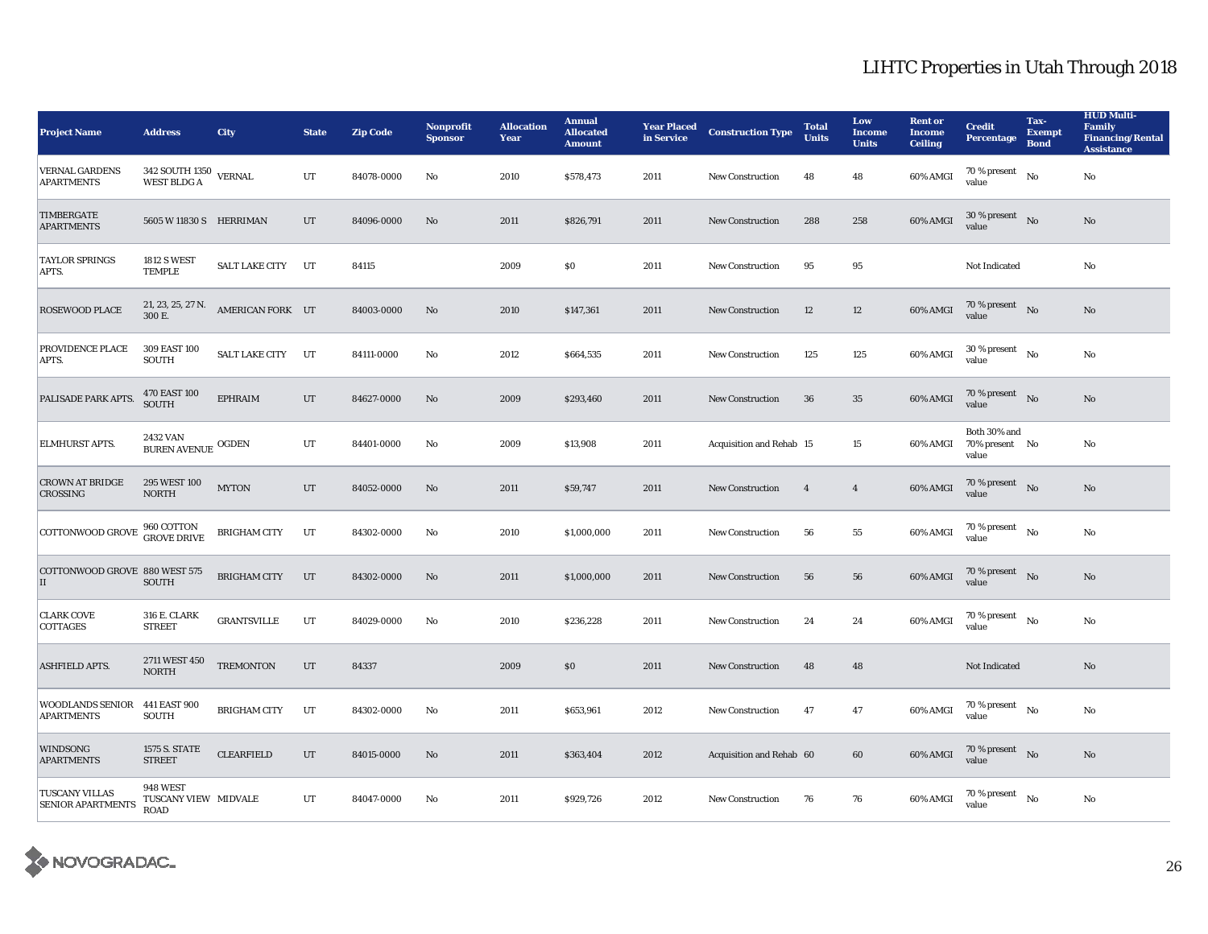| <b>Project Name</b>                               | <b>Address</b>                                | <b>City</b>           | <b>State</b> | <b>Zip Code</b> | <b>Nonprofit</b><br><b>Sponsor</b> | <b>Allocation</b><br><b>Year</b> | <b>Annual</b><br><b>Allocated</b><br><b>Amount</b> | <b>Year Placed</b><br>in Service | <b>Construction Type</b> | <b>Total</b><br><b>Units</b> | Low<br><b>Income</b><br><b>Units</b> | <b>Rent or</b><br><b>Income</b><br><b>Ceiling</b> | <b>Credit</b><br><b>Percentage</b>      | Tax-<br><b>Exempt</b><br><b>Bond</b> | <b>HUD Multi-</b><br><b>Family</b><br><b>Financing/Rental</b><br><b>Assistance</b> |
|---------------------------------------------------|-----------------------------------------------|-----------------------|--------------|-----------------|------------------------------------|----------------------------------|----------------------------------------------------|----------------------------------|--------------------------|------------------------------|--------------------------------------|---------------------------------------------------|-----------------------------------------|--------------------------------------|------------------------------------------------------------------------------------|
| <b>VERNAL GARDENS</b><br><b>APARTMENTS</b>        | $342$ SOUTH $1350$ $$\tt VERNAL$$ WEST BLDG A |                       | $_{\rm{UT}}$ | 84078-0000      | No                                 | 2010                             | \$578,473                                          | 2011                             | <b>New Construction</b>  | 48                           | 48                                   | 60% AMGI                                          | 70 % present<br>value                   | No                                   | No                                                                                 |
| <b>TIMBERGATE</b><br><b>APARTMENTS</b>            | 5605 W 11830 S HERRIMAN                       |                       | $_{\rm{UT}}$ | 84096-0000      | No                                 | 2011                             | \$826,791                                          | 2011                             | New Construction         | 288                          | 258                                  | 60% AMGI                                          | $30$ % present $\;\;$ No $\;$<br>value  |                                      | $\mathbf{N}\mathbf{o}$                                                             |
| <b>TAYLOR SPRINGS</b><br>APTS.                    | <b>1812 S WEST</b><br><b>TEMPLE</b>           | SALT LAKE CITY UT     |              | 84115           |                                    | 2009                             | \$0                                                | 2011                             | <b>New Construction</b>  | 95                           | $\bf 95$                             |                                                   | Not Indicated                           |                                      | No                                                                                 |
| <b>ROSEWOOD PLACE</b>                             | 21, 23, 25, 27 N.<br>300 E.                   | AMERICAN FORK UT      |              | 84003-0000      | No                                 | 2010                             | \$147,361                                          | 2011                             | <b>New Construction</b>  | 12                           | 12                                   | 60% AMGI                                          | 70 % present $\hbox{~No}$<br>value      |                                      | No                                                                                 |
| PROVIDENCE PLACE<br>APTS.                         | 309 EAST 100<br>SOUTH                         | <b>SALT LAKE CITY</b> | UT           | 84111-0000      | No                                 | 2012                             | \$664,535                                          | 2011                             | <b>New Construction</b>  | 125                          | 125                                  | $60\%$ AMGI                                       | $30$ % present $\hbox{~No}$<br>value    |                                      | No                                                                                 |
| PALISADE PARK APTS.                               | 470 EAST 100<br>SOUTH                         | <b>EPHRAIM</b>        | $_{\rm{UT}}$ | 84627-0000      | No                                 | 2009                             | \$293,460                                          | 2011                             | New Construction         | 36                           | 35                                   | 60% AMGI                                          | $70$ % present $\;\;$ No $\;$<br>value  |                                      | $\mathbf{N}\mathbf{o}$                                                             |
| <b>ELMHURST APTS.</b>                             | 2432 VAN<br>BUREN AVENUE OGDEN                |                       | UT           | 84401-0000      | No                                 | 2009                             | \$13,908                                           | 2011                             | Acquisition and Rehab 15 |                              | 15                                   | 60% AMGI                                          | Both 30% and<br>70% present No<br>value |                                      | No                                                                                 |
| <b>CROWN AT BRIDGE</b><br>CROSSING                | 295 WEST 100<br><b>NORTH</b>                  | <b>MYTON</b>          | UT           | 84052-0000      | No                                 | 2011                             | \$59,747                                           | 2011                             | <b>New Construction</b>  | $\overline{4}$               | $\overline{4}$                       | 60% AMGI                                          | 70 % present $\bar{N}$ o<br>value       |                                      | No                                                                                 |
| COTTONWOOD GROVE 960 COTTON                       |                                               | <b>BRIGHAM CITY</b>   | UT           | 84302-0000      | No                                 | 2010                             | \$1,000,000                                        | 2011                             | <b>New Construction</b>  | 56                           | 55                                   | 60% AMGI                                          | $70$ % present $$_{\rm No}$$<br>value   |                                      | No                                                                                 |
| COTTONWOOD GROVE 880 WEST 575<br>II               | <b>SOUTH</b>                                  | <b>BRIGHAM CITY</b>   | UT           | 84302-0000      | No                                 | 2011                             | \$1,000,000                                        | 2011                             | <b>New Construction</b>  | 56                           | 56                                   | 60% AMGI                                          | $70$ % present $$\rm{No}$$<br>value     |                                      | No                                                                                 |
| <b>CLARK COVE</b><br><b>COTTAGES</b>              | 316 E. CLARK<br><b>STREET</b>                 | <b>GRANTSVILLE</b>    | UT           | 84029-0000      | No                                 | 2010                             | \$236,228                                          | 2011                             | <b>New Construction</b>  | 24                           | 24                                   | 60% AMGI                                          | 70 % present $N0$<br>value              |                                      | No                                                                                 |
| <b>ASHFIELD APTS.</b>                             | 2711 WEST 450<br><b>NORTH</b>                 | <b>TREMONTON</b>      | UT           | 84337           |                                    | 2009                             | \$0                                                | 2011                             | <b>New Construction</b>  | 48                           | 48                                   |                                                   | Not Indicated                           |                                      | No                                                                                 |
| <b>WOODLANDS SENIOR</b><br><b>APARTMENTS</b>      | 441 EAST 900<br><b>SOUTH</b>                  | <b>BRIGHAM CITY</b>   | UT           | 84302-0000      | No                                 | 2011                             | \$653,961                                          | 2012                             | <b>New Construction</b>  | 47                           | $\bf 47$                             | 60% AMGI                                          | 70 % present $N0$<br>value              |                                      | No                                                                                 |
| <b>WINDSONG</b><br><b>APARTMENTS</b>              | 1575 S. STATE<br><b>STREET</b>                | <b>CLEARFIELD</b>     | $_{\rm{UT}}$ | 84015-0000      | $\mathbf{N}\mathbf{o}$             | 2011                             | \$363,404                                          | 2012                             | Acquisition and Rehab 60 |                              | 60                                   | 60% AMGI                                          | 70 % present $\hbox{No}$<br>value       |                                      | No                                                                                 |
| <b>TUSCANY VILLAS</b><br><b>SENIOR APARTMENTS</b> | 948 WEST<br>TUSCANY VIEW MIDVALE<br>ROAD      |                       | UT           | 84047-0000      | No                                 | 2011                             | \$929,726                                          | 2012                             | New Construction         | 76                           | 76                                   | 60% AMGI                                          | $70$ % present $_{\rm ~No}$<br>value    |                                      | No                                                                                 |

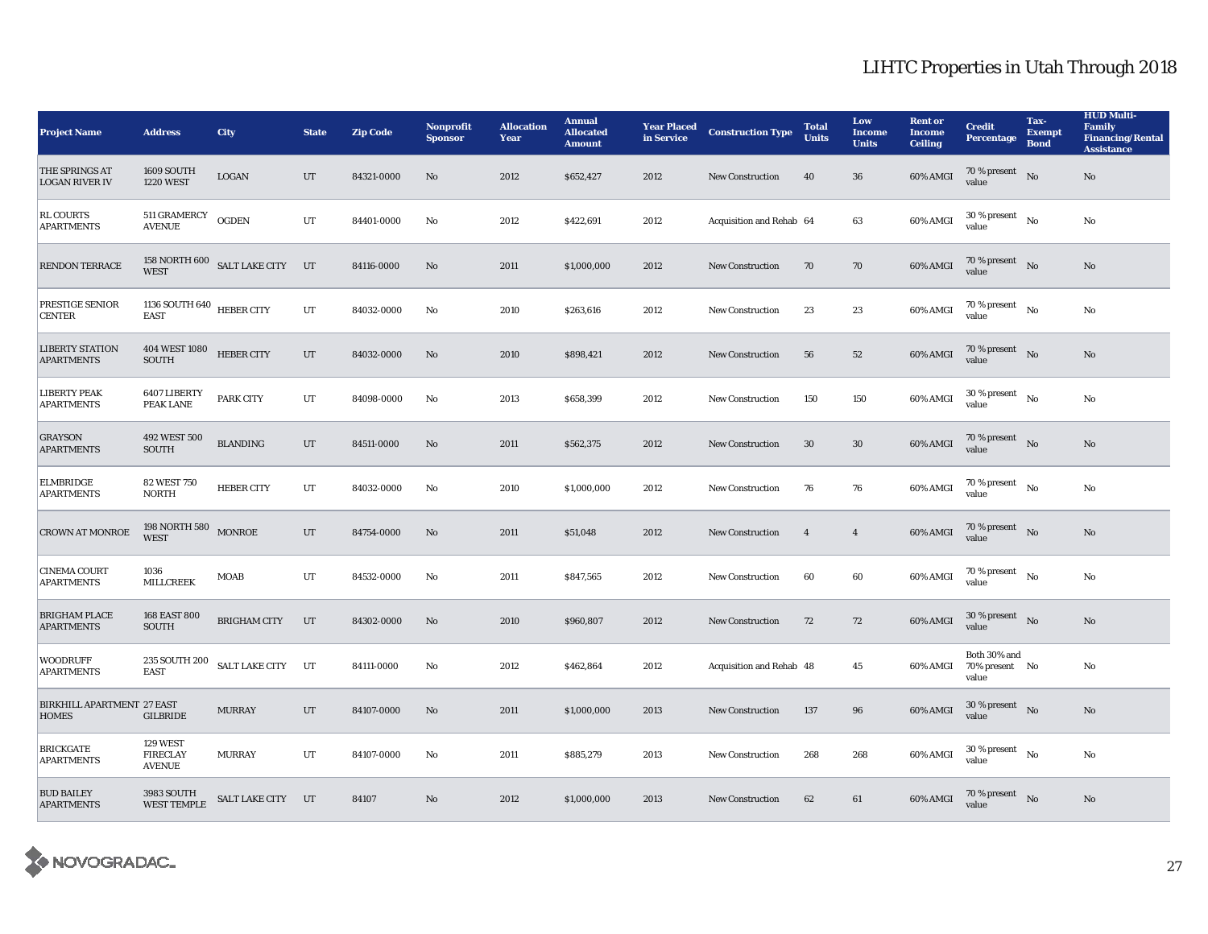| <b>Project Name</b>                               | <b>Address</b>                               | <b>City</b>                     | <b>State</b> | <b>Zip Code</b> | Nonprofit<br><b>Sponsor</b> | <b>Allocation</b><br>Year | <b>Annual</b><br><b>Allocated</b><br><b>Amount</b> | <b>Year Placed</b><br>in Service | <b>Construction Type</b> | <b>Total</b><br><b>Units</b> | Low<br><b>Income</b><br><b>Units</b> | <b>Rent or</b><br><b>Income</b><br><b>Ceiling</b> | <b>Credit</b><br><b>Percentage</b>         | Tax-<br><b>Exempt</b><br><b>Bond</b> | <b>HUD Multi-</b><br><b>Family</b><br><b>Financing/Rental</b><br><b>Assistance</b> |
|---------------------------------------------------|----------------------------------------------|---------------------------------|--------------|-----------------|-----------------------------|---------------------------|----------------------------------------------------|----------------------------------|--------------------------|------------------------------|--------------------------------------|---------------------------------------------------|--------------------------------------------|--------------------------------------|------------------------------------------------------------------------------------|
| THE SPRINGS AT<br><b>LOGAN RIVER IV</b>           | 1609 SOUTH<br><b>1220 WEST</b>               | LOGAN                           | UT           | 84321-0000      | No                          | 2012                      | \$652,427                                          | 2012                             | New Construction         | 40                           | 36                                   | 60% AMGI                                          | 70 % present $\log$<br>value               |                                      | $\rm No$                                                                           |
| <b>RL COURTS</b><br><b>APARTMENTS</b>             | 511 GRAMERCY<br><b>AVENUE</b>                | <b>OGDEN</b>                    | UT           | 84401-0000      | No                          | 2012                      | \$422,691                                          | 2012                             | Acquisition and Rehab 64 |                              | 63                                   | 60% AMGI                                          | 30 % present<br>value                      | $\mathbf{N}\mathbf{o}$               | No                                                                                 |
| <b>RENDON TERRACE</b>                             | <b>WEST</b>                                  | 158 NORTH 600 SALT LAKE CITY UT |              | 84116-0000      | $\mathbf{N}\mathbf{o}$      | 2011                      | \$1,000,000                                        | 2012                             | <b>New Construction</b>  | 70                           | 70                                   | 60% AMGI                                          | 70 % present $N0$<br>value                 |                                      | No                                                                                 |
| PRESTIGE SENIOR<br><b>CENTER</b>                  | 1136 SOUTH 640 HEBER CITY<br><b>EAST</b>     |                                 | UT           | 84032-0000      | No                          | 2010                      | \$263,616                                          | 2012                             | New Construction         | 23                           | 23                                   | 60% AMGI                                          | 70 % present $N_0$<br>value                |                                      | No                                                                                 |
| <b>LIBERTY STATION</b><br><b>APARTMENTS</b>       | 404 WEST 1080<br><b>SOUTH</b>                | <b>HEBER CITY</b>               | UT           | 84032-0000      | No                          | 2010                      | \$898,421                                          | 2012                             | <b>New Construction</b>  | 56                           | 52                                   | 60% AMGI                                          | 70 % present $\log$<br>value               |                                      | No                                                                                 |
| <b>LIBERTY PEAK</b><br><b>APARTMENTS</b>          | 6407 LIBERTY<br>PEAK LANE                    | <b>PARK CITY</b>                | UT           | 84098-0000      | No                          | 2013                      | \$658,399                                          | 2012                             | <b>New Construction</b>  | 150                          | 150                                  | 60% AMGI                                          | $30$ % present $\hbox{~No}$<br>value       |                                      | $\rm No$                                                                           |
| <b>GRAYSON</b><br><b>APARTMENTS</b>               | 492 WEST 500<br><b>SOUTH</b>                 | <b>BLANDING</b>                 | $_{\rm{UT}}$ | 84511-0000      | No                          | 2011                      | \$562,375                                          | 2012                             | <b>New Construction</b>  | $30\,$                       | 30                                   | 60% AMGI                                          | $70$ % present $\;\;$ No $\;$<br>value     |                                      | No                                                                                 |
| <b>ELMBRIDGE</b><br><b>APARTMENTS</b>             | <b>82 WEST 750</b><br><b>NORTH</b>           | <b>HEBER CITY</b>               | UT           | 84032-0000      | No                          | 2010                      | \$1,000,000                                        | 2012                             | New Construction         | 76                           | 76                                   | 60% AMGI                                          | $70$ % present $\quad$ No $\quad$<br>value |                                      | No                                                                                 |
| <b>CROWN AT MONROE</b>                            | 198 NORTH 580 $_{\rm MONROE}$<br><b>WEST</b> |                                 | UT           | 84754-0000      | No                          | 2011                      | \$51,048                                           | 2012                             | <b>New Construction</b>  | $\overline{4}$               | $\overline{4}$                       | 60% AMGI                                          | 70 % present $N0$<br>value                 |                                      | No                                                                                 |
| <b>CINEMA COURT</b><br><b>APARTMENTS</b>          | 1036<br><b>MILLCREEK</b>                     | <b>MOAB</b>                     | UT           | 84532-0000      | No                          | 2011                      | \$847,565                                          | 2012                             | <b>New Construction</b>  | 60                           | 60                                   | 60% AMGI                                          | 70 % present $N_0$<br>value                |                                      | No                                                                                 |
| <b>BRIGHAM PLACE</b><br><b>APARTMENTS</b>         | <b>168 EAST 800</b><br><b>SOUTH</b>          | <b>BRIGHAM CITY</b>             | UT           | 84302-0000      | No                          | 2010                      | \$960,807                                          | 2012                             | New Construction         | 72                           | 72                                   | 60% AMGI                                          | $30\%$ present No<br>value                 |                                      | $\rm No$                                                                           |
| <b>WOODRUFF</b><br><b>APARTMENTS</b>              | 235 SOUTH 200<br><b>EAST</b>                 | SALT LAKE CITY UT               |              | 84111-0000      | No                          | 2012                      | \$462,864                                          | 2012                             | Acquisition and Rehab 48 |                              | $45\,$                               | 60% AMGI                                          | Both 30% and<br>70% present No<br>value    |                                      | No                                                                                 |
| <b>BIRKHILL APARTMENT 27 EAST</b><br><b>HOMES</b> | <b>GILBRIDE</b>                              | <b>MURRAY</b>                   | UT           | 84107-0000      | No                          | 2011                      | \$1,000,000                                        | 2013                             | <b>New Construction</b>  | 137                          | 96                                   | 60% AMGI                                          | $30$ % present $\hbox{~No}$<br>value       |                                      | No                                                                                 |
| <b>BRICKGATE</b><br><b>APARTMENTS</b>             | 129 WEST<br><b>FIRECLAY</b><br><b>AVENUE</b> | <b>MURRAY</b>                   | UT           | 84107-0000      | No                          | 2011                      | \$885,279                                          | 2013                             | <b>New Construction</b>  | 268                          | 268                                  | 60% AMGI                                          | 30 % present<br>value                      | $\mathbf{N}\mathbf{o}$               | No                                                                                 |
| <b>BUD BAILEY</b><br><b>APARTMENTS</b>            | 3983 SOUTH<br><b>WEST TEMPLE</b>             | SALT LAKE CITY UT               |              | 84107           | No                          | 2012                      | \$1,000,000                                        | 2013                             | <b>New Construction</b>  | 62                           | $61\,$                               | 60% AMGI                                          | 70 % present $N0$<br>value                 |                                      | $\rm No$                                                                           |

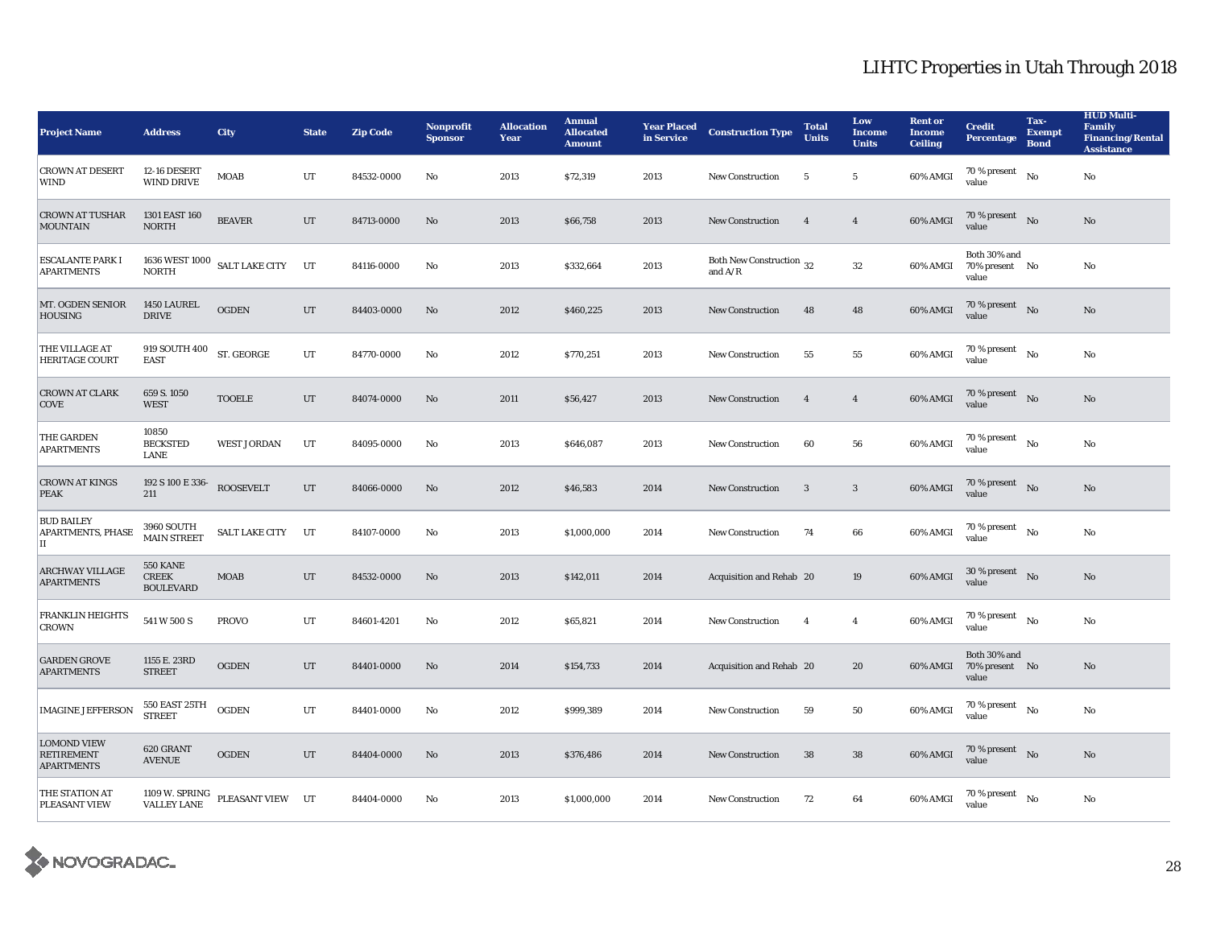| <b>Project Name</b>                                          | <b>Address</b>                                      | <b>City</b>                   | <b>State</b> | <b>Zip Code</b> | <b>Nonprofit</b><br><b>Sponsor</b> | <b>Allocation</b><br>Year | <b>Annual</b><br><b>Allocated</b><br><b>Amount</b> | <b>Year Placed</b><br>in Service | <b>Construction Type</b>              | <b>Total</b><br><b>Units</b> | Low<br><b>Income</b><br><b>Units</b> | <b>Rent or</b><br><b>Income</b><br><b>Ceiling</b> | <b>Credit</b><br><b>Percentage</b>          | Tax-<br><b>Exempt</b><br><b>Bond</b> | <b>HUD Multi-</b><br>Family<br><b>Financing/Rental</b><br><b>Assistance</b> |
|--------------------------------------------------------------|-----------------------------------------------------|-------------------------------|--------------|-----------------|------------------------------------|---------------------------|----------------------------------------------------|----------------------------------|---------------------------------------|------------------------------|--------------------------------------|---------------------------------------------------|---------------------------------------------|--------------------------------------|-----------------------------------------------------------------------------|
| <b>CROWN AT DESERT</b><br><b>WIND</b>                        | 12-16 DESERT<br><b>WIND DRIVE</b>                   | <b>MOAB</b>                   | $_{\rm UT}$  | 84532-0000      | No                                 | 2013                      | \$72,319                                           | 2013                             | <b>New Construction</b>               | 5                            | $5\phantom{.0}$                      | 60% AMGI                                          | 70 % present $\hbox{~~No}$<br>value         |                                      | No                                                                          |
| <b>CROWN AT TUSHAR</b><br><b>MOUNTAIN</b>                    | 1301 EAST 160<br><b>NORTH</b>                       | <b>BEAVER</b>                 | UT           | 84713-0000      | No                                 | 2013                      | \$66,758                                           | 2013                             | <b>New Construction</b>               | $\overline{\mathbf{4}}$      | $\overline{4}$                       | 60% AMGI                                          | 70 % present No<br>value                    |                                      | No                                                                          |
| <b>ESCALANTE PARK I</b><br><b>APARTMENTS</b>                 | <b>NORTH</b>                                        | 1636 WEST 1000 SALT LAKE CITY | UT           | 84116-0000      | No                                 | 2013                      | \$332,664                                          | 2013                             | Both New Construction 32<br>and $A/R$ |                              | 32                                   | 60% AMGI                                          | Both 30% and<br>70% present No<br>value     |                                      | No                                                                          |
| MT. OGDEN SENIOR<br><b>HOUSING</b>                           | 1450 LAUREL<br><b>DRIVE</b>                         | <b>OGDEN</b>                  | UT           | 84403-0000      | No                                 | 2012                      | \$460,225                                          | 2013                             | <b>New Construction</b>               | 48                           | 48                                   | 60% AMGI                                          | 70 % present $\hbox{No}$<br>value           |                                      | No                                                                          |
| THE VILLAGE AT<br><b>HERITAGE COURT</b>                      | 919 SOUTH 400<br><b>EAST</b>                        | ST. GEORGE                    | UT           | 84770-0000      | No                                 | 2012                      | \$770,251                                          | 2013                             | <b>New Construction</b>               | 55                           | 55                                   | 60% AMGI                                          | $70$ % present $\quad$ No $\quad$<br>value  |                                      | No                                                                          |
| <b>CROWN AT CLARK</b><br>COVE                                | 659 S. 1050<br><b>WEST</b>                          | <b>TOOELE</b>                 | UT           | 84074-0000      | No                                 | 2011                      | \$56,427                                           | 2013                             | <b>New Construction</b>               | $\overline{4}$               | $\overline{4}$                       | 60% AMGI                                          | 70 % present $\hbox{No}$<br>value           |                                      | No                                                                          |
| THE GARDEN<br><b>APARTMENTS</b>                              | 10850<br><b>BECKSTED</b><br>LANE                    | <b>WEST JORDAN</b>            | UT           | 84095-0000      | No                                 | 2013                      | \$646,087                                          | 2013                             | <b>New Construction</b>               | 60                           | 56                                   | 60% AMGI                                          | $70$ % present $$_{\rm No}$$<br>value       |                                      | No                                                                          |
| <b>CROWN AT KINGS</b><br><b>PEAK</b>                         | 192 S 100 E 336-<br>211                             | <b>ROOSEVELT</b>              | $_{\rm{UT}}$ | 84066-0000      | No                                 | 2012                      | \$46,583                                           | 2014                             | New Construction                      | $\overline{\mathbf{3}}$      | 3                                    | 60% AMGI                                          | 70 % present $\hbox{No}$<br>value           |                                      | No                                                                          |
| <b>BUD BAILEY</b><br><b>APARTMENTS, PHASE</b><br>IІ          | 3960 SOUTH<br><b>MAIN STREET</b>                    | <b>SALT LAKE CITY</b>         | UT           | 84107-0000      | No                                 | 2013                      | \$1,000,000                                        | 2014                             | <b>New Construction</b>               | 74                           | 66                                   | 60% AMGI                                          | $70$ % present $\quad$ $_{\rm No}$<br>value |                                      | No                                                                          |
| <b>ARCHWAY VILLAGE</b><br><b>APARTMENTS</b>                  | <b>550 KANE</b><br><b>CREEK</b><br><b>BOULEVARD</b> | <b>MOAB</b>                   | UT           | 84532-0000      | No                                 | 2013                      | \$142,011                                          | 2014                             | Acquisition and Rehab 20              |                              | 19                                   | 60% AMGI                                          | $30$ % present $\;\;$ No $\;$<br>value      |                                      | No                                                                          |
| <b>FRANKLIN HEIGHTS</b><br><b>CROWN</b>                      | 541 W 500 S                                         | <b>PROVO</b>                  | UT           | 84601-4201      | No                                 | 2012                      | \$65,821                                           | 2014                             | <b>New Construction</b>               | $\overline{4}$               | $\overline{4}$                       | 60% AMGI                                          | 70 % present $\hbox{~~No}$<br>value         |                                      | No                                                                          |
| <b>GARDEN GROVE</b><br><b>APARTMENTS</b>                     | 1155 E. 23RD<br><b>STREET</b>                       | <b>OGDEN</b>                  | $_{\rm UT}$  | 84401-0000      | $\mathbf{No}$                      | 2014                      | \$154,733                                          | 2014                             | Acquisition and Rehab 20              |                              | ${\bf 20}$                           | 60% AMGI                                          | Both 30% and<br>70% present No<br>value     |                                      | No                                                                          |
| <b>IMAGINE JEFFERSON</b>                                     | 550 EAST 25TH<br><b>STREET</b>                      | <b>OGDEN</b>                  | UT           | 84401-0000      | No                                 | 2012                      | \$999,389                                          | 2014                             | New Construction                      | 59                           | 50                                   | 60% AMGI                                          | $70$ % present $\quad$ No $\quad$<br>value  |                                      | No                                                                          |
| <b>LOMOND VIEW</b><br><b>RETIREMENT</b><br><b>APARTMENTS</b> | 620 GRANT<br><b>AVENUE</b>                          | <b>OGDEN</b>                  | UT           | 84404-0000      | No                                 | 2013                      | \$376,486                                          | 2014                             | <b>New Construction</b>               | 38                           | 38                                   | 60% AMGI                                          | 70 % present $\hbox{No}$<br>value           |                                      | No                                                                          |
| THE STATION AT<br>PLEASANT VIEW                              | 1109 W. SPRING<br><b>VALLEY LANE</b>                | PLEASANT VIEW UT              |              | 84404-0000      | No                                 | 2013                      | \$1,000,000                                        | 2014                             | <b>New Construction</b>               | 72                           | 64                                   | 60% AMGI                                          | $70$ % present $\quad$ No $\quad$<br>value  |                                      | No                                                                          |

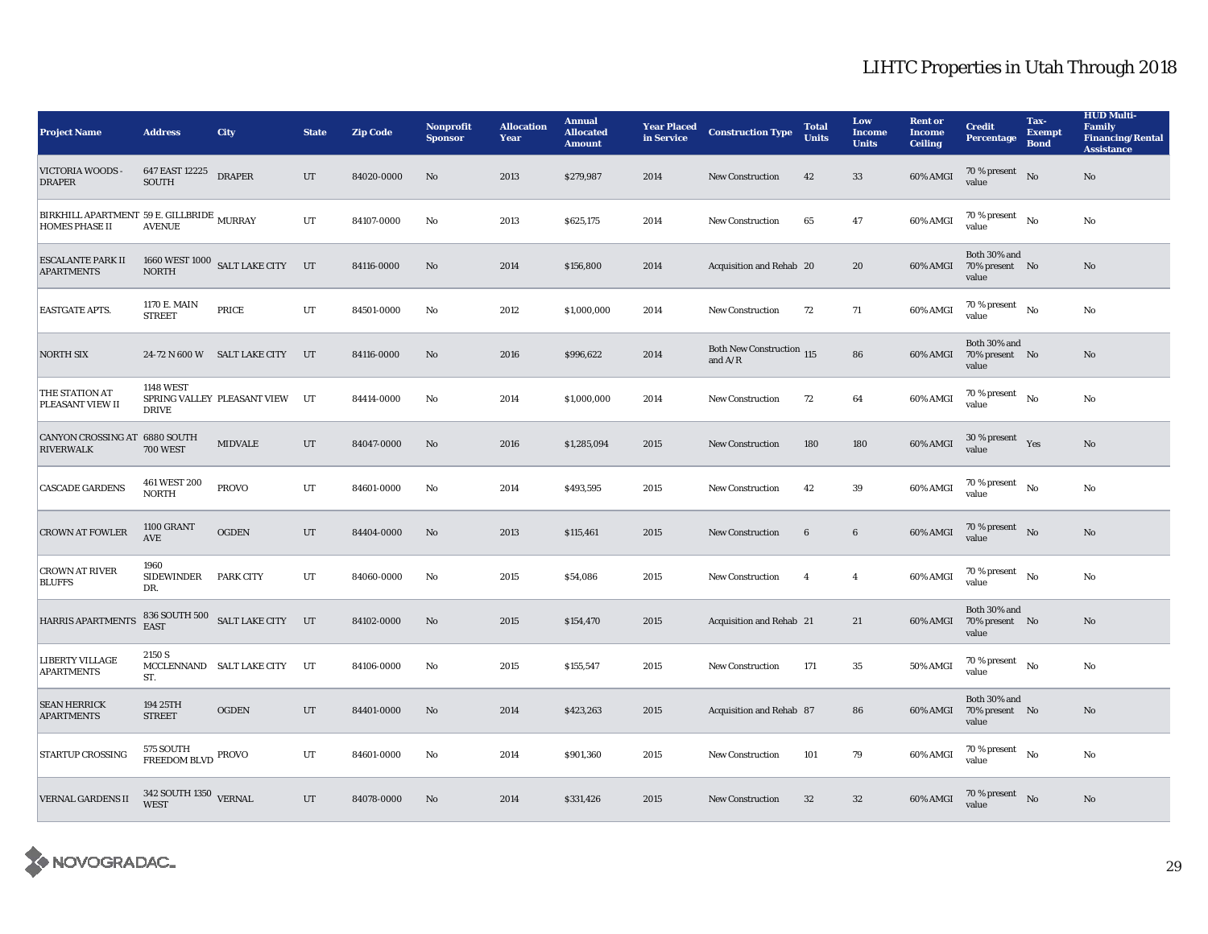| <b>Project Name</b>                                                | <b>Address</b>                      | <b>City</b>                      | <b>State</b> | <b>Zip Code</b> | Nonprofit<br><b>Sponsor</b> | <b>Allocation</b><br>Year | <b>Annual</b><br><b>Allocated</b><br><b>Amount</b> | <b>Year Placed</b><br>in Service | <b>Construction Type</b>                      | <b>Total</b><br><b>Units</b> | Low<br><b>Income</b><br><b>Units</b> | <b>Rent or</b><br><b>Income</b><br><b>Ceiling</b> | <b>Credit</b><br><b>Percentage</b>               | Tax-<br><b>Exempt</b><br><b>Bond</b> | <b>HUD Multi-</b><br>Family<br><b>Financing/Rental</b><br><b>Assistance</b> |
|--------------------------------------------------------------------|-------------------------------------|----------------------------------|--------------|-----------------|-----------------------------|---------------------------|----------------------------------------------------|----------------------------------|-----------------------------------------------|------------------------------|--------------------------------------|---------------------------------------------------|--------------------------------------------------|--------------------------------------|-----------------------------------------------------------------------------|
| VICTORIA WOODS -<br><b>DRAPER</b>                                  | 647 EAST 12225<br>SOUTH             | <b>DRAPER</b>                    | UT           | 84020-0000      | No                          | 2013                      | \$279,987                                          | 2014                             | New Construction                              | 42                           | 33                                   | 60% AMGI                                          | 70 % present $\bar{N}$ o<br>value                |                                      | No                                                                          |
| BIRKHILL APARTMENT 59 E. GILLBRIDE MURRAY<br><b>HOMES PHASE II</b> | <b>AVENUE</b>                       |                                  | UT           | 84107-0000      | No                          | 2013                      | \$625,175                                          | 2014                             | <b>New Construction</b>                       | 65                           | 47                                   | 60% AMGI                                          | 70 % present $N_0$<br>value                      |                                      | No                                                                          |
| <b>ESCALANTE PARK II</b><br><b>APARTMENTS</b>                      | <b>NORTH</b>                        | 1660 WEST 1000 SALT LAKE CITY UT |              | 84116-0000      | $\mathbf{No}$               | 2014                      | \$156,800                                          | 2014                             | Acquisition and Rehab 20                      |                              | 20                                   | 60% AMGI                                          | Both 30% and<br>70% present No<br>value          |                                      | No                                                                          |
| <b>EASTGATE APTS.</b>                                              | 1170 E. MAIN<br><b>STREET</b>       | PRICE                            | UT           | 84501-0000      | No                          | 2012                      | \$1,000,000                                        | 2014                             | <b>New Construction</b>                       | 72                           | 71                                   | 60% AMGI                                          | 70 % present $N_0$<br>value                      |                                      | No                                                                          |
| <b>NORTH SIX</b>                                                   |                                     | 24-72 N 600 W SALT LAKE CITY     | UT           | 84116-0000      | No                          | 2016                      | \$996,622                                          | 2014                             | <b>Both New Construction</b> 115<br>and $A/R$ |                              | 86                                   | 60% AMGI                                          | Both 30% and<br>70% present No<br>value          |                                      | No                                                                          |
| THE STATION AT<br>PLEASANT VIEW II                                 | <b>1148 WEST</b><br><b>DRIVE</b>    | SPRING VALLEY PLEASANT VIEW      | UT           | 84414-0000      | No                          | 2014                      | \$1,000,000                                        | 2014                             | <b>New Construction</b>                       | 72                           | 64                                   | 60% AMGI                                          | $70\,\%$ present $$$ No value                    |                                      | No                                                                          |
| CANYON CROSSING AT 6880 SOUTH<br><b>RIVERWALK</b>                  | <b>700 WEST</b>                     | <b>MIDVALE</b>                   | UT           | 84047-0000      | No                          | 2016                      | \$1,285,094                                        | 2015                             | <b>New Construction</b>                       | 180                          | 180                                  | 60% AMGI                                          | 30 % present Yes<br>value                        |                                      | No                                                                          |
| <b>CASCADE GARDENS</b>                                             | 461 WEST 200<br><b>NORTH</b>        | <b>PROVO</b>                     | UT           | 84601-0000      | No                          | 2014                      | \$493,595                                          | 2015                             | New Construction                              | 42                           | 39                                   | 60% AMGI                                          | $70\%$ present $\qquad$ No<br>value              |                                      | $\mathbf{No}$                                                               |
| <b>CROWN AT FOWLER</b>                                             | <b>1100 GRANT</b><br>AVE            | <b>OGDEN</b>                     | UT           | 84404-0000      | No                          | 2013                      | \$115,461                                          | 2015                             | <b>New Construction</b>                       | 6                            | $6\phantom{.0}$                      | 60% AMGI                                          | $70\,\%$ present $$\rm{No}$$ value               |                                      | $\mathbf{N}\mathbf{o}$                                                      |
| <b>CROWN AT RIVER</b><br><b>BLUFFS</b>                             | 1960<br>SIDEWINDER PARK CITY<br>DR. |                                  | UT           | 84060-0000      | No                          | 2015                      | \$54,086                                           | 2015                             | New Construction                              | $\overline{4}$               | $\overline{4}$                       | 60% AMGI                                          | 70 % present $N_0$<br>value                      |                                      | No                                                                          |
| HARRIS APARTMENTS                                                  | <b>EAST</b>                         | 836 SOUTH 500 SALT LAKE CITY UT  |              | 84102-0000      | No                          | 2015                      | \$154,470                                          | 2015                             | Acquisition and Rehab 21                      |                              | 21                                   | 60% AMGI                                          | Both 30% and<br>70% present No<br>value          |                                      | No                                                                          |
| LIBERTY VILLAGE<br><b>APARTMENTS</b>                               | 2150 S<br>ST.                       | MCCLENNAND SALT LAKE CITY        | UT           | 84106-0000      | No                          | 2015                      | \$155,547                                          | 2015                             | New Construction                              | 171                          | 35                                   | 50% AMGI                                          | $70$ % present $\quad$ No $\quad$<br>value       |                                      | No                                                                          |
| <b>SEAN HERRICK</b><br><b>APARTMENTS</b>                           | 194 25TH<br><b>STREET</b>           | <b>OGDEN</b>                     | UT           | 84401-0000      | $\mathbf{N}\mathbf{o}$      | 2014                      | \$423,263                                          | 2015                             | Acquisition and Rehab 87                      |                              | 86                                   |                                                   | Both 30% and<br>60% AMGI 70% present No<br>value |                                      | No                                                                          |
| <b>STARTUP CROSSING</b>                                            | 575 SOUTH<br>FREEDOM BLVD PROVO     |                                  | UT           | 84601-0000      | No                          | 2014                      | \$901,360                                          | 2015                             | <b>New Construction</b>                       | 101                          | 79                                   | 60% AMGI                                          | $70$ % present $_{\rm ~No}$<br>value             |                                      | No                                                                          |
| <b>VERNAL GARDENS II</b>                                           | $342$ SOUTH $1350$ $$\tt VERNAL$$   |                                  | UT           | 84078-0000      | No                          | 2014                      | \$331,426                                          | 2015                             | <b>New Construction</b>                       | 32                           | 32                                   | 60% AMGI                                          | $70\,\%$ present $$$ No value                    |                                      | No                                                                          |